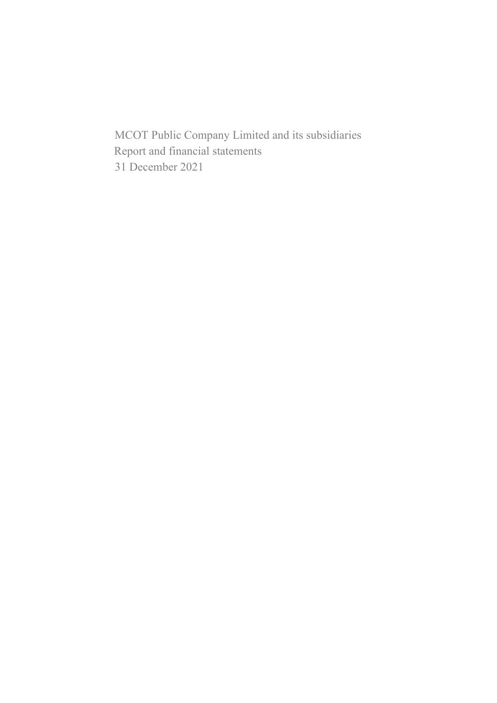MCOT Public Company Limited and its subsidiaries Report and financial statements 31 December 2021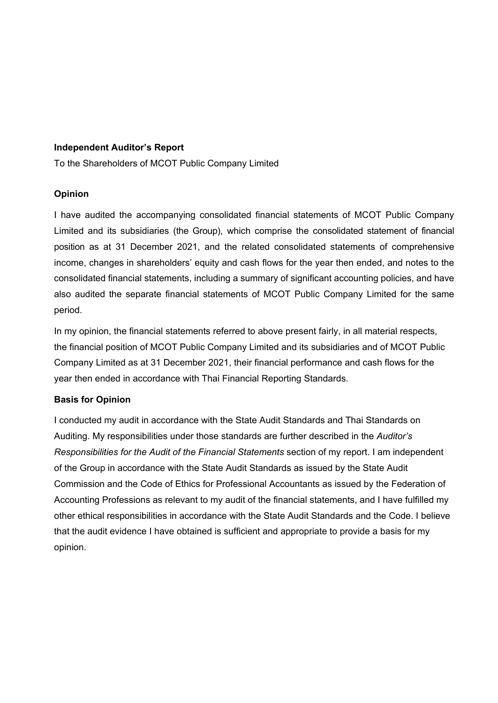#### **Independent Auditor's Report**

To the Shareholders of MCOT Public Company Limited

#### **Opinion**

I have audited the accompanying consolidated financial statements of MCOT Public Company Limited and its subsidiaries (the Group), which comprise the consolidated statement of financial position as at 31 December 2021, and the related consolidated statements of comprehensive income, changes in shareholders' equity and cash flows for the year then ended, and notes to the consolidated financial statements, including a summary of significant accounting policies, and have also audited the separate financial statements of MCOT Public Company Limited for the same period.

In my opinion, the financial statements referred to above present fairly, in all material respects, the financial position of MCOT Public Company Limited and its subsidiaries and of MCOT Public Company Limited as at 31 December 2021, their financial performance and cash flows for the year then ended in accordance with Thai Financial Reporting Standards.

### **Basis for Opinion**

I conducted my audit in accordance with the State Audit Standards and Thai Standards on Auditing. My responsibilities under those standards are further described in the *Auditor's Responsibilities for the Audit of the Financial Statements* section of my report. I am independent of the Group in accordance with the State Audit Standards as issued by the State Audit Commission and the Code of Ethics for Professional Accountants as issued by the Federation of Accounting Professions as relevant to my audit of the financial statements, and I have fulfilled my other ethical responsibilities in accordance with the State Audit Standards and the Code. I believe that the audit evidence I have obtained is sufficient and appropriate to provide a basis for my opinion.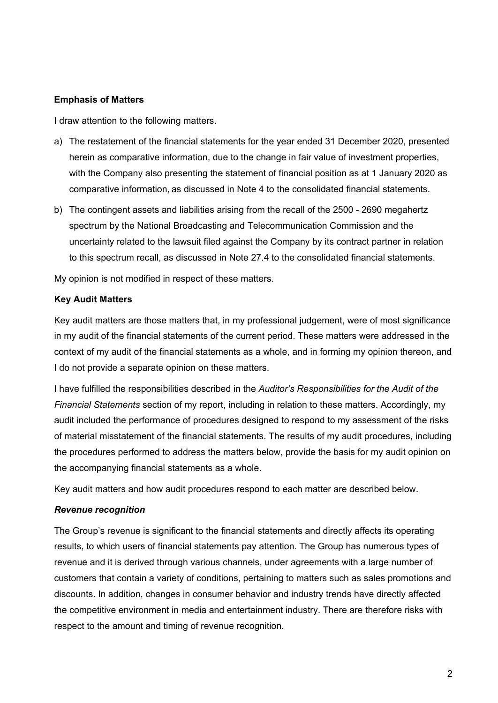#### **Emphasis of Matters**

I draw attention to the following matters.

- a) The restatement of the financial statements for the year ended 31 December 2020, presented herein as comparative information, due to the change in fair value of investment properties, with the Company also presenting the statement of financial position as at 1 January 2020 as comparative information, as discussed in Note 4 to the consolidated financial statements.
- b) The contingent assets and liabilities arising from the recall of the 2500 2690 megahertz spectrum by the National Broadcasting and Telecommunication Commission and the uncertainty related to the lawsuit filed against the Company by its contract partner in relation to this spectrum recall, as discussed in Note 27.4 to the consolidated financial statements.

My opinion is not modified in respect of these matters.

#### **Key Audit Matters**

Key audit matters are those matters that, in my professional judgement, were of most significance in my audit of the financial statements of the current period. These matters were addressed in the context of my audit of the financial statements as a whole, and in forming my opinion thereon, and I do not provide a separate opinion on these matters.

I have fulfilled the responsibilities described in the *Auditor's Responsibilities for the Audit of the Financial Statements* section of my report, including in relation to these matters. Accordingly, my audit included the performance of procedures designed to respond to my assessment of the risks of material misstatement of the financial statements. The results of my audit procedures, including the procedures performed to address the matters below, provide the basis for my audit opinion on the accompanying financial statements as a whole.

Key audit matters and how audit procedures respond to each matter are described below.

# *Revenue recognition*

The Group's revenue is significant to the financial statements and directly affects its operating results, to which users of financial statements pay attention. The Group has numerous types of revenue and it is derived through various channels, under agreements with a large number of customers that contain a variety of conditions, pertaining to matters such as sales promotions and discounts. In addition, changes in consumer behavior and industry trends have directly affected the competitive environment in media and entertainment industry. There are therefore risks with respect to the amount and timing of revenue recognition.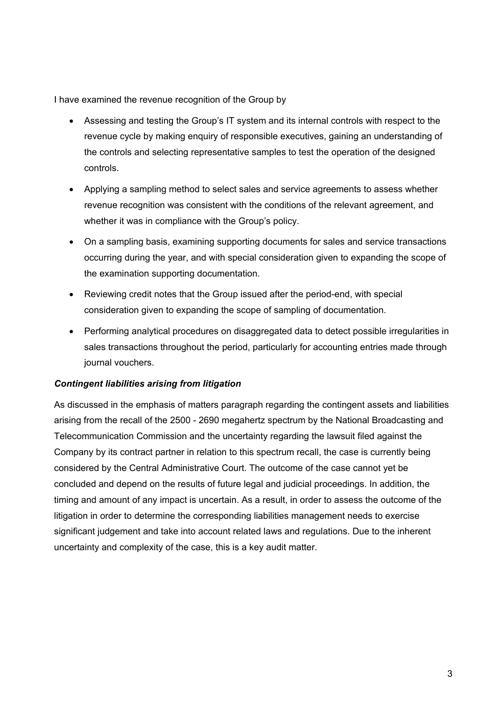I have examined the revenue recognition of the Group by

- Assessing and testing the Group's IT system and its internal controls with respect to the revenue cycle by making enquiry of responsible executives, gaining an understanding of the controls and selecting representative samples to test the operation of the designed controls.
- Applying a sampling method to select sales and service agreements to assess whether revenue recognition was consistent with the conditions of the relevant agreement, and whether it was in compliance with the Group's policy.
- On a sampling basis, examining supporting documents for sales and service transactions occurring during the year, and with special consideration given to expanding the scope of the examination supporting documentation.
- Reviewing credit notes that the Group issued after the period-end, with special consideration given to expanding the scope of sampling of documentation.
- Performing analytical procedures on disaggregated data to detect possible irregularities in sales transactions throughout the period, particularly for accounting entries made through journal vouchers.

# *Contingent liabilities arising from litigation*

As discussed in the emphasis of matters paragraph regarding the contingent assets and liabilities arising from the recall of the 2500 - 2690 megahertz spectrum by the National Broadcasting and Telecommunication Commission and the uncertainty regarding the lawsuit filed against the Company by its contract partner in relation to this spectrum recall, the case is currently being considered by the Central Administrative Court. The outcome of the case cannot yet be concluded and depend on the results of future legal and judicial proceedings. In addition, the timing and amount of any impact is uncertain. As a result, in order to assess the outcome of the litigation in order to determine the corresponding liabilities management needs to exercise significant judgement and take into account related laws and regulations. Due to the inherent uncertainty and complexity of the case, this is a key audit matter.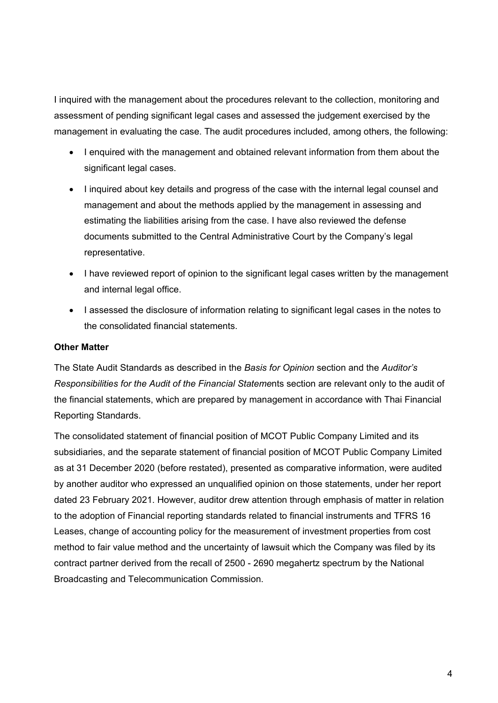I inquired with the management about the procedures relevant to the collection, monitoring and assessment of pending significant legal cases and assessed the judgement exercised by the management in evaluating the case. The audit procedures included, among others, the following:

- I enguired with the management and obtained relevant information from them about the significant legal cases.
- I inquired about key details and progress of the case with the internal legal counsel and management and about the methods applied by the management in assessing and estimating the liabilities arising from the case. I have also reviewed the defense documents submitted to the Central Administrative Court by the Company's legal representative.
- I have reviewed report of opinion to the significant legal cases written by the management and internal legal office.
- I assessed the disclosure of information relating to significant legal cases in the notes to the consolidated financial statements.

#### **Other Matter**

The State Audit Standards as described in the *Basis for Opinion* section and the *Auditor's Responsibilities for the Audit of the Financial Stateme*nts section are relevant only to the audit of the financial statements, which are prepared by management in accordance with Thai Financial Reporting Standards.

The consolidated statement of financial position of MCOT Public Company Limited and its subsidiaries, and the separate statement of financial position of MCOT Public Company Limited as at 31 December 2020 (before restated), presented as comparative information, were audited by another auditor who expressed an unqualified opinion on those statements, under her report dated 23 February 2021. However, auditor drew attention through emphasis of matter in relation to the adoption of Financial reporting standards related to financial instruments and TFRS 16 Leases, change of accounting policy for the measurement of investment properties from cost method to fair value method and the uncertainty of lawsuit which the Company was filed by its contract partner derived from the recall of 2500 - 2690 megahertz spectrum by the National Broadcasting and Telecommunication Commission.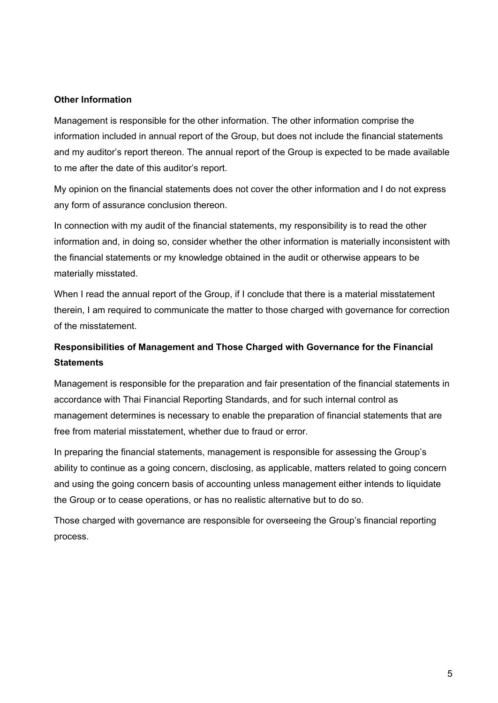#### **Other Information**

Management is responsible for the other information. The other information comprise the information included in annual report of the Group, but does not include the financial statements and my auditor's report thereon. The annual report of the Group is expected to be made available to me after the date of this auditor's report.

My opinion on the financial statements does not cover the other information and I do not express any form of assurance conclusion thereon.

In connection with my audit of the financial statements, my responsibility is to read the other information and, in doing so, consider whether the other information is materially inconsistent with the financial statements or my knowledge obtained in the audit or otherwise appears to be materially misstated.

When I read the annual report of the Group, if I conclude that there is a material misstatement therein, I am required to communicate the matter to those charged with governance for correction of the misstatement.

# **Responsibilities of Management and Those Charged with Governance for the Financial Statements**

Management is responsible for the preparation and fair presentation of the financial statements in accordance with Thai Financial Reporting Standards, and for such internal control as management determines is necessary to enable the preparation of financial statements that are free from material misstatement, whether due to fraud or error.

In preparing the financial statements, management is responsible for assessing the Group's ability to continue as a going concern, disclosing, as applicable, matters related to going concern and using the going concern basis of accounting unless management either intends to liquidate the Group or to cease operations, or has no realistic alternative but to do so.

Those charged with governance are responsible for overseeing the Group's financial reporting process.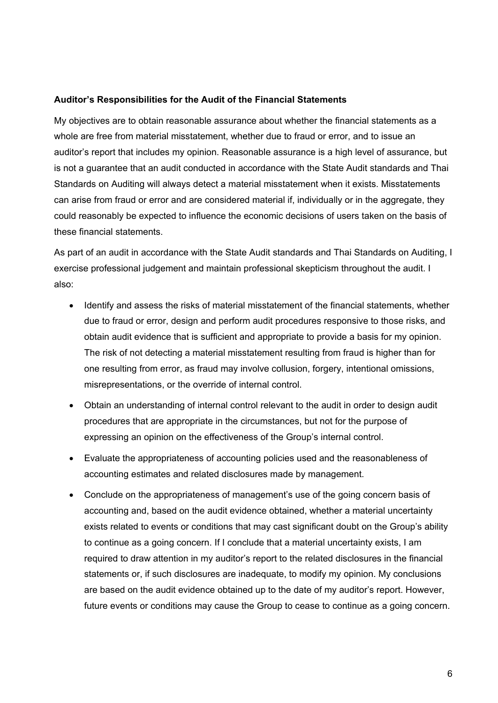#### **Auditor's Responsibilities for the Audit of the Financial Statements**

My objectives are to obtain reasonable assurance about whether the financial statements as a whole are free from material misstatement, whether due to fraud or error, and to issue an auditor's report that includes my opinion. Reasonable assurance is a high level of assurance, but is not a guarantee that an audit conducted in accordance with the State Audit standards and Thai Standards on Auditing will always detect a material misstatement when it exists. Misstatements can arise from fraud or error and are considered material if, individually or in the aggregate, they could reasonably be expected to influence the economic decisions of users taken on the basis of these financial statements.

As part of an audit in accordance with the State Audit standards and Thai Standards on Auditing, I exercise professional judgement and maintain professional skepticism throughout the audit. I also:

- Identify and assess the risks of material misstatement of the financial statements, whether due to fraud or error, design and perform audit procedures responsive to those risks, and obtain audit evidence that is sufficient and appropriate to provide a basis for my opinion. The risk of not detecting a material misstatement resulting from fraud is higher than for one resulting from error, as fraud may involve collusion, forgery, intentional omissions, misrepresentations, or the override of internal control.
- Obtain an understanding of internal control relevant to the audit in order to design audit procedures that are appropriate in the circumstances, but not for the purpose of expressing an opinion on the effectiveness of the Group's internal control.
- Evaluate the appropriateness of accounting policies used and the reasonableness of accounting estimates and related disclosures made by management.
- Conclude on the appropriateness of management's use of the going concern basis of accounting and, based on the audit evidence obtained, whether a material uncertainty exists related to events or conditions that may cast significant doubt on the Group's ability to continue as a going concern. If I conclude that a material uncertainty exists, I am required to draw attention in my auditor's report to the related disclosures in the financial statements or, if such disclosures are inadequate, to modify my opinion. My conclusions are based on the audit evidence obtained up to the date of my auditor's report. However, future events or conditions may cause the Group to cease to continue as a going concern.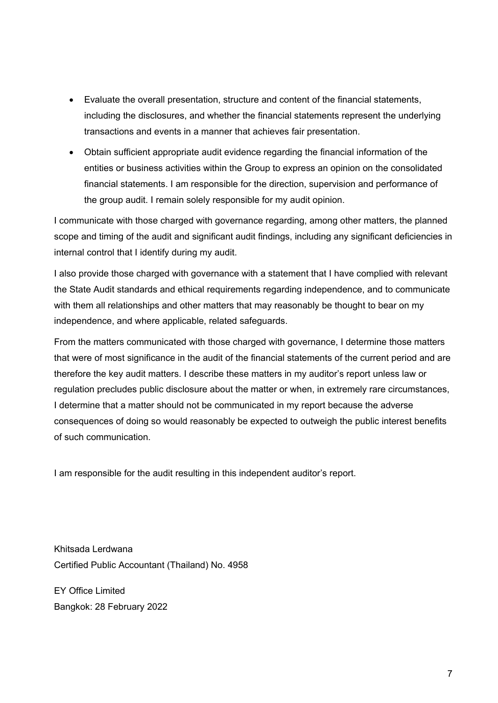- Evaluate the overall presentation, structure and content of the financial statements, including the disclosures, and whether the financial statements represent the underlying transactions and events in a manner that achieves fair presentation.
- Obtain sufficient appropriate audit evidence regarding the financial information of the entities or business activities within the Group to express an opinion on the consolidated financial statements. I am responsible for the direction, supervision and performance of the group audit. I remain solely responsible for my audit opinion.

I communicate with those charged with governance regarding, among other matters, the planned scope and timing of the audit and significant audit findings, including any significant deficiencies in internal control that I identify during my audit.

I also provide those charged with governance with a statement that I have complied with relevant the State Audit standards and ethical requirements regarding independence, and to communicate with them all relationships and other matters that may reasonably be thought to bear on my independence, and where applicable, related safeguards.

From the matters communicated with those charged with governance, I determine those matters that were of most significance in the audit of the financial statements of the current period and are therefore the key audit matters. I describe these matters in my auditor's report unless law or regulation precludes public disclosure about the matter or when, in extremely rare circumstances, I determine that a matter should not be communicated in my report because the adverse consequences of doing so would reasonably be expected to outweigh the public interest benefits of such communication.

I am responsible for the audit resulting in this independent auditor's report.

Khitsada Lerdwana Certified Public Accountant (Thailand) No. 4958

EY Office Limited Bangkok: 28 February 2022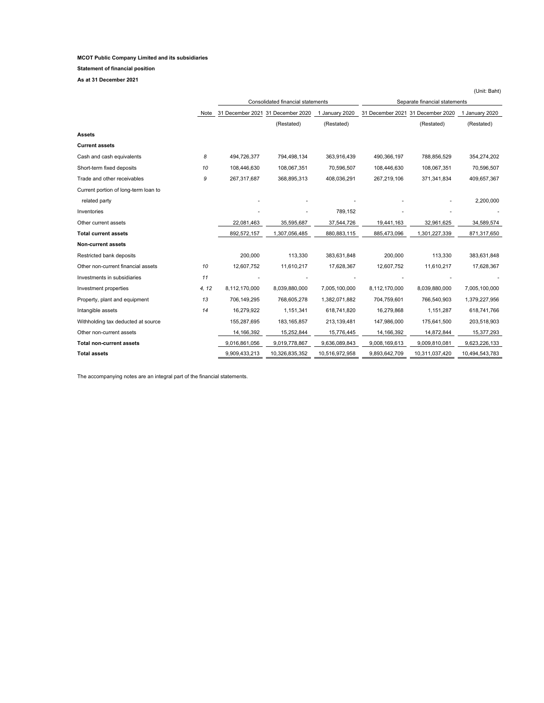**Statement of financial position**

**As at 31 December 2021**

|                                      |       |                                   | Consolidated financial statements |                |               | Separate financial statements     |                |  |
|--------------------------------------|-------|-----------------------------------|-----------------------------------|----------------|---------------|-----------------------------------|----------------|--|
|                                      | Note  | 31 December 2021 31 December 2020 |                                   | 1 January 2020 |               | 31 December 2021 31 December 2020 | 1 January 2020 |  |
|                                      |       |                                   | (Restated)                        | (Restated)     |               | (Restated)                        | (Restated)     |  |
| Assets                               |       |                                   |                                   |                |               |                                   |                |  |
| <b>Current assets</b>                |       |                                   |                                   |                |               |                                   |                |  |
| Cash and cash equivalents            | 8     | 494,726,377                       | 794,498,134                       | 363,916,439    | 490,366,197   | 788,856,529                       | 354,274,202    |  |
| Short-term fixed deposits            | 10    | 108,446,630                       | 108,067,351                       | 70,596,507     | 108,446,630   | 108,067,351                       | 70,596,507     |  |
| Trade and other receivables          | 9     | 267,317,687                       | 368,895,313                       | 408,036,291    | 267,219,106   | 371,341,834                       | 409,657,367    |  |
| Current portion of long-term loan to |       |                                   |                                   |                |               |                                   |                |  |
| related party                        |       |                                   |                                   |                |               |                                   | 2,200,000      |  |
| Inventories                          |       |                                   |                                   | 789,152        |               |                                   |                |  |
| Other current assets                 |       | 22,081,463                        | 35,595,687                        | 37,544,726     | 19,441,163    | 32,961,625                        | 34,589,574     |  |
| <b>Total current assets</b>          |       | 892,572,157                       | 1,307,056,485                     | 880, 883, 115  | 885,473,096   | 1,301,227,339                     | 871,317,650    |  |
| <b>Non-current assets</b>            |       |                                   |                                   |                |               |                                   |                |  |
| Restricted bank deposits             |       | 200,000                           | 113,330                           | 383,631,848    | 200,000       | 113,330                           | 383,631,848    |  |
| Other non-current financial assets   | 10    | 12,607,752                        | 11,610,217                        | 17,628,367     | 12,607,752    | 11,610,217                        | 17,628,367     |  |
| Investments in subsidiaries          | 11    |                                   |                                   |                |               |                                   |                |  |
| Investment properties                | 4, 12 | 8,112,170,000                     | 8,039,880,000                     | 7,005,100,000  | 8,112,170,000 | 8,039,880,000                     | 7,005,100,000  |  |
| Property, plant and equipment        | 13    | 706,149,295                       | 768,605,278                       | 1,382,071,882  | 704,759,601   | 766,540,903                       | 1,379,227,956  |  |
| Intangible assets                    | 14    | 16,279,922                        | 1,151,341                         | 618,741,820    | 16,279,868    | 1,151,287                         | 618,741,766    |  |
| Withholding tax deducted at source   |       | 155,287,695                       | 183, 165, 857                     | 213,139,481    | 147,986,000   | 175,641,500                       | 203,518,903    |  |
| Other non-current assets             |       | 14, 166, 392                      | 15,252,844                        | 15,776,445     | 14,166,392    | 14,872,844                        | 15,377,293     |  |
| <b>Total non-current assets</b>      |       | 9,016,861,056                     | 9,019,778,867                     | 9,636,089,843  | 9,008,169,613 | 9,009,810,081                     | 9,623,226,133  |  |
| <b>Total assets</b>                  |       | 9,909,433,213                     | 10,326,835,352                    | 10,516,972,958 | 9,893,642,709 | 10,311,037,420                    | 10,494,543,783 |  |

The accompanying notes are an integral part of the financial statements.

(Unit: Baht)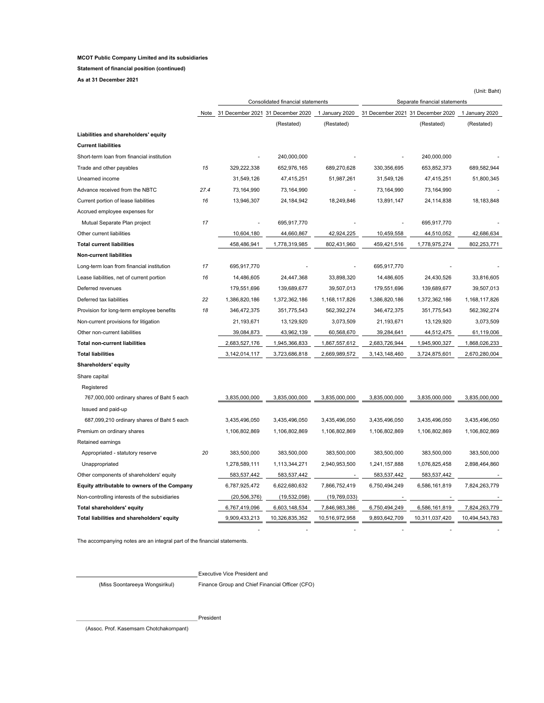**Statement of financial position (continued)**

**As at 31 December 2021**

| 1 January 2020<br>31 December 2021 31 December 2020<br>31 December 2021 31 December 2020<br>1 January 2020<br>Note<br>(Restated)<br>(Restated)<br>(Restated)<br>(Restated)<br>240,000,000<br>240,000,000<br>15<br>329,222,338<br>652,976,165<br>689,270,628<br>330,356,695<br>653,852,373<br>689,582,944<br>47,415,251<br>51,800,345<br>31,549,126<br>51,987,261<br>31,549,126<br>47,415,251<br>27.4<br>73,164,990<br>73,164,990<br>73,164,990<br>73,164,990<br>16<br>13,946,307<br>24,184,942<br>18,249,846<br>13,891,147<br>24,114,838<br>18,183,848<br>Mutual Separate Plan project<br>17<br>695,917,770<br>695,917,770<br>10,604,180<br>42,924,225<br>10,459,558<br>42,686,634<br>44,660,867<br>44,510,052<br>1,778,319,985<br>458,486,941<br>802,431,960<br>459,421,516<br>1,778,975,274<br>802,253,771<br>17<br>695,917,770<br>695,917,770<br>16<br>14,486,605<br>24,447,368<br>33,898,320<br>14,486,605<br>24,430,526<br>33,816,605<br>179,551,696<br>139,689,677<br>39,507,013<br>179,551,696<br>139,689,677<br>39,507,013<br>22<br>1,386,820,186<br>1,372,362,186<br>1,168,117,826<br>1,386,820,186<br>1,372,362,186<br>1,168,117,826<br>18<br>346,472,375<br>351,775,543<br>351,775,543<br>562,392,274<br>346,472,375<br>562,392,274<br>21,193,671<br>13,129,920<br>3,073,509<br>21,193,671<br>13,129,920<br>3,073,509<br>39,084,873<br>43,962,139<br>60,568,670<br>61,119,006<br>39,284,641<br>44,512,475<br>2,683,527,176<br>1,945,366,833<br>1,867,557,612<br>2,683,726,944<br>1,945,900,327<br>1,868,026,233<br>3,142,014,117<br>2,669,989,572<br>2,670,280,004<br>3,723,686,818<br>3,143,148,460<br>3,724,875,601<br>Registered<br>767,000,000 ordinary shares of Baht 5 each<br>3,835,000,000<br>3,835,000,000<br>3,835,000,000<br>3,835,000,000<br>3,835,000,000<br>3,835,000,000<br>Issued and paid-up<br>687,099,210 ordinary shares of Baht 5 each<br>3,435,496,050<br>3,435,496,050<br>3,435,496,050<br>3,435,496,050<br>3,435,496,050<br>3,435,496,050<br>1,106,802,869<br>1,106,802,869<br>1,106,802,869<br>1,106,802,869<br>1,106,802,869<br>1,106,802,869<br>Appropriated - statutory reserve<br>383,500,000<br>383,500,000<br>20<br>383,500,000<br>383,500,000<br>383,500,000<br>383,500,000<br>Unappropriated<br>1,278,589,111<br>1,113,344,271<br>2,940,953,500<br>1,241,157,888<br>1,076,825,458<br>2,898,464,860<br>583,537,442<br>583,537,442<br>583,537,442<br>583,537,442<br>7,824,263,779<br>6,787,925,472<br>6,622,680,632<br>7,866,752,419<br>6,750,494,249<br>6,586,161,819<br>(20, 506, 376)<br>(19, 532, 098)<br>(19,769,033)<br>6,603,148,534<br>7,846,983,386<br>6,750,494,249<br>6,586,161,819<br>7,824,263,779<br>6,767,419,096 |                                               | Consolidated financial statements |                |                | Separate financial statements |                |                |
|----------------------------------------------------------------------------------------------------------------------------------------------------------------------------------------------------------------------------------------------------------------------------------------------------------------------------------------------------------------------------------------------------------------------------------------------------------------------------------------------------------------------------------------------------------------------------------------------------------------------------------------------------------------------------------------------------------------------------------------------------------------------------------------------------------------------------------------------------------------------------------------------------------------------------------------------------------------------------------------------------------------------------------------------------------------------------------------------------------------------------------------------------------------------------------------------------------------------------------------------------------------------------------------------------------------------------------------------------------------------------------------------------------------------------------------------------------------------------------------------------------------------------------------------------------------------------------------------------------------------------------------------------------------------------------------------------------------------------------------------------------------------------------------------------------------------------------------------------------------------------------------------------------------------------------------------------------------------------------------------------------------------------------------------------------------------------------------------------------------------------------------------------------------------------------------------------------------------------------------------------------------------------------------------------------------------------------------------------------------------------------------------------------------------------------------------------------------------------------------------------------------------------------------------------------------------------------------------------------------------------------------------------------------------------|-----------------------------------------------|-----------------------------------|----------------|----------------|-------------------------------|----------------|----------------|
|                                                                                                                                                                                                                                                                                                                                                                                                                                                                                                                                                                                                                                                                                                                                                                                                                                                                                                                                                                                                                                                                                                                                                                                                                                                                                                                                                                                                                                                                                                                                                                                                                                                                                                                                                                                                                                                                                                                                                                                                                                                                                                                                                                                                                                                                                                                                                                                                                                                                                                                                                                                                                                                                            |                                               |                                   |                |                |                               |                |                |
|                                                                                                                                                                                                                                                                                                                                                                                                                                                                                                                                                                                                                                                                                                                                                                                                                                                                                                                                                                                                                                                                                                                                                                                                                                                                                                                                                                                                                                                                                                                                                                                                                                                                                                                                                                                                                                                                                                                                                                                                                                                                                                                                                                                                                                                                                                                                                                                                                                                                                                                                                                                                                                                                            |                                               |                                   |                |                |                               |                |                |
|                                                                                                                                                                                                                                                                                                                                                                                                                                                                                                                                                                                                                                                                                                                                                                                                                                                                                                                                                                                                                                                                                                                                                                                                                                                                                                                                                                                                                                                                                                                                                                                                                                                                                                                                                                                                                                                                                                                                                                                                                                                                                                                                                                                                                                                                                                                                                                                                                                                                                                                                                                                                                                                                            | Liabilities and shareholders' equity          |                                   |                |                |                               |                |                |
|                                                                                                                                                                                                                                                                                                                                                                                                                                                                                                                                                                                                                                                                                                                                                                                                                                                                                                                                                                                                                                                                                                                                                                                                                                                                                                                                                                                                                                                                                                                                                                                                                                                                                                                                                                                                                                                                                                                                                                                                                                                                                                                                                                                                                                                                                                                                                                                                                                                                                                                                                                                                                                                                            | <b>Current liabilities</b>                    |                                   |                |                |                               |                |                |
|                                                                                                                                                                                                                                                                                                                                                                                                                                                                                                                                                                                                                                                                                                                                                                                                                                                                                                                                                                                                                                                                                                                                                                                                                                                                                                                                                                                                                                                                                                                                                                                                                                                                                                                                                                                                                                                                                                                                                                                                                                                                                                                                                                                                                                                                                                                                                                                                                                                                                                                                                                                                                                                                            | Short-term loan from financial institution    |                                   |                |                |                               |                |                |
|                                                                                                                                                                                                                                                                                                                                                                                                                                                                                                                                                                                                                                                                                                                                                                                                                                                                                                                                                                                                                                                                                                                                                                                                                                                                                                                                                                                                                                                                                                                                                                                                                                                                                                                                                                                                                                                                                                                                                                                                                                                                                                                                                                                                                                                                                                                                                                                                                                                                                                                                                                                                                                                                            | Trade and other payables                      |                                   |                |                |                               |                |                |
|                                                                                                                                                                                                                                                                                                                                                                                                                                                                                                                                                                                                                                                                                                                                                                                                                                                                                                                                                                                                                                                                                                                                                                                                                                                                                                                                                                                                                                                                                                                                                                                                                                                                                                                                                                                                                                                                                                                                                                                                                                                                                                                                                                                                                                                                                                                                                                                                                                                                                                                                                                                                                                                                            | Unearned income                               |                                   |                |                |                               |                |                |
|                                                                                                                                                                                                                                                                                                                                                                                                                                                                                                                                                                                                                                                                                                                                                                                                                                                                                                                                                                                                                                                                                                                                                                                                                                                                                                                                                                                                                                                                                                                                                                                                                                                                                                                                                                                                                                                                                                                                                                                                                                                                                                                                                                                                                                                                                                                                                                                                                                                                                                                                                                                                                                                                            | Advance received from the NBTC                |                                   |                |                |                               |                |                |
|                                                                                                                                                                                                                                                                                                                                                                                                                                                                                                                                                                                                                                                                                                                                                                                                                                                                                                                                                                                                                                                                                                                                                                                                                                                                                                                                                                                                                                                                                                                                                                                                                                                                                                                                                                                                                                                                                                                                                                                                                                                                                                                                                                                                                                                                                                                                                                                                                                                                                                                                                                                                                                                                            | Current portion of lease liabilities          |                                   |                |                |                               |                |                |
|                                                                                                                                                                                                                                                                                                                                                                                                                                                                                                                                                                                                                                                                                                                                                                                                                                                                                                                                                                                                                                                                                                                                                                                                                                                                                                                                                                                                                                                                                                                                                                                                                                                                                                                                                                                                                                                                                                                                                                                                                                                                                                                                                                                                                                                                                                                                                                                                                                                                                                                                                                                                                                                                            | Accrued employee expenses for                 |                                   |                |                |                               |                |                |
|                                                                                                                                                                                                                                                                                                                                                                                                                                                                                                                                                                                                                                                                                                                                                                                                                                                                                                                                                                                                                                                                                                                                                                                                                                                                                                                                                                                                                                                                                                                                                                                                                                                                                                                                                                                                                                                                                                                                                                                                                                                                                                                                                                                                                                                                                                                                                                                                                                                                                                                                                                                                                                                                            |                                               |                                   |                |                |                               |                |                |
|                                                                                                                                                                                                                                                                                                                                                                                                                                                                                                                                                                                                                                                                                                                                                                                                                                                                                                                                                                                                                                                                                                                                                                                                                                                                                                                                                                                                                                                                                                                                                                                                                                                                                                                                                                                                                                                                                                                                                                                                                                                                                                                                                                                                                                                                                                                                                                                                                                                                                                                                                                                                                                                                            | Other current liabilities                     |                                   |                |                |                               |                |                |
|                                                                                                                                                                                                                                                                                                                                                                                                                                                                                                                                                                                                                                                                                                                                                                                                                                                                                                                                                                                                                                                                                                                                                                                                                                                                                                                                                                                                                                                                                                                                                                                                                                                                                                                                                                                                                                                                                                                                                                                                                                                                                                                                                                                                                                                                                                                                                                                                                                                                                                                                                                                                                                                                            | <b>Total current liabilities</b>              |                                   |                |                |                               |                |                |
|                                                                                                                                                                                                                                                                                                                                                                                                                                                                                                                                                                                                                                                                                                                                                                                                                                                                                                                                                                                                                                                                                                                                                                                                                                                                                                                                                                                                                                                                                                                                                                                                                                                                                                                                                                                                                                                                                                                                                                                                                                                                                                                                                                                                                                                                                                                                                                                                                                                                                                                                                                                                                                                                            | Non-current liabilities                       |                                   |                |                |                               |                |                |
|                                                                                                                                                                                                                                                                                                                                                                                                                                                                                                                                                                                                                                                                                                                                                                                                                                                                                                                                                                                                                                                                                                                                                                                                                                                                                                                                                                                                                                                                                                                                                                                                                                                                                                                                                                                                                                                                                                                                                                                                                                                                                                                                                                                                                                                                                                                                                                                                                                                                                                                                                                                                                                                                            | Long-term loan from financial institution     |                                   |                |                |                               |                |                |
|                                                                                                                                                                                                                                                                                                                                                                                                                                                                                                                                                                                                                                                                                                                                                                                                                                                                                                                                                                                                                                                                                                                                                                                                                                                                                                                                                                                                                                                                                                                                                                                                                                                                                                                                                                                                                                                                                                                                                                                                                                                                                                                                                                                                                                                                                                                                                                                                                                                                                                                                                                                                                                                                            | Lease liabilities, net of current portion     |                                   |                |                |                               |                |                |
|                                                                                                                                                                                                                                                                                                                                                                                                                                                                                                                                                                                                                                                                                                                                                                                                                                                                                                                                                                                                                                                                                                                                                                                                                                                                                                                                                                                                                                                                                                                                                                                                                                                                                                                                                                                                                                                                                                                                                                                                                                                                                                                                                                                                                                                                                                                                                                                                                                                                                                                                                                                                                                                                            | Deferred revenues                             |                                   |                |                |                               |                |                |
|                                                                                                                                                                                                                                                                                                                                                                                                                                                                                                                                                                                                                                                                                                                                                                                                                                                                                                                                                                                                                                                                                                                                                                                                                                                                                                                                                                                                                                                                                                                                                                                                                                                                                                                                                                                                                                                                                                                                                                                                                                                                                                                                                                                                                                                                                                                                                                                                                                                                                                                                                                                                                                                                            | Deferred tax liabilities                      |                                   |                |                |                               |                |                |
|                                                                                                                                                                                                                                                                                                                                                                                                                                                                                                                                                                                                                                                                                                                                                                                                                                                                                                                                                                                                                                                                                                                                                                                                                                                                                                                                                                                                                                                                                                                                                                                                                                                                                                                                                                                                                                                                                                                                                                                                                                                                                                                                                                                                                                                                                                                                                                                                                                                                                                                                                                                                                                                                            | Provision for long-term employee benefits     |                                   |                |                |                               |                |                |
|                                                                                                                                                                                                                                                                                                                                                                                                                                                                                                                                                                                                                                                                                                                                                                                                                                                                                                                                                                                                                                                                                                                                                                                                                                                                                                                                                                                                                                                                                                                                                                                                                                                                                                                                                                                                                                                                                                                                                                                                                                                                                                                                                                                                                                                                                                                                                                                                                                                                                                                                                                                                                                                                            | Non-current provisions for litigation         |                                   |                |                |                               |                |                |
|                                                                                                                                                                                                                                                                                                                                                                                                                                                                                                                                                                                                                                                                                                                                                                                                                                                                                                                                                                                                                                                                                                                                                                                                                                                                                                                                                                                                                                                                                                                                                                                                                                                                                                                                                                                                                                                                                                                                                                                                                                                                                                                                                                                                                                                                                                                                                                                                                                                                                                                                                                                                                                                                            | Other non-current liabilities                 |                                   |                |                |                               |                |                |
|                                                                                                                                                                                                                                                                                                                                                                                                                                                                                                                                                                                                                                                                                                                                                                                                                                                                                                                                                                                                                                                                                                                                                                                                                                                                                                                                                                                                                                                                                                                                                                                                                                                                                                                                                                                                                                                                                                                                                                                                                                                                                                                                                                                                                                                                                                                                                                                                                                                                                                                                                                                                                                                                            | <b>Total non-current liabilities</b>          |                                   |                |                |                               |                |                |
|                                                                                                                                                                                                                                                                                                                                                                                                                                                                                                                                                                                                                                                                                                                                                                                                                                                                                                                                                                                                                                                                                                                                                                                                                                                                                                                                                                                                                                                                                                                                                                                                                                                                                                                                                                                                                                                                                                                                                                                                                                                                                                                                                                                                                                                                                                                                                                                                                                                                                                                                                                                                                                                                            | <b>Total liabilities</b>                      |                                   |                |                |                               |                |                |
|                                                                                                                                                                                                                                                                                                                                                                                                                                                                                                                                                                                                                                                                                                                                                                                                                                                                                                                                                                                                                                                                                                                                                                                                                                                                                                                                                                                                                                                                                                                                                                                                                                                                                                                                                                                                                                                                                                                                                                                                                                                                                                                                                                                                                                                                                                                                                                                                                                                                                                                                                                                                                                                                            | Shareholders' equity                          |                                   |                |                |                               |                |                |
|                                                                                                                                                                                                                                                                                                                                                                                                                                                                                                                                                                                                                                                                                                                                                                                                                                                                                                                                                                                                                                                                                                                                                                                                                                                                                                                                                                                                                                                                                                                                                                                                                                                                                                                                                                                                                                                                                                                                                                                                                                                                                                                                                                                                                                                                                                                                                                                                                                                                                                                                                                                                                                                                            | Share capital                                 |                                   |                |                |                               |                |                |
|                                                                                                                                                                                                                                                                                                                                                                                                                                                                                                                                                                                                                                                                                                                                                                                                                                                                                                                                                                                                                                                                                                                                                                                                                                                                                                                                                                                                                                                                                                                                                                                                                                                                                                                                                                                                                                                                                                                                                                                                                                                                                                                                                                                                                                                                                                                                                                                                                                                                                                                                                                                                                                                                            |                                               |                                   |                |                |                               |                |                |
|                                                                                                                                                                                                                                                                                                                                                                                                                                                                                                                                                                                                                                                                                                                                                                                                                                                                                                                                                                                                                                                                                                                                                                                                                                                                                                                                                                                                                                                                                                                                                                                                                                                                                                                                                                                                                                                                                                                                                                                                                                                                                                                                                                                                                                                                                                                                                                                                                                                                                                                                                                                                                                                                            |                                               |                                   |                |                |                               |                |                |
|                                                                                                                                                                                                                                                                                                                                                                                                                                                                                                                                                                                                                                                                                                                                                                                                                                                                                                                                                                                                                                                                                                                                                                                                                                                                                                                                                                                                                                                                                                                                                                                                                                                                                                                                                                                                                                                                                                                                                                                                                                                                                                                                                                                                                                                                                                                                                                                                                                                                                                                                                                                                                                                                            |                                               |                                   |                |                |                               |                |                |
|                                                                                                                                                                                                                                                                                                                                                                                                                                                                                                                                                                                                                                                                                                                                                                                                                                                                                                                                                                                                                                                                                                                                                                                                                                                                                                                                                                                                                                                                                                                                                                                                                                                                                                                                                                                                                                                                                                                                                                                                                                                                                                                                                                                                                                                                                                                                                                                                                                                                                                                                                                                                                                                                            |                                               |                                   |                |                |                               |                |                |
|                                                                                                                                                                                                                                                                                                                                                                                                                                                                                                                                                                                                                                                                                                                                                                                                                                                                                                                                                                                                                                                                                                                                                                                                                                                                                                                                                                                                                                                                                                                                                                                                                                                                                                                                                                                                                                                                                                                                                                                                                                                                                                                                                                                                                                                                                                                                                                                                                                                                                                                                                                                                                                                                            | Premium on ordinary shares                    |                                   |                |                |                               |                |                |
|                                                                                                                                                                                                                                                                                                                                                                                                                                                                                                                                                                                                                                                                                                                                                                                                                                                                                                                                                                                                                                                                                                                                                                                                                                                                                                                                                                                                                                                                                                                                                                                                                                                                                                                                                                                                                                                                                                                                                                                                                                                                                                                                                                                                                                                                                                                                                                                                                                                                                                                                                                                                                                                                            | Retained earnings                             |                                   |                |                |                               |                |                |
|                                                                                                                                                                                                                                                                                                                                                                                                                                                                                                                                                                                                                                                                                                                                                                                                                                                                                                                                                                                                                                                                                                                                                                                                                                                                                                                                                                                                                                                                                                                                                                                                                                                                                                                                                                                                                                                                                                                                                                                                                                                                                                                                                                                                                                                                                                                                                                                                                                                                                                                                                                                                                                                                            |                                               |                                   |                |                |                               |                |                |
|                                                                                                                                                                                                                                                                                                                                                                                                                                                                                                                                                                                                                                                                                                                                                                                                                                                                                                                                                                                                                                                                                                                                                                                                                                                                                                                                                                                                                                                                                                                                                                                                                                                                                                                                                                                                                                                                                                                                                                                                                                                                                                                                                                                                                                                                                                                                                                                                                                                                                                                                                                                                                                                                            |                                               |                                   |                |                |                               |                |                |
|                                                                                                                                                                                                                                                                                                                                                                                                                                                                                                                                                                                                                                                                                                                                                                                                                                                                                                                                                                                                                                                                                                                                                                                                                                                                                                                                                                                                                                                                                                                                                                                                                                                                                                                                                                                                                                                                                                                                                                                                                                                                                                                                                                                                                                                                                                                                                                                                                                                                                                                                                                                                                                                                            | Other components of shareholders' equity      |                                   |                |                |                               |                |                |
|                                                                                                                                                                                                                                                                                                                                                                                                                                                                                                                                                                                                                                                                                                                                                                                                                                                                                                                                                                                                                                                                                                                                                                                                                                                                                                                                                                                                                                                                                                                                                                                                                                                                                                                                                                                                                                                                                                                                                                                                                                                                                                                                                                                                                                                                                                                                                                                                                                                                                                                                                                                                                                                                            | Equity attributable to owners of the Company  |                                   |                |                |                               |                |                |
|                                                                                                                                                                                                                                                                                                                                                                                                                                                                                                                                                                                                                                                                                                                                                                                                                                                                                                                                                                                                                                                                                                                                                                                                                                                                                                                                                                                                                                                                                                                                                                                                                                                                                                                                                                                                                                                                                                                                                                                                                                                                                                                                                                                                                                                                                                                                                                                                                                                                                                                                                                                                                                                                            | Non-controlling interests of the subsidiaries |                                   |                |                |                               |                |                |
|                                                                                                                                                                                                                                                                                                                                                                                                                                                                                                                                                                                                                                                                                                                                                                                                                                                                                                                                                                                                                                                                                                                                                                                                                                                                                                                                                                                                                                                                                                                                                                                                                                                                                                                                                                                                                                                                                                                                                                                                                                                                                                                                                                                                                                                                                                                                                                                                                                                                                                                                                                                                                                                                            | Total shareholders' equity                    |                                   |                |                |                               |                |                |
|                                                                                                                                                                                                                                                                                                                                                                                                                                                                                                                                                                                                                                                                                                                                                                                                                                                                                                                                                                                                                                                                                                                                                                                                                                                                                                                                                                                                                                                                                                                                                                                                                                                                                                                                                                                                                                                                                                                                                                                                                                                                                                                                                                                                                                                                                                                                                                                                                                                                                                                                                                                                                                                                            | Total liabilities and shareholders' equity    | 9,909,433,213                     | 10,326,835,352 | 10,516,972,958 | 9,893,642,709                 | 10,311,037,420 | 10,494,543,783 |

- - - - - -

The accompanying notes are an integral part of the financial statements.

Executive Vice President and

(Miss Soontareeya Wongsirikul) Finance Group and Chief Financial Officer (CFO)

President (Assoc. Prof. Kasemsarn Chotchakornpant)

(Unit: Baht)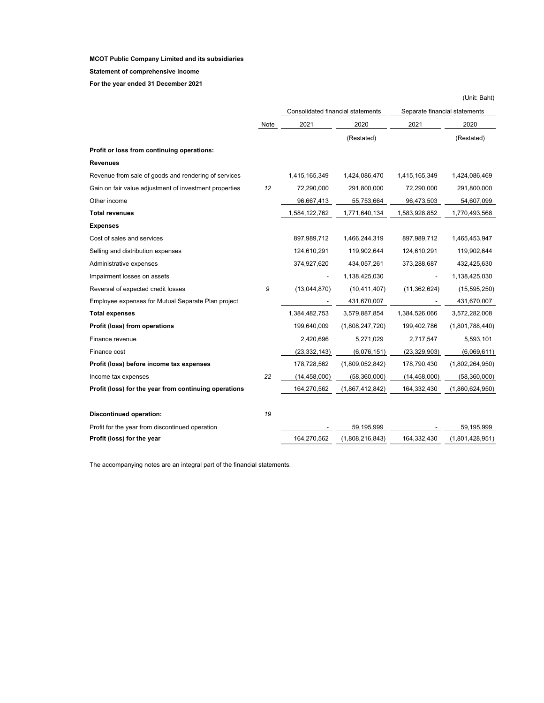#### **Statement of comprehensive income**

**For the year ended 31 December 2021**

|                                                        |      | Consolidated financial statements |                 | Separate financial statements |                 |  |
|--------------------------------------------------------|------|-----------------------------------|-----------------|-------------------------------|-----------------|--|
|                                                        | Note | 2021                              | 2020            | 2021                          | 2020            |  |
|                                                        |      |                                   | (Restated)      |                               | (Restated)      |  |
| Profit or loss from continuing operations:             |      |                                   |                 |                               |                 |  |
| <b>Revenues</b>                                        |      |                                   |                 |                               |                 |  |
| Revenue from sale of goods and rendering of services   |      | 1,415,165,349                     | 1,424,086,470   | 1,415,165,349                 | 1,424,086,469   |  |
| Gain on fair value adjustment of investment properties | 12   | 72,290,000                        | 291,800,000     | 72,290,000                    | 291,800,000     |  |
| Other income                                           |      | 96,667,413                        | 55,753,664      | 96,473,503                    | 54,607,099      |  |
| <b>Total revenues</b>                                  |      | 1,584,122,762                     | 1,771,640,134   | 1,583,928,852                 | 1,770,493,568   |  |
| <b>Expenses</b>                                        |      |                                   |                 |                               |                 |  |
| Cost of sales and services                             |      | 897,989,712                       | 1,466,244,319   | 897,989,712                   | 1,465,453,947   |  |
| Selling and distribution expenses                      |      | 124,610,291                       | 119,902,644     | 124,610,291                   | 119,902,644     |  |
| Administrative expenses                                |      | 374,927,620                       | 434,057,261     | 373,288,687                   | 432,425,630     |  |
| Impairment losses on assets                            |      |                                   | 1,138,425,030   |                               | 1,138,425,030   |  |
| Reversal of expected credit losses                     | 9    | (13,044,870)                      | (10, 411, 407)  | (11, 362, 624)                | (15, 595, 250)  |  |
| Employee expenses for Mutual Separate Plan project     |      |                                   | 431,670,007     |                               | 431,670,007     |  |
| <b>Total expenses</b>                                  |      | 1,384,482,753                     | 3,579,887,854   | 1,384,526,066                 | 3,572,282,008   |  |
| Profit (loss) from operations                          |      | 199,640,009                       | (1,808,247,720) | 199,402,786                   | (1,801,788,440) |  |
| Finance revenue                                        |      | 2,420,696                         | 5,271,029       | 2,717,547                     | 5,593,101       |  |
| Finance cost                                           |      | (23, 332, 143)                    | (6,076,151)     | (23, 329, 903)                | (6,069,611)     |  |
| Profit (loss) before income tax expenses               |      | 178,728,562                       | (1,809,052,842) | 178,790,430                   | (1,802,264,950) |  |
| Income tax expenses                                    | 22   | (14, 458, 000)                    | (58,360,000)    | (14, 458, 000)                | (58, 360, 000)  |  |
| Profit (loss) for the year from continuing operations  |      | 164,270,562                       | (1,867,412,842) | 164,332,430                   | (1,860,624,950) |  |
| <b>Discontinued operation:</b>                         | 19   |                                   |                 |                               |                 |  |
| Profit for the year from discontinued operation        |      |                                   | 59,195,999      |                               | 59,195,999      |  |
| Profit (loss) for the year                             |      | 164,270,562                       | (1,808,216,843) | 164,332,430                   | (1,801,428,951) |  |

(Unit: Baht)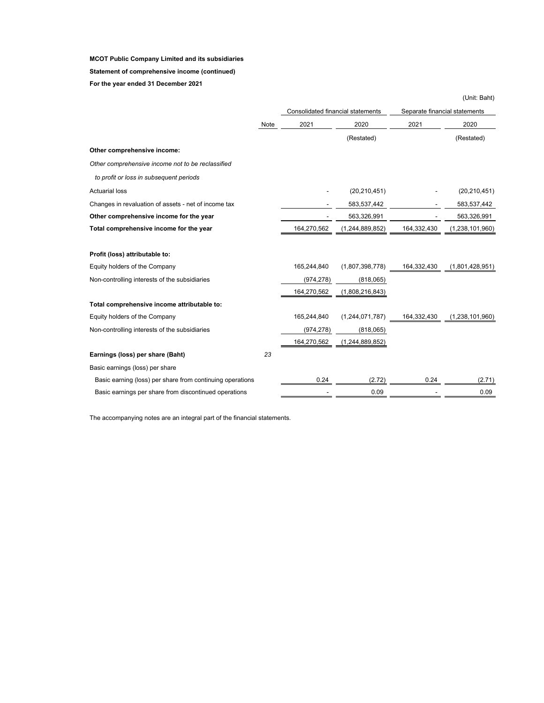#### **Statement of comprehensive income (continued)**

**For the year ended 31 December 2021**

|      |             |                    |                                   | (Unit: Baht)                  |
|------|-------------|--------------------|-----------------------------------|-------------------------------|
|      |             |                    |                                   | Separate financial statements |
| Note | 2021        | 2020               | 2021                              | 2020                          |
|      |             | (Restated)         |                                   | (Restated)                    |
|      |             |                    |                                   |                               |
|      |             |                    |                                   |                               |
|      |             |                    |                                   |                               |
|      |             | (20, 210, 451)     |                                   | (20, 210, 451)                |
|      |             | 583,537,442        |                                   | 583,537,442                   |
|      |             | 563,326,991        |                                   | 563,326,991                   |
|      | 164,270,562 | (1, 244, 889, 852) | 164,332,430                       | (1, 238, 101, 960)            |
|      |             |                    |                                   |                               |
|      | 165,244,840 | (1,807,398,778)    | 164,332,430                       | (1,801,428,951)               |
|      | (974, 278)  | (818,065)          |                                   |                               |
|      | 164,270,562 | (1,808,216,843)    |                                   |                               |
|      |             |                    |                                   |                               |
|      | 165,244,840 | (1,244,071,787)    | 164,332,430                       | (1,238,101,960)               |
|      | (974, 278)  | (818,065)          |                                   |                               |
|      | 164,270,562 | (1, 244, 889, 852) |                                   |                               |
| 23   |             |                    |                                   |                               |
|      |             |                    |                                   |                               |
|      | 0.24        | (2.72)             | 0.24                              | (2.71)                        |
|      |             | 0.09               |                                   | 0.09                          |
|      |             |                    | Consolidated financial statements |                               |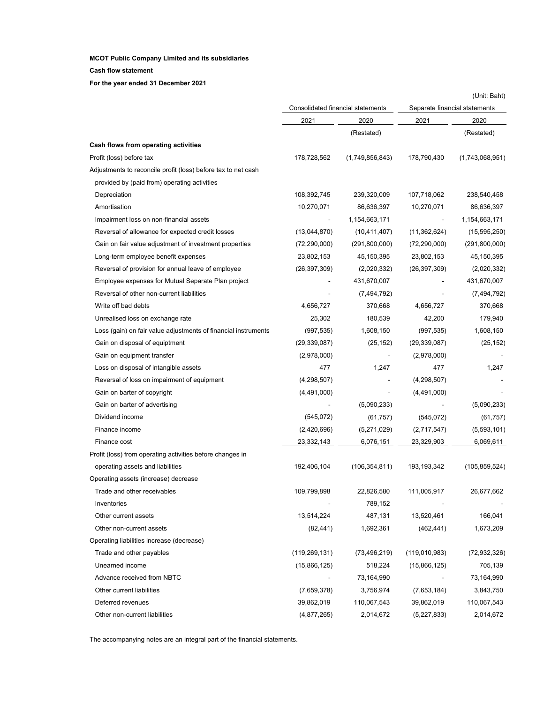#### **Cash flow statement**

**For the year ended 31 December 2021**

|                                                                |                 |                                   |                | (Unit: Baht)                  |  |
|----------------------------------------------------------------|-----------------|-----------------------------------|----------------|-------------------------------|--|
|                                                                |                 | Consolidated financial statements |                | Separate financial statements |  |
|                                                                | 2021            | 2020                              | 2021           | 2020                          |  |
|                                                                |                 | (Restated)                        |                | (Restated)                    |  |
| Cash flows from operating activities                           |                 |                                   |                |                               |  |
| Profit (loss) before tax                                       | 178,728,562     | (1,749,856,843)                   | 178,790,430    | (1,743,068,951)               |  |
| Adjustments to reconcile profit (loss) before tax to net cash  |                 |                                   |                |                               |  |
| provided by (paid from) operating activities                   |                 |                                   |                |                               |  |
| Depreciation                                                   | 108,392,745     | 239,320,009                       | 107,718,062    | 238,540,458                   |  |
| Amortisation                                                   | 10,270,071      | 86,636,397                        | 10,270,071     | 86,636,397                    |  |
| Impairment loss on non-financial assets                        |                 | 1,154,663,171                     |                | 1,154,663,171                 |  |
| Reversal of allowance for expected credit losses               | (13,044,870)    | (10, 411, 407)                    | (11,362,624)   | (15, 595, 250)                |  |
| Gain on fair value adjustment of investment properties         | (72, 290, 000)  | (291,800,000)                     | (72, 290, 000) | (291, 800, 000)               |  |
| Long-term employee benefit expenses                            | 23,802,153      | 45,150,395                        | 23,802,153     | 45,150,395                    |  |
| Reversal of provision for annual leave of employee             | (26, 397, 309)  | (2,020,332)                       | (26, 397, 309) | (2,020,332)                   |  |
| Employee expenses for Mutual Separate Plan project             |                 | 431,670,007                       |                | 431,670,007                   |  |
| Reversal of other non-current liabilities                      |                 | (7, 494, 792)                     |                | (7,494,792)                   |  |
| Write off bad debts                                            | 4,656,727       | 370,668                           | 4,656,727      | 370,668                       |  |
| Unrealised loss on exchange rate                               | 25,302          | 180,539                           | 42,200         | 179,940                       |  |
| Loss (gain) on fair value adjustments of financial instruments | (997, 535)      | 1,608,150                         | (997, 535)     | 1,608,150                     |  |
| Gain on disposal of equiptment                                 | (29, 339, 087)  | (25, 152)                         | (29, 339, 087) | (25, 152)                     |  |
| Gain on equipment transfer                                     | (2,978,000)     |                                   | (2,978,000)    |                               |  |
| Loss on disposal of intangible assets                          | 477             | 1,247                             | 477            | 1,247                         |  |
| Reversal of loss on impairment of equipment                    | (4,298,507)     |                                   | (4,298,507)    |                               |  |
| Gain on barter of copyright                                    | (4,491,000)     |                                   | (4,491,000)    |                               |  |
| Gain on barter of advertising                                  |                 | (5,090,233)                       |                | (5,090,233)                   |  |
| Dividend income                                                | (545,072)       | (61, 757)                         | (545, 072)     | (61, 757)                     |  |
| Finance income                                                 | (2,420,696)     | (5,271,029)                       | (2,717,547)    | (5,593,101)                   |  |
| Finance cost                                                   | 23,332,143      | 6,076,151                         | 23,329,903     | 6,069,611                     |  |
| Profit (loss) from operating activities before changes in      |                 |                                   |                |                               |  |
| operating assets and liabilities                               | 192,406,104     | (106, 354, 811)                   | 193,193,342    | (105, 859, 524)               |  |
| Operating assets (increase) decrease                           |                 |                                   |                |                               |  |
| Trade and other receivables                                    | 109,799,898     | 22,826,580                        | 111,005,917    | 26,677,662                    |  |
| Inventories                                                    |                 | 789,152                           |                |                               |  |
| Other current assets                                           | 13,514,224      | 487,131                           | 13,520,461     | 166,041                       |  |
| Other non-current assets                                       | (82, 441)       | 1,692,361                         | (462, 441)     | 1,673,209                     |  |
| Operating liabilities increase (decrease)                      |                 |                                   |                |                               |  |
| Trade and other payables                                       | (119, 269, 131) | (73, 496, 219)                    | (119,010,983)  | (72, 932, 326)                |  |
| Unearned income                                                | (15,866,125)    | 518,224                           | (15,866,125)   | 705,139                       |  |
| Advance received from NBTC                                     |                 | 73,164,990                        |                | 73,164,990                    |  |
| Other current liabilities                                      | (7,659,378)     | 3,756,974                         | (7,653,184)    | 3,843,750                     |  |
| Deferred revenues                                              | 39,862,019      | 110,067,543                       | 39,862,019     | 110,067,543                   |  |
| Other non-current liabilities                                  | (4,877,265)     | 2,014,672                         | (5,227,833)    | 2,014,672                     |  |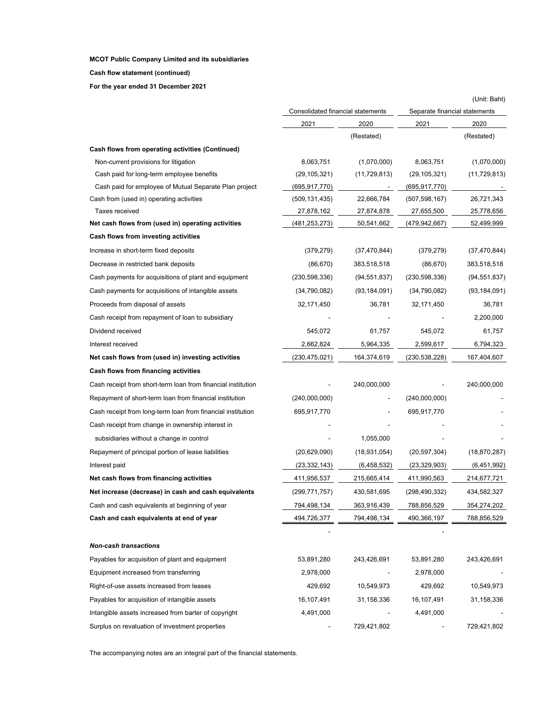#### **Cash flow statement (continued)**

#### **For the year ended 31 December 2021**

|                                                              |                 |                                   |                 | (Unit: Baht)                  |
|--------------------------------------------------------------|-----------------|-----------------------------------|-----------------|-------------------------------|
|                                                              |                 | Consolidated financial statements |                 | Separate financial statements |
|                                                              | 2021            | 2020                              | 2021            | 2020                          |
|                                                              |                 | (Restated)                        |                 | (Restated)                    |
| Cash flows from operating activities (Continued)             |                 |                                   |                 |                               |
| Non-current provisions for litigation                        | 8,063,751       | (1,070,000)                       | 8,063,751       | (1,070,000)                   |
| Cash paid for long-term employee benefits                    | (29, 105, 321)  | (11, 729, 813)                    | (29, 105, 321)  | (11, 729, 813)                |
| Cash paid for employee of Mutual Separate Plan project       | (695,917,770)   |                                   | (695,917,770)   |                               |
| Cash from (used in) operating activities                     | (509, 131, 435) | 22,666,784                        | (507, 598, 167) | 26,721,343                    |
| Taxes received                                               | 27,878,162      | 27,874,878                        | 27,655,500      | 25,778,656                    |
| Net cash flows from (used in) operating activities           | (481,253,273)   | 50,541,662                        | (479,942,667)   | 52,499,999                    |
| Cash flows from investing activities                         |                 |                                   |                 |                               |
| Increase in short-term fixed deposits                        | (379, 279)      | (37, 470, 844)                    | (379, 279)      | (37, 470, 844)                |
| Decrease in restricted bank deposits                         | (86, 670)       | 383,518,518                       | (86, 670)       | 383,518,518                   |
| Cash payments for acquisitions of plant and equipment        | (230, 598, 336) | (94, 551, 837)                    | (230, 598, 336) | (94, 551, 837)                |
| Cash payments for acquisitions of intangible assets          | (34,790,082)    | (93, 184, 091)                    | (34,790,082)    | (93, 184, 091)                |
| Proceeds from disposal of assets                             | 32,171,450      | 36,781                            | 32,171,450      | 36,781                        |
| Cash receipt from repayment of loan to subsidiary            |                 |                                   |                 | 2,200,000                     |
| Dividend received                                            | 545,072         | 61,757                            | 545,072         | 61,757                        |
| Interest received                                            | 2,662,824       | 5,964,335                         | 2,599,617       | 6,794,323                     |
| Net cash flows from (used in) investing activities           | (230,475,021)   | 164,374,619                       | (230,538,228)   | 167,404,607                   |
| Cash flows from financing activities                         |                 |                                   |                 |                               |
| Cash receipt from short-term loan from financial institution |                 | 240,000,000                       |                 | 240,000,000                   |
| Repayment of short-term loan from financial institution      | (240,000,000)   |                                   | (240,000,000)   |                               |
| Cash receipt from long-term loan from financial institution  | 695,917,770     |                                   | 695,917,770     |                               |
| Cash receipt from change in ownership interest in            |                 |                                   |                 |                               |
| subsidiaries without a change in control                     |                 | 1,055,000                         |                 |                               |
| Repayment of principal portion of lease liabilities          | (20,629,090)    | (18,931,054)                      | (20, 597, 304)  | (18, 870, 287)                |
| Interest paid                                                | (23, 332, 143)  | (6,458,532)                       | (23, 329, 903)  | (6,451,992)                   |
| Net cash flows from financing activities                     | 411,956,537     | 215,665,414                       | 411,990,563     | 214,677,721                   |
| Net increase (decrease) in cash and cash equivalents         | (299, 771, 757) | 430,581,695                       | (298, 490, 332) | 434,582,327                   |
| Cash and cash equivalents at beginning of year               | 794,498,134     | 363,916,439                       | 788,856,529     | 354,274,202                   |
| Cash and cash equivalents at end of year                     | 494,726,377     | 794,498,134                       | 490,366,197     | 788,856,529                   |
|                                                              |                 |                                   |                 |                               |
| Non-cash transactions                                        |                 |                                   |                 |                               |
| Payables for acquisition of plant and equipment              | 53,891,280      | 243,426,691                       | 53,891,280      | 243,426,691                   |
| Equipment increased from transferring                        | 2,978,000       |                                   | 2,978,000       |                               |
| Right-of-use assets increased from leases                    | 429,692         | 10,549,973                        | 429,692         | 10,549,973                    |
| Payables for acquisition of intangible assets                | 16,107,491      | 31,158,336                        | 16,107,491      | 31,158,336                    |
| Intangible assets increased from barter of copyright         | 4,491,000       |                                   | 4,491,000       |                               |
| Surplus on revaluation of investment properties              |                 | 729,421,802                       |                 | 729,421,802                   |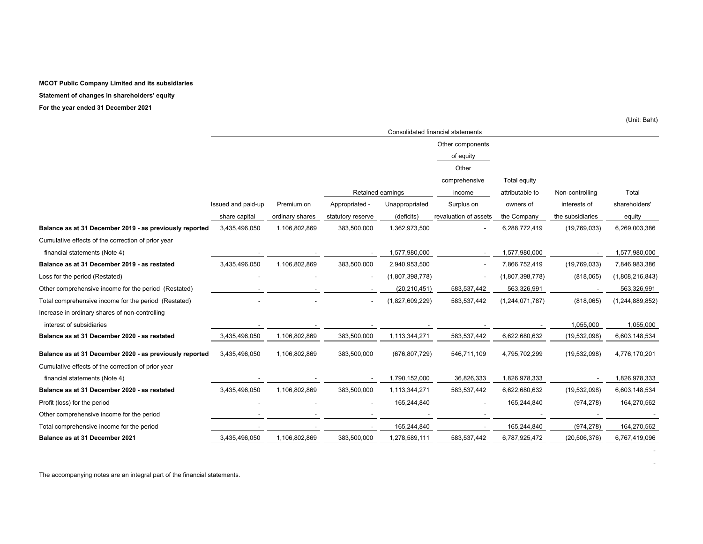#### **Statement of changes in shareholders' equity**

**For the year ended 31 December 2021**

|                                                         | Consolidated financial statements |                 |                   |                 |                       |                 |                  |                 |
|---------------------------------------------------------|-----------------------------------|-----------------|-------------------|-----------------|-----------------------|-----------------|------------------|-----------------|
|                                                         |                                   |                 |                   |                 | Other components      |                 |                  |                 |
|                                                         |                                   |                 |                   |                 | of equity             |                 |                  |                 |
|                                                         |                                   |                 |                   |                 | Other                 |                 |                  |                 |
|                                                         |                                   |                 |                   |                 | comprehensive         | Total equity    |                  |                 |
|                                                         |                                   |                 | Retained earnings |                 | income                | attributable to | Non-controlling  | Total           |
|                                                         | Issued and paid-up                | Premium on      | Appropriated -    | Unappropriated  | Surplus on            | owners of       | interests of     | shareholders'   |
|                                                         | share capital                     | ordinary shares | statutory reserve | (deficits)      | revaluation of assets | the Company     | the subsidiaries | equity          |
| Balance as at 31 December 2019 - as previously reported | 3,435,496,050                     | 1,106,802,869   | 383,500,000       | 1,362,973,500   |                       | 6,288,772,419   | (19,769,033)     | 6,269,003,386   |
| Cumulative effects of the correction of prior year      |                                   |                 |                   |                 |                       |                 |                  |                 |
| financial statements (Note 4)                           |                                   |                 |                   | 1,577,980,000   |                       | 1,577,980,000   |                  | 1,577,980,000   |
| Balance as at 31 December 2019 - as restated            | 3,435,496,050                     | 1,106,802,869   | 383,500,000       | 2,940,953,500   |                       | 7,866,752,419   | (19,769,033)     | 7,846,983,386   |
| Loss for the period (Restated)                          |                                   |                 |                   | (1,807,398,778) |                       | (1,807,398,778) | (818,065)        | (1,808,216,843) |
| Other comprehensive income for the period (Restated)    |                                   |                 |                   | (20, 210, 451)  | 583,537,442           | 563,326,991     |                  | 563,326,991     |
| Total comprehensive income for the period (Restated)    |                                   |                 |                   | (1,827,609,229) | 583,537,442           | (1,244,071,787) | (818,065)        | (1,244,889,852) |
| Increase in ordinary shares of non-controlling          |                                   |                 |                   |                 |                       |                 |                  |                 |
| interest of subsidiaries                                |                                   |                 |                   |                 |                       |                 | 1,055,000        | 1,055,000       |
| Balance as at 31 December 2020 - as restated            | 3,435,496,050                     | 1,106,802,869   | 383,500,000       | 1,113,344,271   | 583,537,442           | 6,622,680,632   | (19, 532, 098)   | 6,603,148,534   |
| Balance as at 31 December 2020 - as previously reported | 3,435,496,050                     | 1,106,802,869   | 383,500,000       | (676, 807, 729) | 546,711,109           | 4,795,702,299   | (19, 532, 098)   | 4,776,170,201   |
| Cumulative effects of the correction of prior year      |                                   |                 |                   |                 |                       |                 |                  |                 |
| financial statements (Note 4)                           |                                   |                 |                   | 1,790,152,000   | 36,826,333            | 1,826,978,333   |                  | 1,826,978,333   |
| Balance as at 31 December 2020 - as restated            | 3,435,496,050                     | 1,106,802,869   | 383,500,000       | 1,113,344,271   | 583,537,442           | 6,622,680,632   | (19, 532, 098)   | 6,603,148,534   |
| Profit (loss) for the period                            |                                   |                 |                   | 165,244,840     |                       | 165,244,840     | (974, 278)       | 164,270,562     |
| Other comprehensive income for the period               |                                   |                 |                   |                 |                       |                 |                  |                 |
| Total comprehensive income for the period               |                                   |                 |                   | 165,244,840     |                       | 165,244,840     | (974, 278)       | 164,270,562     |
| Balance as at 31 December 2021                          | 3,435,496,050                     | 1,106,802,869   | 383,500,000       | 1,278,589,111   | 583,537,442           | 6,787,925,472   | (20, 506, 376)   | 6,767,419,096   |

The accompanying notes are an integral part of the financial statements.

(Unit: Baht)

--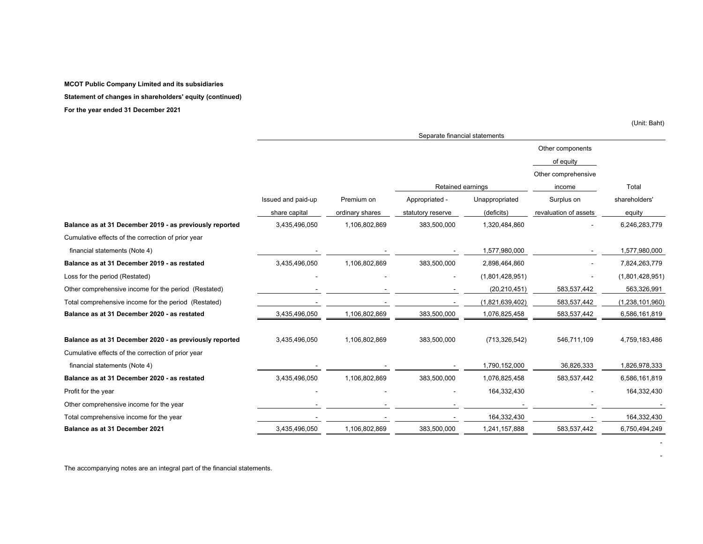**Statement of changes in shareholders' equity (continued)**

**For the year ended 31 December 2021**

|                                                         |                    |                 |                               |                 |                       | $\overline{a}$  |
|---------------------------------------------------------|--------------------|-----------------|-------------------------------|-----------------|-----------------------|-----------------|
|                                                         |                    |                 | Separate financial statements |                 |                       |                 |
|                                                         |                    |                 |                               |                 | Other components      |                 |
|                                                         |                    |                 |                               |                 | of equity             |                 |
|                                                         |                    |                 |                               |                 | Other comprehensive   |                 |
|                                                         |                    |                 | Retained earnings             |                 | income                | Total           |
|                                                         | Issued and paid-up | Premium on      | Appropriated -                | Unappropriated  | Surplus on            | shareholders'   |
|                                                         | share capital      | ordinary shares | statutory reserve             | (deficits)      | revaluation of assets | equity          |
| Balance as at 31 December 2019 - as previously reported | 3,435,496,050      | 1,106,802,869   | 383,500,000                   | 1,320,484,860   |                       | 6,246,283,779   |
| Cumulative effects of the correction of prior year      |                    |                 |                               |                 |                       |                 |
| financial statements (Note 4)                           |                    |                 |                               | 1,577,980,000   |                       | 1,577,980,000   |
| Balance as at 31 December 2019 - as restated            | 3,435,496,050      | 1,106,802,869   | 383,500,000                   | 2,898,464,860   |                       | 7,824,263,779   |
| Loss for the period (Restated)                          |                    |                 |                               | (1,801,428,951) |                       | (1,801,428,951) |
| Other comprehensive income for the period (Restated)    |                    |                 |                               | (20, 210, 451)  | 583,537,442           | 563,326,991     |
| Total comprehensive income for the period (Restated)    |                    |                 |                               | (1,821,639,402) | 583,537,442           | (1,238,101,960) |
| Balance as at 31 December 2020 - as restated            | 3,435,496,050      | 1,106,802,869   | 383,500,000                   | 1,076,825,458   | 583,537,442           | 6,586,161,819   |
| Balance as at 31 December 2020 - as previously reported | 3,435,496,050      | 1,106,802,869   | 383,500,000                   | (713, 326, 542) | 546,711,109           | 4,759,183,486   |
| Cumulative effects of the correction of prior year      |                    |                 |                               |                 |                       |                 |
| financial statements (Note 4)                           |                    |                 |                               | 1,790,152,000   | 36,826,333            | 1,826,978,333   |
| Balance as at 31 December 2020 - as restated            | 3,435,496,050      | 1,106,802,869   | 383,500,000                   | 1,076,825,458   | 583,537,442           | 6,586,161,819   |
| Profit for the year                                     |                    |                 |                               | 164,332,430     |                       | 164,332,430     |
| Other comprehensive income for the year                 |                    |                 |                               |                 |                       |                 |
| Total comprehensive income for the year                 |                    |                 |                               | 164,332,430     |                       | 164,332,430     |
| Balance as at 31 December 2021                          | 3,435,496,050      | 1,106,802,869   | 383,500,000                   | 1,241,157,888   | 583,537,442           | 6,750,494,249   |

The accompanying notes are an integral part of the financial statements.

(Unit: Baht)

--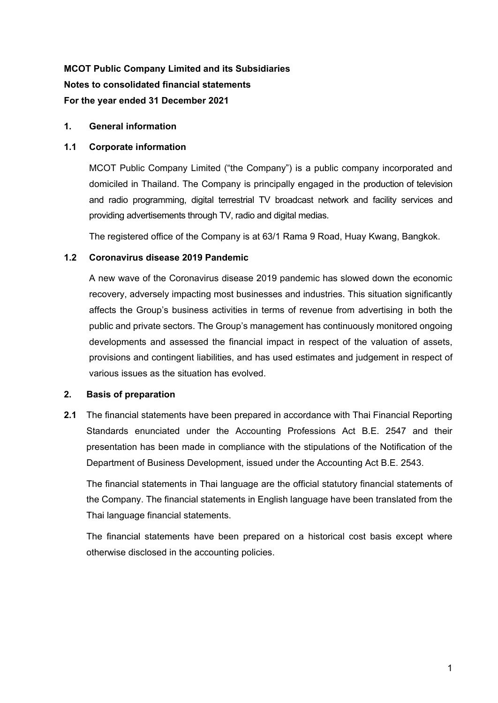# **MCOT Public Company Limited and its Subsidiaries Notes to consolidated financial statements For the year ended 31 December 2021**

### **1. General information**

#### **1.1 Corporate information**

MCOT Public Company Limited ("the Company") is a public company incorporated and domiciled in Thailand. The Company is principally engaged in the production of television and radio programming, digital terrestrial TV broadcast network and facility services and providing advertisements through TV, radio and digital medias.

The registered office of the Company is at 63/1 Rama 9 Road, Huay Kwang, Bangkok.

### **1.2 Coronavirus disease 2019 Pandemic**

A new wave of the Coronavirus disease 2019 pandemic has slowed down the economic recovery, adversely impacting most businesses and industries. This situation significantly affects the Group's business activities in terms of revenue from advertising in both the public and private sectors. The Group's management has continuously monitored ongoing developments and assessed the financial impact in respect of the valuation of assets, provisions and contingent liabilities, and has used estimates and judgement in respect of various issues as the situation has evolved.

#### **2. Basis of preparation**

**2.1** The financial statements have been prepared in accordance with Thai Financial Reporting Standards enunciated under the Accounting Professions Act B.E. 2547 and their presentation has been made in compliance with the stipulations of the Notification of the Department of Business Development, issued under the Accounting Act B.E. 2543.

The financial statements in Thai language are the official statutory financial statements of the Company. The financial statements in English language have been translated from the Thai language financial statements.

The financial statements have been prepared on a historical cost basis except where otherwise disclosed in the accounting policies.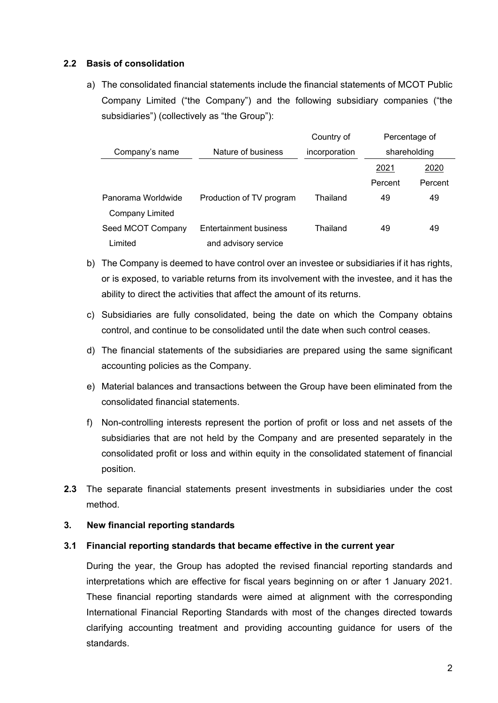#### **2.2 Basis of consolidation**

a) The consolidated financial statements include the financial statements of MCOT Public Company Limited ("the Company") and the following subsidiary companies ("the subsidiaries") (collectively as "the Group"):

|                        |                          | Country of    | Percentage of |         |
|------------------------|--------------------------|---------------|---------------|---------|
| Company's name         | Nature of business       | incorporation | shareholding  |         |
|                        |                          |               | 2021          | 2020    |
|                        |                          |               | Percent       | Percent |
| Panorama Worldwide     | Production of TV program | Thailand      | 49            | 49      |
| <b>Company Limited</b> |                          |               |               |         |
| Seed MCOT Company      | Entertainment business   | Thailand      | 49            | 49      |
| Limited                | and advisory service     |               |               |         |

- b) The Company is deemed to have control over an investee or subsidiaries if it has rights, or is exposed, to variable returns from its involvement with the investee, and it has the ability to direct the activities that affect the amount of its returns.
- c) Subsidiaries are fully consolidated, being the date on which the Company obtains control, and continue to be consolidated until the date when such control ceases.
- d) The financial statements of the subsidiaries are prepared using the same significant accounting policies as the Company.
- e) Material balances and transactions between the Group have been eliminated from the consolidated financial statements.
- f) Non-controlling interests represent the portion of profit or loss and net assets of the subsidiaries that are not held by the Company and are presented separately in the consolidated profit or loss and within equity in the consolidated statement of financial position.
- **2.3** The separate financial statements present investments in subsidiaries under the cost method.

#### **3. New financial reporting standards**

#### **3.1 Financial reporting standards that became effective in the current year**

During the year, the Group has adopted the revised financial reporting standards and interpretations which are effective for fiscal years beginning on or after 1 January 2021. These financial reporting standards were aimed at alignment with the corresponding International Financial Reporting Standards with most of the changes directed towards clarifying accounting treatment and providing accounting guidance for users of the standards.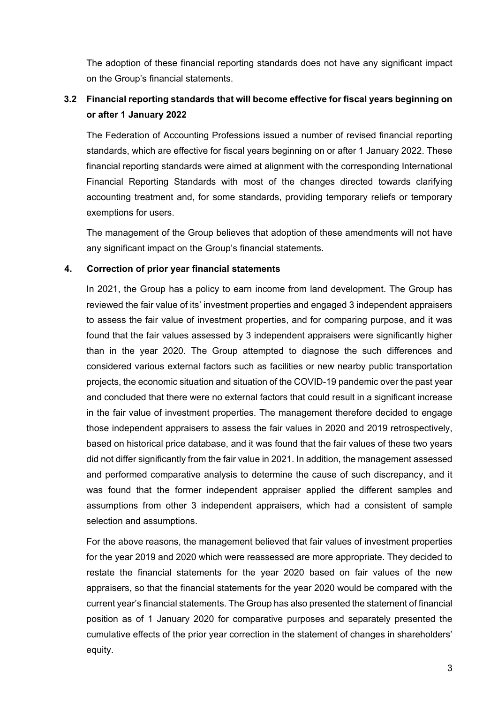The adoption of these financial reporting standards does not have any significant impact on the Group's financial statements.

# **3.2 Financial reporting standards that will become effective for fiscal years beginning on or after 1 January 2022**

The Federation of Accounting Professions issued a number of revised financial reporting standards, which are effective for fiscal years beginning on or after 1 January 2022. These financial reporting standards were aimed at alignment with the corresponding International Financial Reporting Standards with most of the changes directed towards clarifying accounting treatment and, for some standards, providing temporary reliefs or temporary exemptions for users.

The management of the Group believes that adoption of these amendments will not have any significant impact on the Group's financial statements.

### **4. Correction of prior year financial statements**

In 2021, the Group has a policy to earn income from land development. The Group has reviewed the fair value of its' investment properties and engaged 3 independent appraisers to assess the fair value of investment properties, and for comparing purpose, and it was found that the fair values assessed by 3 independent appraisers were significantly higher than in the year 2020. The Group attempted to diagnose the such differences and considered various external factors such as facilities or new nearby public transportation projects, the economic situation and situation of the COVID-19 pandemic over the past year and concluded that there were no external factors that could result in a significant increase in the fair value of investment properties. The management therefore decided to engage those independent appraisers to assess the fair values in 2020 and 2019 retrospectively, based on historical price database, and it was found that the fair values of these two years did not differ significantly from the fair value in 2021. In addition, the management assessed and performed comparative analysis to determine the cause of such discrepancy, and it was found that the former independent appraiser applied the different samples and assumptions from other 3 independent appraisers, which had a consistent of sample selection and assumptions.

For the above reasons, the management believed that fair values of investment properties for the year 2019 and 2020 which were reassessed are more appropriate. They decided to restate the financial statements for the year 2020 based on fair values of the new appraisers, so that the financial statements for the year 2020 would be compared with the current year's financial statements. The Group has also presented the statement of financial position as of 1 January 2020 for comparative purposes and separately presented the cumulative effects of the prior year correction in the statement of changes in shareholders' equity.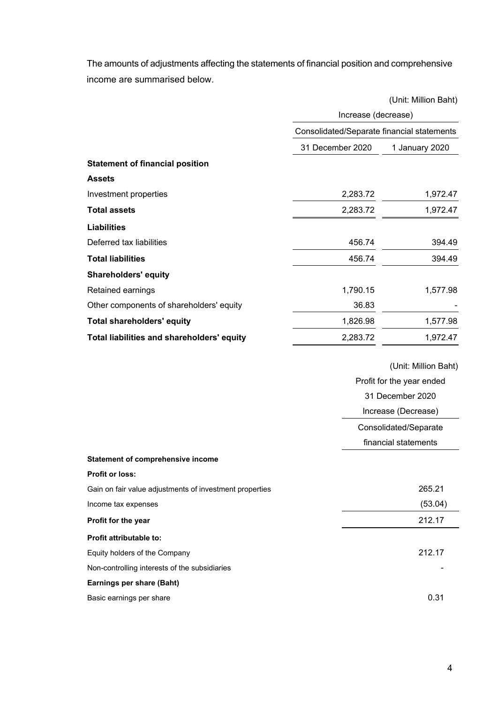The amounts of adjustments affecting the statements of financial position and comprehensive income are summarised below.

|                                            |                  | (Unit: Million Baht)                       |  |  |
|--------------------------------------------|------------------|--------------------------------------------|--|--|
|                                            |                  | Increase (decrease)                        |  |  |
|                                            |                  | Consolidated/Separate financial statements |  |  |
|                                            | 31 December 2020 | 1 January 2020                             |  |  |
| <b>Statement of financial position</b>     |                  |                                            |  |  |
| <b>Assets</b>                              |                  |                                            |  |  |
| Investment properties                      | 2,283.72         | 1,972.47                                   |  |  |
| <b>Total assets</b>                        | 2,283.72         | 1,972.47                                   |  |  |
| <b>Liabilities</b>                         |                  |                                            |  |  |
| Deferred tax liabilities                   | 456.74           | 394.49                                     |  |  |
| <b>Total liabilities</b>                   | 456.74           | 394.49                                     |  |  |
| <b>Shareholders' equity</b>                |                  |                                            |  |  |
| Retained earnings                          | 1,790.15         | 1,577.98                                   |  |  |
| Other components of shareholders' equity   | 36.83            |                                            |  |  |
| <b>Total shareholders' equity</b>          | 1,826.98         | 1,577.98                                   |  |  |
| Total liabilities and shareholders' equity | 2,283.72         | 1,972.47                                   |  |  |
|                                            |                  | (Unit: Million Baht)                       |  |  |
|                                            |                  | Profit for the year ended                  |  |  |

| <b>Statement of comprehensive income</b> |                       |
|------------------------------------------|-----------------------|
|                                          | financial statements  |
|                                          | Consolidated/Separate |
|                                          | Increase (Decrease)   |
|                                          | 31 December 2020      |

| <b>Profit or loss:</b>                                  |         |
|---------------------------------------------------------|---------|
| Gain on fair value adjustments of investment properties | 265.21  |
| Income tax expenses                                     | (53.04) |
| <b>Profit for the year</b>                              | 212.17  |
| <b>Profit attributable to:</b>                          |         |
| Equity holders of the Company                           | 212.17  |
| Non-controlling interests of the subsidiaries           |         |
| Earnings per share (Baht)                               |         |
| Basic earnings per share                                | 0.31    |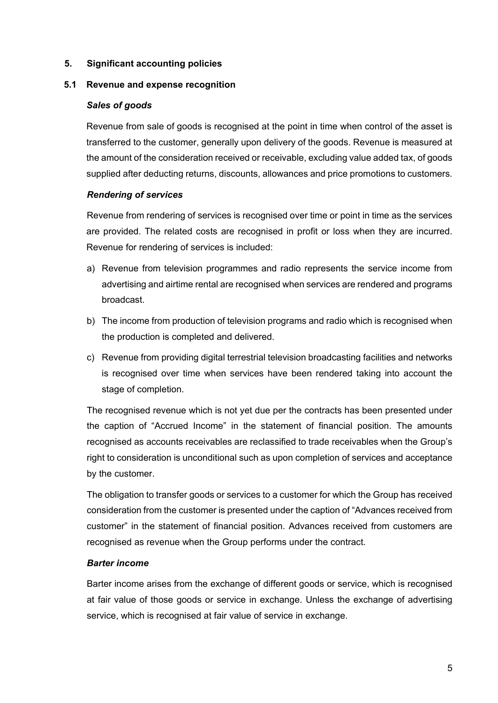### **5. Significant accounting policies**

#### **5.1 Revenue and expense recognition**

#### *Sales of goods*

Revenue from sale of goods is recognised at the point in time when control of the asset is transferred to the customer, generally upon delivery of the goods. Revenue is measured at the amount of the consideration received or receivable, excluding value added tax, of goods supplied after deducting returns, discounts, allowances and price promotions to customers.

#### *Rendering of services*

Revenue from rendering of services is recognised over time or point in time as the services are provided. The related costs are recognised in profit or loss when they are incurred. Revenue for rendering of services is included:

- a) Revenue from television programmes and radio represents the service income from advertising and airtime rental are recognised when services are rendered and programs broadcast.
- b) The income from production of television programs and radio which is recognised when the production is completed and delivered.
- c) Revenue from providing digital terrestrial television broadcasting facilities and networks is recognised over time when services have been rendered taking into account the stage of completion.

The recognised revenue which is not yet due per the contracts has been presented under the caption of "Accrued Income" in the statement of financial position. The amounts recognised as accounts receivables are reclassified to trade receivables when the Group's right to consideration is unconditional such as upon completion of services and acceptance by the customer.

The obligation to transfer goods or services to a customer for which the Group has received consideration from the customer is presented under the caption of "Advances received from customer" in the statement of financial position. Advances received from customers are recognised as revenue when the Group performs under the contract.

#### *Barter income*

Barter income arises from the exchange of different goods or service, which is recognised at fair value of those goods or service in exchange. Unless the exchange of advertising service, which is recognised at fair value of service in exchange.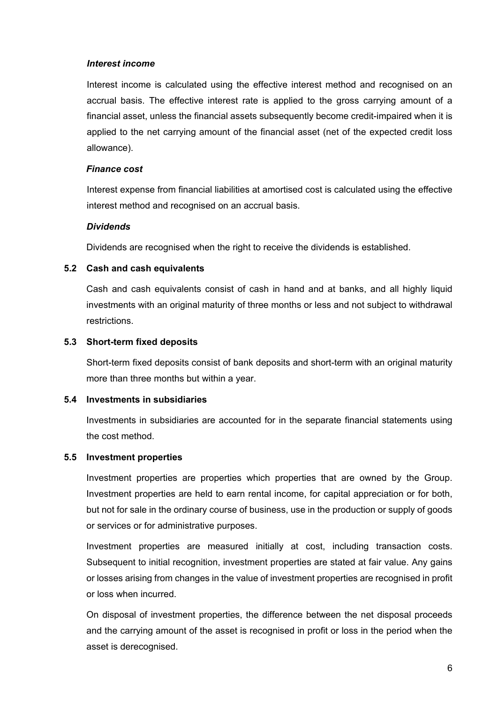#### *Interest income*

Interest income is calculated using the effective interest method and recognised on an accrual basis. The effective interest rate is applied to the gross carrying amount of a financial asset, unless the financial assets subsequently become credit-impaired when it is applied to the net carrying amount of the financial asset (net of the expected credit loss allowance).

#### *Finance cost*

Interest expense from financial liabilities at amortised cost is calculated using the effective interest method and recognised on an accrual basis.

#### *Dividends*

Dividends are recognised when the right to receive the dividends is established.

#### **5.2 Cash and cash equivalents**

Cash and cash equivalents consist of cash in hand and at banks, and all highly liquid investments with an original maturity of three months or less and not subject to withdrawal restrictions.

#### **5.3 Short-term fixed deposits**

Short-term fixed deposits consist of bank deposits and short-term with an original maturity more than three months but within a year.

#### **5.4 Investments in subsidiaries**

Investments in subsidiaries are accounted for in the separate financial statements using the cost method.

#### **5.5 Investment properties**

Investment properties are properties which properties that are owned by the Group. Investment properties are held to earn rental income, for capital appreciation or for both, but not for sale in the ordinary course of business, use in the production or supply of goods or services or for administrative purposes.

Investment properties are measured initially at cost, including transaction costs. Subsequent to initial recognition, investment properties are stated at fair value. Any gains or losses arising from changes in the value of investment properties are recognised in profit or loss when incurred.

On disposal of investment properties, the difference between the net disposal proceeds and the carrying amount of the asset is recognised in profit or loss in the period when the asset is derecognised.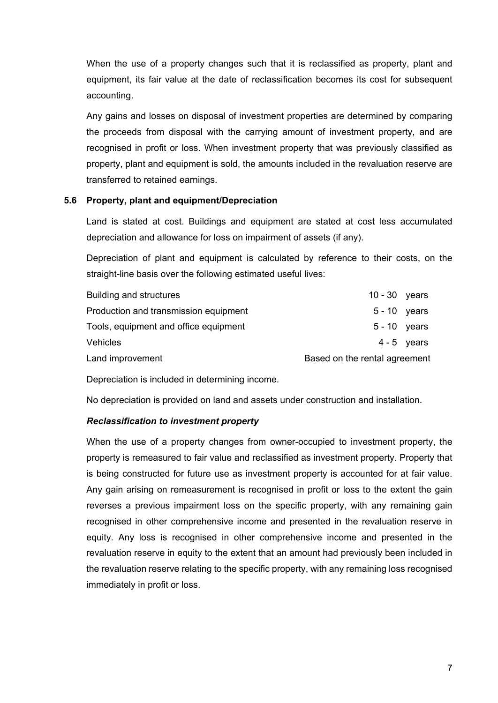When the use of a property changes such that it is reclassified as property, plant and equipment, its fair value at the date of reclassification becomes its cost for subsequent accounting.

Any gains and losses on disposal of investment properties are determined by comparing the proceeds from disposal with the carrying amount of investment property, and are recognised in profit or loss. When investment property that was previously classified as property, plant and equipment is sold, the amounts included in the revaluation reserve are transferred to retained earnings.

#### **5.6 Property, plant and equipment/Depreciation**

Land is stated at cost. Buildings and equipment are stated at cost less accumulated depreciation and allowance for loss on impairment of assets (if any).

Depreciation of plant and equipment is calculated by reference to their costs, on the straight-line basis over the following estimated useful lives:

| Building and structures               | 10 - 30 $\sqrt{2}$ years      |             |
|---------------------------------------|-------------------------------|-------------|
| Production and transmission equipment | $5 - 10$ years                |             |
| Tools, equipment and office equipment | $5 - 10$ years                |             |
| Vehicles                              |                               | 4 - 5 years |
| Land improvement                      | Based on the rental agreement |             |

Depreciation is included in determining income.

No depreciation is provided on land and assets under construction and installation.

# *Reclassification to investment property*

When the use of a property changes from owner-occupied to investment property, the property is remeasured to fair value and reclassified as investment property. Property that is being constructed for future use as investment property is accounted for at fair value. Any gain arising on remeasurement is recognised in profit or loss to the extent the gain reverses a previous impairment loss on the specific property, with any remaining gain recognised in other comprehensive income and presented in the revaluation reserve in equity. Any loss is recognised in other comprehensive income and presented in the revaluation reserve in equity to the extent that an amount had previously been included in the revaluation reserve relating to the specific property, with any remaining loss recognised immediately in profit or loss.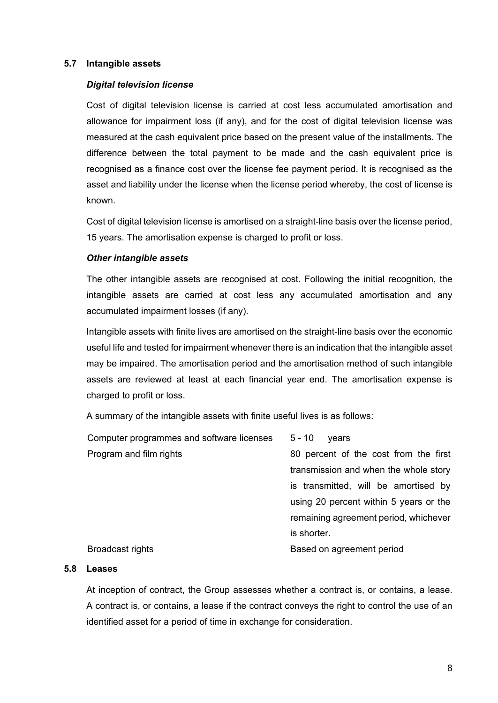#### **5.7 Intangible assets**

#### *Digital television license*

Cost of digital television license is carried at cost less accumulated amortisation and allowance for impairment loss (if any), and for the cost of digital television license was measured at the cash equivalent price based on the present value of the installments. The difference between the total payment to be made and the cash equivalent price is recognised as a finance cost over the license fee payment period. It is recognised as the asset and liability under the license when the license period whereby, the cost of license is known.

Cost of digital television license is amortised on a straight-line basis over the license period, 15 years. The amortisation expense is charged to profit or loss.

#### *Other intangible assets*

The other intangible assets are recognised at cost. Following the initial recognition, the intangible assets are carried at cost less any accumulated amortisation and any accumulated impairment losses (if any).

Intangible assets with finite lives are amortised on the straight-line basis over the economic useful life and tested for impairment whenever there is an indication that the intangible asset may be impaired. The amortisation period and the amortisation method of such intangible assets are reviewed at least at each financial year end. The amortisation expense is charged to profit or loss.

A summary of the intangible assets with finite useful lives is as follows:

| Computer programmes and software licenses | $5 - 10$<br>years                      |
|-------------------------------------------|----------------------------------------|
| Program and film rights                   | 80 percent of the cost from the first  |
|                                           | transmission and when the whole story  |
|                                           | is transmitted, will be amortised by   |
|                                           | using 20 percent within 5 years or the |
|                                           | remaining agreement period, whichever  |
|                                           | is shorter.                            |
| Broadcast rights                          | Based on agreement period              |
|                                           |                                        |

#### **5.8 Leases**

At inception of contract, the Group assesses whether a contract is, or contains, a lease. A contract is, or contains, a lease if the contract conveys the right to control the use of an identified asset for a period of time in exchange for consideration.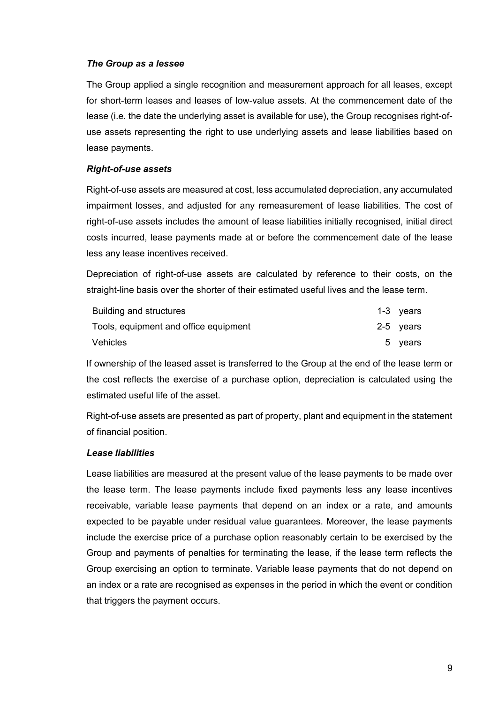#### *The Group as a lessee*

The Group applied a single recognition and measurement approach for all leases, except for short-term leases and leases of low-value assets. At the commencement date of the lease (i.e. the date the underlying asset is available for use), the Group recognises right-ofuse assets representing the right to use underlying assets and lease liabilities based on lease payments.

### *Right-of-use assets*

Right-of-use assets are measured at cost, less accumulated depreciation, any accumulated impairment losses, and adjusted for any remeasurement of lease liabilities. The cost of right-of-use assets includes the amount of lease liabilities initially recognised, initial direct costs incurred, lease payments made at or before the commencement date of the lease less any lease incentives received.

Depreciation of right-of-use assets are calculated by reference to their costs, on the straight-line basis over the shorter of their estimated useful lives and the lease term.

| Building and structures               | 1-3 years |
|---------------------------------------|-----------|
| Tools, equipment and office equipment | 2-5 years |
| Vehicles                              | 5 years   |

If ownership of the leased asset is transferred to the Group at the end of the lease term or the cost reflects the exercise of a purchase option, depreciation is calculated using the estimated useful life of the asset.

Right-of-use assets are presented as part of property, plant and equipment in the statement of financial position.

#### *Lease liabilities*

Lease liabilities are measured at the present value of the lease payments to be made over the lease term. The lease payments include fixed payments less any lease incentives receivable, variable lease payments that depend on an index or a rate, and amounts expected to be payable under residual value guarantees. Moreover, the lease payments include the exercise price of a purchase option reasonably certain to be exercised by the Group and payments of penalties for terminating the lease, if the lease term reflects the Group exercising an option to terminate. Variable lease payments that do not depend on an index or a rate are recognised as expenses in the period in which the event or condition that triggers the payment occurs.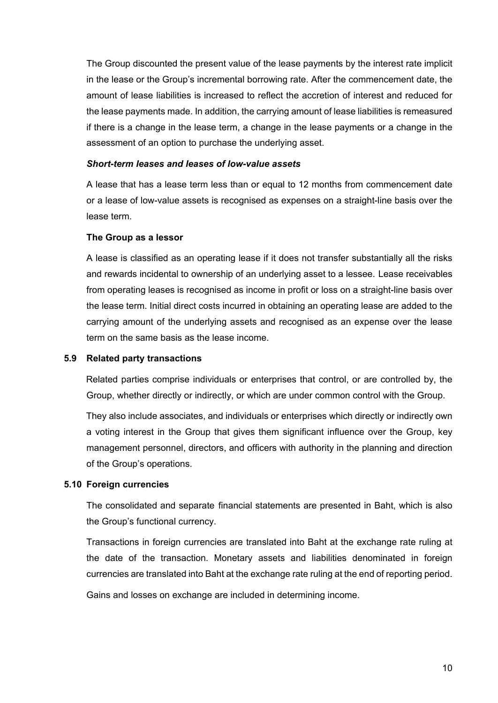The Group discounted the present value of the lease payments by the interest rate implicit in the lease or the Group's incremental borrowing rate. After the commencement date, the amount of lease liabilities is increased to reflect the accretion of interest and reduced for the lease payments made. In addition, the carrying amount of lease liabilities is remeasured if there is a change in the lease term, a change in the lease payments or a change in the assessment of an option to purchase the underlying asset.

#### *Short-term leases and leases of low-value assets*

A lease that has a lease term less than or equal to 12 months from commencement date or a lease of low-value assets is recognised as expenses on a straight-line basis over the lease term.

#### **The Group as a lessor**

A lease is classified as an operating lease if it does not transfer substantially all the risks and rewards incidental to ownership of an underlying asset to a lessee. Lease receivables from operating leases is recognised as income in profit or loss on a straight-line basis over the lease term. Initial direct costs incurred in obtaining an operating lease are added to the carrying amount of the underlying assets and recognised as an expense over the lease term on the same basis as the lease income.

#### **5.9 Related party transactions**

Related parties comprise individuals or enterprises that control, or are controlled by, the Group, whether directly or indirectly, or which are under common control with the Group.

They also include associates, and individuals or enterprises which directly or indirectly own a voting interest in the Group that gives them significant influence over the Group, key management personnel, directors, and officers with authority in the planning and direction of the Group's operations.

#### **5.10 Foreign currencies**

The consolidated and separate financial statements are presented in Baht, which is also the Group's functional currency.

Transactions in foreign currencies are translated into Baht at the exchange rate ruling at the date of the transaction. Monetary assets and liabilities denominated in foreign currencies are translated into Baht at the exchange rate ruling at the end of reporting period.

Gains and losses on exchange are included in determining income.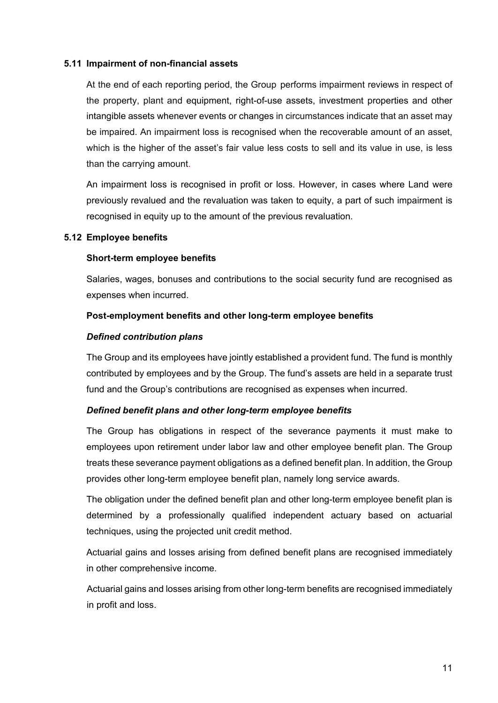#### **5.11 Impairment of non-financial assets**

At the end of each reporting period, the Group performs impairment reviews in respect of the property, plant and equipment, right-of-use assets, investment properties and other intangible assets whenever events or changes in circumstances indicate that an asset may be impaired. An impairment loss is recognised when the recoverable amount of an asset, which is the higher of the asset's fair value less costs to sell and its value in use, is less than the carrying amount.

An impairment loss is recognised in profit or loss. However, in cases where Land were previously revalued and the revaluation was taken to equity, a part of such impairment is recognised in equity up to the amount of the previous revaluation.

#### **5.12 Employee benefits**

#### **Short-term employee benefits**

Salaries, wages, bonuses and contributions to the social security fund are recognised as expenses when incurred.

#### **Post-employment benefits and other long-term employee benefits**

#### *Defined contribution plans*

The Group and its employees have jointly established a provident fund. The fund is monthly contributed by employees and by the Group. The fund's assets are held in a separate trust fund and the Group's contributions are recognised as expenses when incurred.

#### *Defined benefit plans and other long-term employee benefits*

The Group has obligations in respect of the severance payments it must make to employees upon retirement under labor law and other employee benefit plan. The Group treats these severance payment obligations as a defined benefit plan. In addition, the Group provides other long-term employee benefit plan, namely long service awards.

The obligation under the defined benefit plan and other long-term employee benefit plan is determined by a professionally qualified independent actuary based on actuarial techniques, using the projected unit credit method.

Actuarial gains and losses arising from defined benefit plans are recognised immediately in other comprehensive income.

Actuarial gains and losses arising from other long-term benefits are recognised immediately in profit and loss.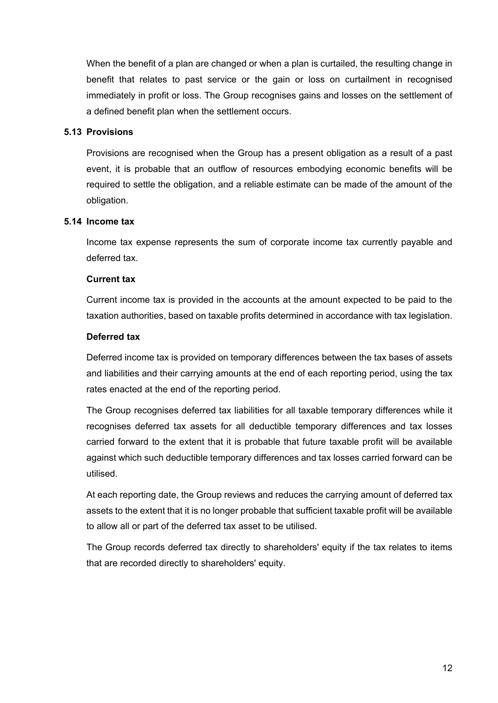When the benefit of a plan are changed or when a plan is curtailed, the resulting change in benefit that relates to past service or the gain or loss on curtailment in recognised immediately in profit or loss. The Group recognises gains and losses on the settlement of a defined benefit plan when the settlement occurs.

#### **5.13 Provisions**

Provisions are recognised when the Group has a present obligation as a result of a past event, it is probable that an outflow of resources embodying economic benefits will be required to settle the obligation, and a reliable estimate can be made of the amount of the obligation.

#### **5.14 Income tax**

Income tax expense represents the sum of corporate income tax currently payable and deferred tax.

#### **Current tax**

Current income tax is provided in the accounts at the amount expected to be paid to the taxation authorities, based on taxable profits determined in accordance with tax legislation.

#### **Deferred tax**

Deferred income tax is provided on temporary differences between the tax bases of assets and liabilities and their carrying amounts at the end of each reporting period, using the tax rates enacted at the end of the reporting period.

The Group recognises deferred tax liabilities for all taxable temporary differences while it recognises deferred tax assets for all deductible temporary differences and tax losses carried forward to the extent that it is probable that future taxable profit will be available against which such deductible temporary differences and tax losses carried forward can be utilised.

At each reporting date, the Group reviews and reduces the carrying amount of deferred tax assets to the extent that it is no longer probable that sufficient taxable profit will be available to allow all or part of the deferred tax asset to be utilised.

The Group records deferred tax directly to shareholders' equity if the tax relates to items that are recorded directly to shareholders' equity.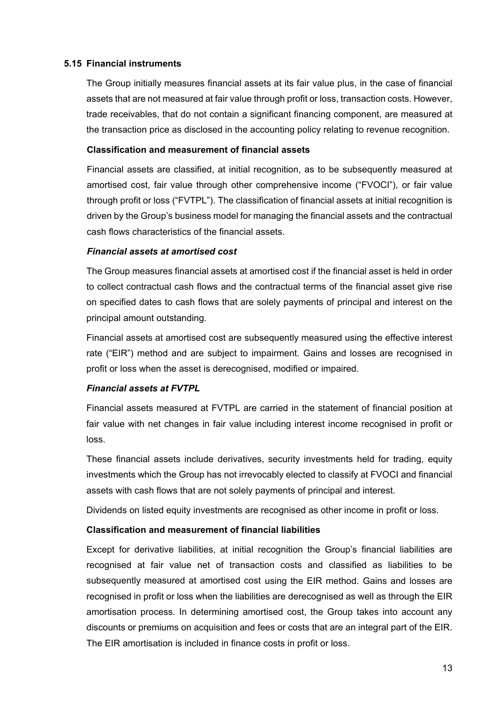### **5.15 Financial instruments**

The Group initially measures financial assets at its fair value plus, in the case of financial assets that are not measured at fair value through profit or loss, transaction costs. However, trade receivables, that do not contain a significant financing component, are measured at the transaction price as disclosed in the accounting policy relating to revenue recognition.

#### **Classification and measurement of financial assets**

Financial assets are classified, at initial recognition, as to be subsequently measured at amortised cost, fair value through other comprehensive income ("FVOCI"), or fair value through profit or loss ("FVTPL"). The classification of financial assets at initial recognition is driven by the Group's business model for managing the financial assets and the contractual cash flows characteristics of the financial assets.

#### *Financial assets at amortised cost*

The Group measures financial assets at amortised cost if the financial asset is held in order to collect contractual cash flows and the contractual terms of the financial asset give rise on specified dates to cash flows that are solely payments of principal and interest on the principal amount outstanding.

Financial assets at amortised cost are subsequently measured using the effective interest rate ("EIR") method and are subject to impairment. Gains and losses are recognised in profit or loss when the asset is derecognised, modified or impaired.

#### *Financial assets at FVTPL*

Financial assets measured at FVTPL are carried in the statement of financial position at fair value with net changes in fair value including interest income recognised in profit or loss.

These financial assets include derivatives, security investments held for trading, equity investments which the Group has not irrevocably elected to classify at FVOCI and financial assets with cash flows that are not solely payments of principal and interest.

Dividends on listed equity investments are recognised as other income in profit or loss.

#### **Classification and measurement of financial liabilities**

Except for derivative liabilities, at initial recognition the Group's financial liabilities are recognised at fair value net of transaction costs and classified as liabilities to be subsequently measured at amortised cost using the EIR method. Gains and losses are recognised in profit or loss when the liabilities are derecognised as well as through the EIR amortisation process. In determining amortised cost, the Group takes into account any discounts or premiums on acquisition and fees or costs that are an integral part of the EIR. The EIR amortisation is included in finance costs in profit or loss.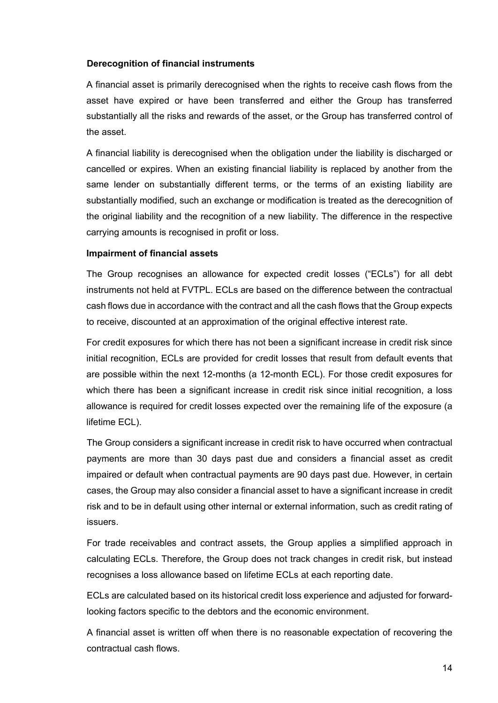### **Derecognition of financial instruments**

A financial asset is primarily derecognised when the rights to receive cash flows from the asset have expired or have been transferred and either the Group has transferred substantially all the risks and rewards of the asset, or the Group has transferred control of the asset.

A financial liability is derecognised when the obligation under the liability is discharged or cancelled or expires. When an existing financial liability is replaced by another from the same lender on substantially different terms, or the terms of an existing liability are substantially modified, such an exchange or modification is treated as the derecognition of the original liability and the recognition of a new liability. The difference in the respective carrying amounts is recognised in profit or loss.

#### **Impairment of financial assets**

The Group recognises an allowance for expected credit losses ("ECLs") for all debt instruments not held at FVTPL. ECLs are based on the difference between the contractual cash flows due in accordance with the contract and all the cash flows that the Group expects to receive, discounted at an approximation of the original effective interest rate.

For credit exposures for which there has not been a significant increase in credit risk since initial recognition, ECLs are provided for credit losses that result from default events that are possible within the next 12-months (a 12-month ECL). For those credit exposures for which there has been a significant increase in credit risk since initial recognition, a loss allowance is required for credit losses expected over the remaining life of the exposure (a lifetime ECL).

The Group considers a significant increase in credit risk to have occurred when contractual payments are more than 30 days past due and considers a financial asset as credit impaired or default when contractual payments are 90 days past due. However, in certain cases, the Group may also consider a financial asset to have a significant increase in credit risk and to be in default using other internal or external information, such as credit rating of issuers.

For trade receivables and contract assets, the Group applies a simplified approach in calculating ECLs. Therefore, the Group does not track changes in credit risk, but instead recognises a loss allowance based on lifetime ECLs at each reporting date.

ECLs are calculated based on its historical credit loss experience and adjusted for forwardlooking factors specific to the debtors and the economic environment.

A financial asset is written off when there is no reasonable expectation of recovering the contractual cash flows.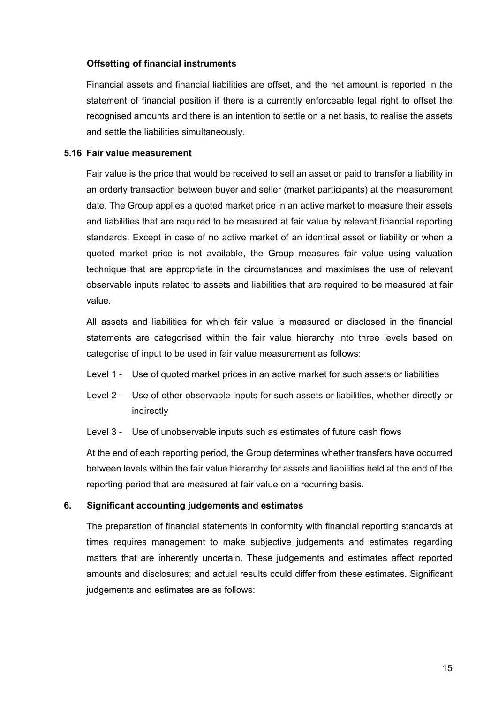#### **Offsetting of financial instruments**

Financial assets and financial liabilities are offset, and the net amount is reported in the statement of financial position if there is a currently enforceable legal right to offset the recognised amounts and there is an intention to settle on a net basis, to realise the assets and settle the liabilities simultaneously.

#### **5.16 Fair value measurement**

Fair value is the price that would be received to sell an asset or paid to transfer a liability in an orderly transaction between buyer and seller (market participants) at the measurement date. The Group applies a quoted market price in an active market to measure their assets and liabilities that are required to be measured at fair value by relevant financial reporting standards. Except in case of no active market of an identical asset or liability or when a quoted market price is not available, the Group measures fair value using valuation technique that are appropriate in the circumstances and maximises the use of relevant observable inputs related to assets and liabilities that are required to be measured at fair value.

All assets and liabilities for which fair value is measured or disclosed in the financial statements are categorised within the fair value hierarchy into three levels based on categorise of input to be used in fair value measurement as follows:

- Level 1 Use of quoted market prices in an active market for such assets or liabilities
- Level 2 Use of other observable inputs for such assets or liabilities, whether directly or indirectly
- Level 3 Use of unobservable inputs such as estimates of future cash flows

At the end of each reporting period, the Group determines whether transfers have occurred between levels within the fair value hierarchy for assets and liabilities held at the end of the reporting period that are measured at fair value on a recurring basis.

#### **6. Significant accounting judgements and estimates**

The preparation of financial statements in conformity with financial reporting standards at times requires management to make subjective judgements and estimates regarding matters that are inherently uncertain. These judgements and estimates affect reported amounts and disclosures; and actual results could differ from these estimates. Significant judgements and estimates are as follows: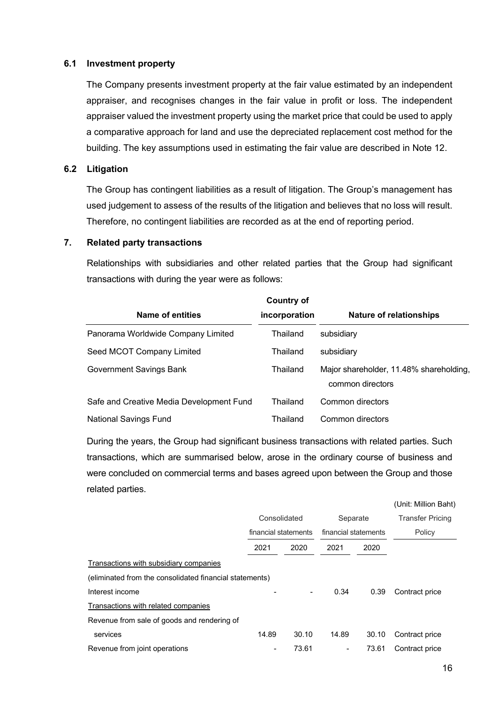#### **6.1 Investment property**

The Company presents investment property at the fair value estimated by an independent appraiser, and recognises changes in the fair value in profit or loss. The independent appraiser valued the investment property using the market price that could be used to apply a comparative approach for land and use the depreciated replacement cost method for the building. The key assumptions used in estimating the fair value are described in Note 12.

#### **6.2 Litigation**

The Group has contingent liabilities as a result of litigation. The Group's management has used judgement to assess of the results of the litigation and believes that no loss will result. Therefore, no contingent liabilities are recorded as at the end of reporting period.

#### **7. Related party transactions**

Relationships with subsidiaries and other related parties that the Group had significant transactions with during the year were as follows:

|                                          | <b>Country of</b> |                                                             |
|------------------------------------------|-------------------|-------------------------------------------------------------|
| Name of entities                         | incorporation     | <b>Nature of relationships</b>                              |
| Panorama Worldwide Company Limited       | Thailand          | subsidiary                                                  |
| Seed MCOT Company Limited                | Thailand          | subsidiary                                                  |
| Government Savings Bank                  | Thailand          | Major shareholder, 11.48% shareholding,<br>common directors |
| Safe and Creative Media Development Fund | Thailand          | Common directors                                            |
| <b>National Savings Fund</b>             | Thailand          | Common directors                                            |

During the years, the Group had significant business transactions with related parties. Such transactions, which are summarised below, arose in the ordinary course of business and were concluded on commercial terms and bases agreed upon between the Group and those related parties.

|                                                         |                      |                          |                      |       | (Unit: Million Baht)    |        |
|---------------------------------------------------------|----------------------|--------------------------|----------------------|-------|-------------------------|--------|
|                                                         | Consolidated         |                          | Separate             |       | <b>Transfer Pricing</b> |        |
|                                                         | financial statements |                          | financial statements |       |                         | Policy |
|                                                         | 2021                 | 2020                     | 2021                 | 2020  |                         |        |
| Transactions with subsidiary companies                  |                      |                          |                      |       |                         |        |
| (eliminated from the consolidated financial statements) |                      |                          |                      |       |                         |        |
| Interest income                                         |                      | $\overline{\phantom{a}}$ | 0.34                 | 0.39  | Contract price          |        |
| Transactions with related companies                     |                      |                          |                      |       |                         |        |
| Revenue from sale of goods and rendering of             |                      |                          |                      |       |                         |        |
| services                                                | 14.89                | 30.10                    | 14.89                | 30.10 | Contract price          |        |
| Revenue from joint operations                           |                      | 73.61                    |                      | 73.61 | Contract price          |        |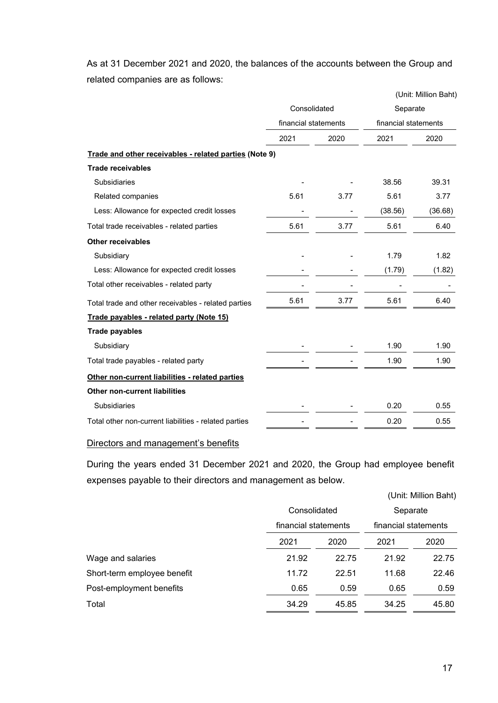As at 31 December 2021 and 2020, the balances of the accounts between the Group and related companies are as follows:

|                                                        |                      |      |                      | (Unit: Million Baht) |
|--------------------------------------------------------|----------------------|------|----------------------|----------------------|
|                                                        | Consolidated         |      | Separate             |                      |
|                                                        | financial statements |      | financial statements |                      |
|                                                        | 2021                 | 2020 | 2021                 | 2020                 |
| Trade and other receivables - related parties (Note 9) |                      |      |                      |                      |
| <b>Trade receivables</b>                               |                      |      |                      |                      |
| <b>Subsidiaries</b>                                    |                      |      | 38.56                | 39.31                |
| Related companies                                      | 5.61                 | 3.77 | 5.61                 | 3.77                 |
| Less: Allowance for expected credit losses             |                      |      | (38.56)              | (36.68)              |
| Total trade receivables - related parties              | 5.61                 | 3.77 | 5.61                 | 6.40                 |
| <b>Other receivables</b>                               |                      |      |                      |                      |
| Subsidiary                                             |                      |      | 1.79                 | 1.82                 |
| Less: Allowance for expected credit losses             |                      |      | (1.79)               | (1.82)               |
| Total other receivables - related party                |                      |      |                      |                      |
| Total trade and other receivables - related parties    | 5.61                 | 3.77 | 5.61                 | 6.40                 |
| Trade payables - related party (Note 15)               |                      |      |                      |                      |
| <b>Trade payables</b>                                  |                      |      |                      |                      |
| Subsidiary                                             |                      |      | 1.90                 | 1.90                 |
| Total trade payables - related party                   |                      |      | 1.90                 | 1.90                 |
| Other non-current liabilities - related parties        |                      |      |                      |                      |
| <b>Other non-current liabilities</b>                   |                      |      |                      |                      |
| <b>Subsidiaries</b>                                    |                      |      | 0.20                 | 0.55                 |
| Total other non-current liabilities - related parties  |                      |      | 0.20                 | 0.55                 |
|                                                        |                      |      |                      |                      |

#### Directors and management's benefits

During the years ended 31 December 2021 and 2020, the Group had employee benefit expenses payable to their directors and management as below.

|                             |                      |       |                      | (Unit: Million Baht) |
|-----------------------------|----------------------|-------|----------------------|----------------------|
|                             | Consolidated         |       | Separate             |                      |
|                             | financial statements |       | financial statements |                      |
|                             | 2021                 | 2020  | 2021                 | 2020                 |
| Wage and salaries           | 21.92                | 22.75 | 21.92                | 22.75                |
| Short-term employee benefit | 11.72                | 22.51 | 11.68                | 22.46                |
| Post-employment benefits    | 0.65                 | 0.59  | 0.65                 | 0.59                 |
| Total                       | 34.29                | 45.85 | 34.25                | 45.80                |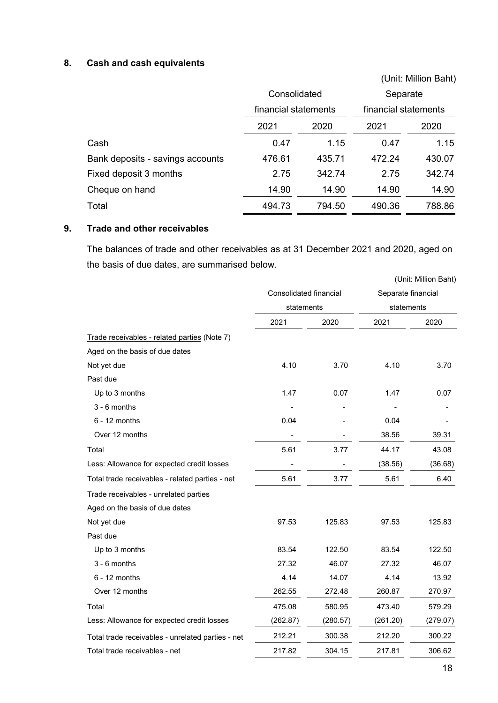# **8. Cash and cash equivalents**

|                                  |        |                      |        | (Unit: Million Baht) |
|----------------------------------|--------|----------------------|--------|----------------------|
|                                  |        | Consolidated         |        | Separate             |
|                                  |        | financial statements |        | financial statements |
|                                  | 2021   | 2020                 | 2021   | 2020                 |
| Cash                             | 0.47   | 1.15                 | 0.47   | 1.15                 |
| Bank deposits - savings accounts | 476.61 | 435.71               | 472.24 | 430.07               |
| Fixed deposit 3 months           | 2.75   | 342.74               | 2.75   | 342.74               |
| Cheque on hand                   | 14.90  | 14.90                | 14.90  | 14.90                |
| Total                            | 494.73 | 794.50               | 490.36 | 788.86               |

# **9. Trade and other receivables**

The balances of trade and other receivables as at 31 December 2021 and 2020, aged on the basis of due dates, are summarised below.

|                                                   |                        |          |                    | (Unit: Million Baht) |
|---------------------------------------------------|------------------------|----------|--------------------|----------------------|
|                                                   | Consolidated financial |          | Separate financial |                      |
|                                                   | statements             |          | statements         |                      |
|                                                   | 2021                   | 2020     | 2021               | 2020                 |
| Trade receivables - related parties (Note 7)      |                        |          |                    |                      |
| Aged on the basis of due dates                    |                        |          |                    |                      |
| Not yet due                                       | 4.10                   | 3.70     | 4.10               | 3.70                 |
| Past due                                          |                        |          |                    |                      |
| Up to 3 months                                    | 1.47                   | 0.07     | 1.47               | 0.07                 |
| $3 - 6$ months                                    |                        |          |                    |                      |
| $6 - 12$ months                                   | 0.04                   |          | 0.04               |                      |
| Over 12 months                                    |                        |          | 38.56              | 39.31                |
| Total                                             | 5.61                   | 3.77     | 44.17              | 43.08                |
| Less: Allowance for expected credit losses        |                        |          | (38.56)            | (36.68)              |
| Total trade receivables - related parties - net   | 5.61                   | 3.77     | 5.61               | 6.40                 |
| Trade receivables - unrelated parties             |                        |          |                    |                      |
| Aged on the basis of due dates                    |                        |          |                    |                      |
| Not yet due                                       | 97.53                  | 125.83   | 97.53              | 125.83               |
| Past due                                          |                        |          |                    |                      |
| Up to 3 months                                    | 83.54                  | 122.50   | 83.54              | 122.50               |
| 3 - 6 months                                      | 27.32                  | 46.07    | 27.32              | 46.07                |
| $6 - 12$ months                                   | 4.14                   | 14.07    | 4.14               | 13.92                |
| Over 12 months                                    | 262.55                 | 272.48   | 260.87             | 270.97               |
| Total                                             | 475.08                 | 580.95   | 473.40             | 579.29               |
| Less: Allowance for expected credit losses        | (262.87)               | (280.57) | (261.20)           | (279.07)             |
| Total trade receivables - unrelated parties - net | 212.21                 | 300.38   | 212.20             | 300.22               |
| Total trade receivables - net                     | 217.82                 | 304.15   | 217.81             | 306.62               |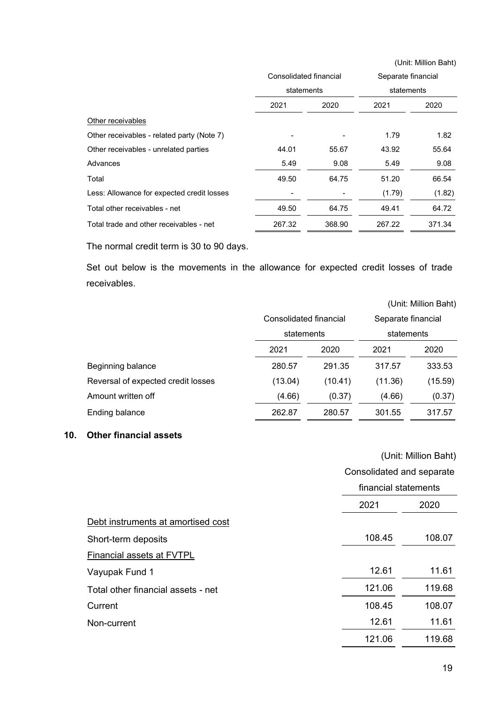|                                            |                        |        |                    | (Unit: Million Baht) |
|--------------------------------------------|------------------------|--------|--------------------|----------------------|
|                                            | Consolidated financial |        | Separate financial |                      |
|                                            | statements             |        | statements         |                      |
|                                            | 2021                   | 2020   | 2021               | 2020                 |
| Other receivables                          |                        |        |                    |                      |
| Other receivables - related party (Note 7) |                        |        | 1.79               | 1.82                 |
| Other receivables - unrelated parties      | 44.01                  | 55.67  | 43.92              | 55.64                |
| Advances                                   | 5.49                   | 9.08   | 5.49               | 9.08                 |
| Total                                      | 49.50                  | 64.75  | 51.20              | 66.54                |
| Less: Allowance for expected credit losses |                        |        | (1.79)             | (1.82)               |
| Total other receivables - net              | 49.50                  | 64.75  | 49.41              | 64.72                |
| Total trade and other receivables - net    | 267.32                 | 368.90 | 267.22             | 371.34               |

The normal credit term is 30 to 90 days.

Set out below is the movements in the allowance for expected credit losses of trade receivables.

|                                    |                        |         |                    | (Unit: Million Baht) |
|------------------------------------|------------------------|---------|--------------------|----------------------|
|                                    | Consolidated financial |         | Separate financial |                      |
|                                    | statements             |         | statements         |                      |
|                                    | 2021                   | 2020    | 2021               | 2020                 |
| Beginning balance                  | 280.57                 | 291.35  | 317.57             | 333.53               |
| Reversal of expected credit losses | (13.04)                | (10.41) | (11.36)            | (15.59)              |
| Amount written off                 | (4.66)                 | (0.37)  | (4.66)             | (0.37)               |
| Ending balance                     | 262.87                 | 280.57  | 301.55             | 317.57               |

# **10. Other financial assets**

|                                    |                      | (Unit: Million Baht)      |  |  |
|------------------------------------|----------------------|---------------------------|--|--|
|                                    |                      | Consolidated and separate |  |  |
|                                    | financial statements |                           |  |  |
|                                    | 2021                 | 2020                      |  |  |
| Debt instruments at amortised cost |                      |                           |  |  |
| Short-term deposits                | 108.45               | 108.07                    |  |  |
| Financial assets at FVTPL          |                      |                           |  |  |
| Vayupak Fund 1                     | 12.61                | 11.61                     |  |  |
| Total other financial assets - net | 121.06               | 119.68                    |  |  |
| Current                            | 108.45               | 108.07                    |  |  |
| Non-current                        | 12.61                | 11.61                     |  |  |
|                                    | 121.06               | 119.68                    |  |  |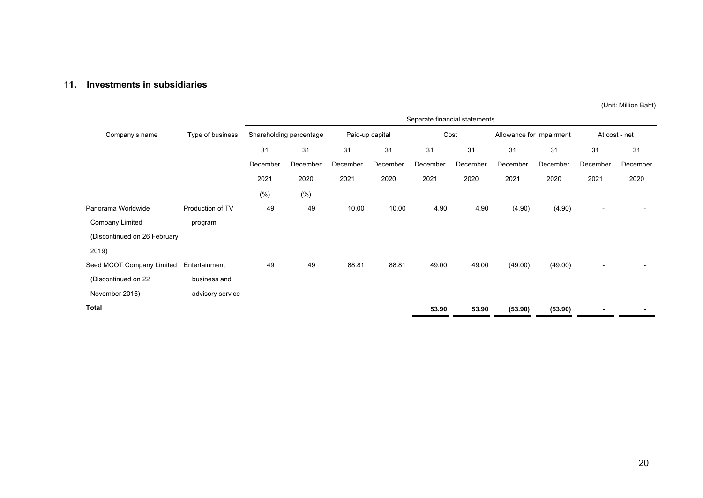#### **11. Investments in subsidiaries**

(Unit: Million Baht)

|                              |                  | Separate financial statements |                         |                 |          |          |          |                          |          |                          |               |
|------------------------------|------------------|-------------------------------|-------------------------|-----------------|----------|----------|----------|--------------------------|----------|--------------------------|---------------|
| Company's name               | Type of business |                               | Shareholding percentage | Paid-up capital |          | Cost     |          | Allowance for Impairment |          |                          | At cost - net |
|                              |                  | 31                            | 31                      | 31              | 31       | 31       | 31       | 31                       | 31       | 31                       | 31            |
|                              |                  | December                      | December                | December        | December | December | December | December                 | December | December                 | December      |
|                              |                  | 2021                          | 2020                    | 2021            | 2020     | 2021     | 2020     | 2021                     | 2020     | 2021                     | 2020          |
|                              |                  | (% )                          | (%)                     |                 |          |          |          |                          |          |                          |               |
| Panorama Worldwide           | Production of TV | 49                            | 49                      | 10.00           | 10.00    | 4.90     | 4.90     | (4.90)                   | (4.90)   | $\overline{\phantom{a}}$ |               |
| Company Limited              | program          |                               |                         |                 |          |          |          |                          |          |                          |               |
| (Discontinued on 26 February |                  |                               |                         |                 |          |          |          |                          |          |                          |               |
| 2019)                        |                  |                               |                         |                 |          |          |          |                          |          |                          |               |
| Seed MCOT Company Limited    | Entertainment    | 49                            | 49                      | 88.81           | 88.81    | 49.00    | 49.00    | (49.00)                  | (49.00)  |                          |               |
| (Discontinued on 22          | business and     |                               |                         |                 |          |          |          |                          |          |                          |               |
| November 2016)               | advisory service |                               |                         |                 |          |          |          |                          |          |                          |               |
| Total                        |                  |                               |                         |                 |          | 53.90    | 53.90    | (53.90)                  | (53.90)  |                          |               |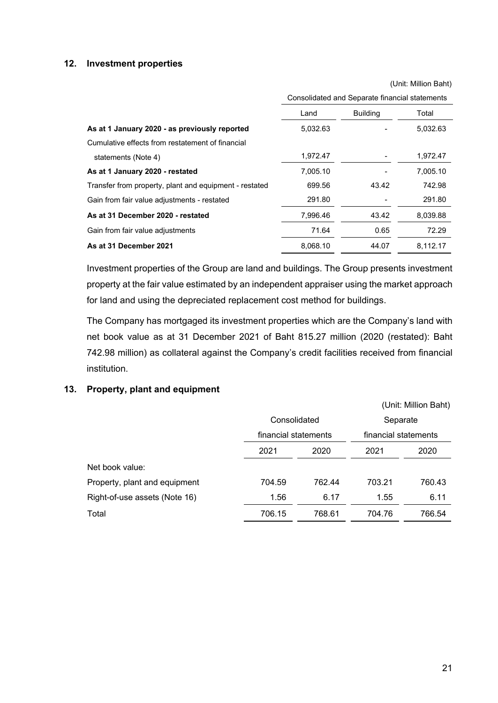#### **12. Investment properties**

(Unit: Million Baht)

|                                                        | Consolidated and Separate financial statements |                 |          |  |  |
|--------------------------------------------------------|------------------------------------------------|-----------------|----------|--|--|
|                                                        | Land                                           | <b>Building</b> | Total    |  |  |
| As at 1 January 2020 - as previously reported          | 5,032.63                                       |                 | 5,032.63 |  |  |
| Cumulative effects from restatement of financial       |                                                |                 |          |  |  |
| statements (Note 4)                                    | 1,972.47                                       |                 | 1,972.47 |  |  |
| As at 1 January 2020 - restated                        | 7,005.10                                       |                 | 7,005.10 |  |  |
| Transfer from property, plant and equipment - restated | 699.56                                         | 43.42           | 742.98   |  |  |
| Gain from fair value adjustments - restated            | 291.80                                         |                 | 291.80   |  |  |
| As at 31 December 2020 - restated                      | 7,996.46                                       | 43.42           | 8,039.88 |  |  |
| Gain from fair value adjustments                       | 71.64                                          | 0.65            | 72.29    |  |  |
| As at 31 December 2021                                 | 8.068.10                                       | 44.07           | 8.112.17 |  |  |

Investment properties of the Group are land and buildings. The Group presents investment property at the fair value estimated by an independent appraiser using the market approach for land and using the depreciated replacement cost method for buildings.

The Company has mortgaged its investment properties which are the Company's land with net book value as at 31 December 2021 of Baht 815.27 million (2020 (restated): Baht 742.98 million) as collateral against the Company's credit facilities received from financial institution.

#### **13. Property, plant and equipment**

|                               |                      |        |                      | (Unit: Million Baht) |  |
|-------------------------------|----------------------|--------|----------------------|----------------------|--|
|                               | Consolidated         |        | Separate             |                      |  |
|                               | financial statements |        | financial statements |                      |  |
|                               | 2021                 | 2020   | 2021                 | 2020                 |  |
| Net book value:               |                      |        |                      |                      |  |
| Property, plant and equipment | 704.59               | 762.44 | 703.21               | 760.43               |  |
| Right-of-use assets (Note 16) | 1.56                 | 6.17   | 1.55                 | 6.11                 |  |
| Total                         | 706.15               | 768.61 | 704.76               | 766.54               |  |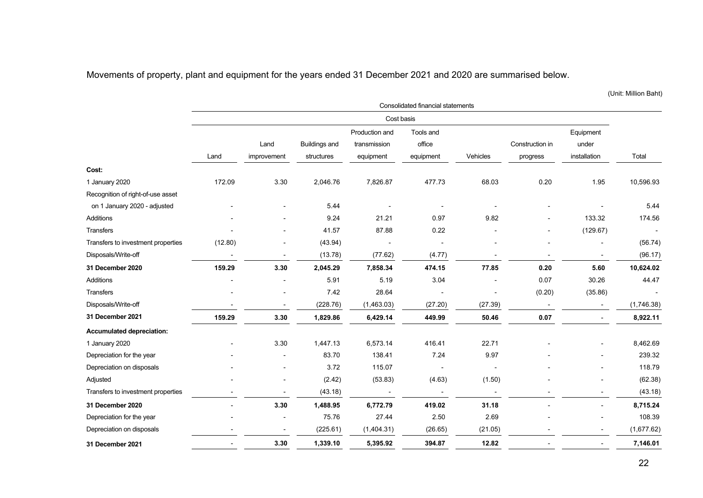Movements of property, plant and equipment for the years ended 31 December 2021 and 2020 are summarised below.

(Unit: Million Baht)

|                                    | Consolidated financial statements |             |                      |                |           |          |                          |                |                          |
|------------------------------------|-----------------------------------|-------------|----------------------|----------------|-----------|----------|--------------------------|----------------|--------------------------|
|                                    |                                   |             |                      | Cost basis     |           |          |                          |                |                          |
|                                    |                                   |             |                      | Production and | Tools and |          |                          | Equipment      |                          |
|                                    |                                   | Land        | <b>Buildings and</b> | transmission   | office    |          | Construction in          | under          |                          |
|                                    | Land                              | improvement | structures           | equipment      | equipment | Vehicles | progress                 | installation   | Total                    |
| Cost:                              |                                   |             |                      |                |           |          |                          |                |                          |
| 1 January 2020                     | 172.09                            | 3.30        | 2,046.76             | 7,826.87       | 477.73    | 68.03    | 0.20                     | 1.95           | 10,596.93                |
| Recognition of right-of-use asset  |                                   |             |                      |                |           |          |                          |                |                          |
| on 1 January 2020 - adjusted       |                                   |             | 5.44                 |                |           |          |                          |                | 5.44                     |
| <b>Additions</b>                   |                                   |             | 9.24                 | 21.21          | 0.97      | 9.82     |                          | 133.32         | 174.56                   |
| Transfers                          |                                   |             | 41.57                | 87.88          | 0.22      |          |                          | (129.67)       | $\overline{\phantom{a}}$ |
| Transfers to investment properties | (12.80)                           |             | (43.94)              |                |           |          |                          | $\blacksquare$ | (56.74)                  |
| Disposals/Write-off                |                                   |             | (13.78)              | (77.62)        | (4.77)    |          | $\overline{\phantom{a}}$ |                | (96.17)                  |
| 31 December 2020                   | 159.29                            | 3.30        | 2,045.29             | 7,858.34       | 474.15    | 77.85    | 0.20                     | 5.60           | 10,624.02                |
| Additions                          |                                   |             | 5.91                 | 5.19           | 3.04      |          | 0.07                     | 30.26          | 44.47                    |
| Transfers                          |                                   |             | 7.42                 | 28.64          |           |          | (0.20)                   | (35.86)        |                          |
| Disposals/Write-off                |                                   |             | (228.76)             | (1,463.03)     | (27.20)   | (27.39)  |                          |                | (1,746.38)               |
| 31 December 2021                   | 159.29                            | 3.30        | 1,829.86             | 6,429.14       | 449.99    | 50.46    | 0.07                     |                | 8,922.11                 |
| <b>Accumulated depreciation:</b>   |                                   |             |                      |                |           |          |                          |                |                          |
| 1 January 2020                     |                                   | 3.30        | 1,447.13             | 6,573.14       | 416.41    | 22.71    |                          |                | 8,462.69                 |
| Depreciation for the year          |                                   |             | 83.70                | 138.41         | 7.24      | 9.97     |                          |                | 239.32                   |
| Depreciation on disposals          |                                   |             | 3.72                 | 115.07         |           |          |                          |                | 118.79                   |
| Adjusted                           |                                   |             | (2.42)               | (53.83)        | (4.63)    | (1.50)   |                          |                | (62.38)                  |
| Transfers to investment properties |                                   |             | (43.18)              |                |           |          |                          |                | (43.18)                  |
| 31 December 2020                   |                                   | 3.30        | 1,488.95             | 6,772.79       | 419.02    | 31.18    |                          |                | 8,715.24                 |
| Depreciation for the year          |                                   |             | 75.76                | 27.44          | 2.50      | 2.69     |                          |                | 108.39                   |
| Depreciation on disposals          |                                   |             | (225.61)             | (1,404.31)     | (26.65)   | (21.05)  |                          |                | (1,677.62)               |
| 31 December 2021                   |                                   | 3.30        | 1,339.10             | 5,395.92       | 394.87    | 12.82    |                          |                | 7,146.01                 |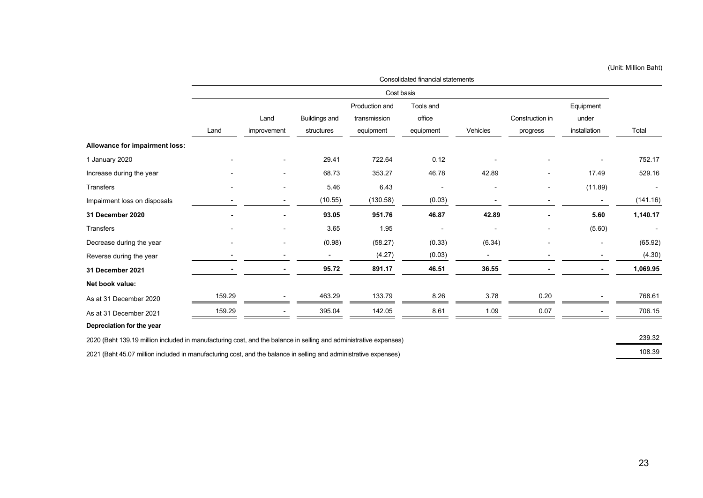|                                | Consolidated financial statements |                          |                      |                |                          |                          |                          |                          |          |
|--------------------------------|-----------------------------------|--------------------------|----------------------|----------------|--------------------------|--------------------------|--------------------------|--------------------------|----------|
|                                |                                   |                          |                      | Cost basis     |                          |                          |                          |                          |          |
|                                |                                   |                          |                      | Production and | Tools and                |                          |                          | Equipment                |          |
|                                |                                   | Land                     | <b>Buildings and</b> | transmission   | office                   |                          | Construction in          | under                    |          |
|                                | Land                              | improvement              | structures           | equipment      | equipment                | Vehicles                 | progress                 | installation             | Total    |
| Allowance for impairment loss: |                                   |                          |                      |                |                          |                          |                          |                          |          |
| 1 January 2020                 |                                   |                          | 29.41                | 722.64         | 0.12                     |                          | $\overline{a}$           | $\overline{\phantom{a}}$ | 752.17   |
| Increase during the year       |                                   | $\overline{\phantom{0}}$ | 68.73                | 353.27         | 46.78                    | 42.89                    | $\overline{\phantom{0}}$ | 17.49                    | 529.16   |
| Transfers                      |                                   |                          | 5.46                 | 6.43           | $\overline{\phantom{a}}$ | $\overline{\phantom{0}}$ |                          | (11.89)                  |          |
| Impairment loss on disposals   |                                   | ٠                        | (10.55)              | (130.58)       | (0.03)                   | $\overline{\phantom{0}}$ | $\overline{\phantom{a}}$ | $\overline{\phantom{a}}$ | (141.16) |
| 31 December 2020               |                                   |                          | 93.05                | 951.76         | 46.87                    | 42.89                    |                          | 5.60                     | 1,140.17 |
| <b>Transfers</b>               |                                   |                          | 3.65                 | 1.95           | $\overline{\phantom{a}}$ | $\overline{\phantom{0}}$ |                          | (5.60)                   |          |
| Decrease during the year       |                                   |                          | (0.98)               | (58.27)        | (0.33)                   | (6.34)                   |                          |                          | (65.92)  |
| Reverse during the year        |                                   |                          |                      | (4.27)         | (0.03)                   |                          |                          |                          | (4.30)   |
| 31 December 2021               |                                   |                          | 95.72                | 891.17         | 46.51                    | 36.55                    |                          |                          | 1,069.95 |
| Net book value:                |                                   |                          |                      |                |                          |                          |                          |                          |          |
| As at 31 December 2020         | 159.29                            |                          | 463.29               | 133.79         | 8.26                     | 3.78                     | 0.20                     |                          | 768.61   |
| As at 31 December 2021         | 159.29                            |                          | 395.04               | 142.05         | 8.61                     | 1.09                     | 0.07                     |                          | 706.15   |
| Depreciation for the year      |                                   |                          |                      |                |                          |                          |                          |                          |          |

| 2020 (Baht 139.19 million included in manufacturing cost, and the balance in selling and administrative expenses) | 239.32 |
|-------------------------------------------------------------------------------------------------------------------|--------|
| 2021 (Baht 45.07 million included in manufacturing cost, and the balance in selling and administrative expenses)  | 108.39 |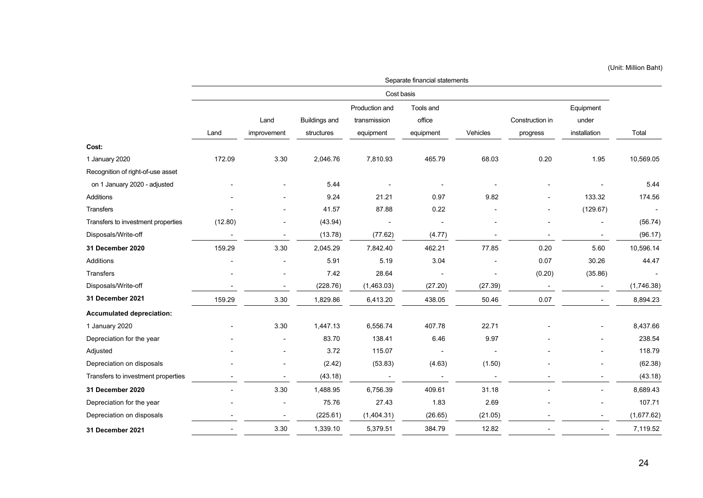|                                    | Separate financial statements |                     |                                    |                                             |                                  |          |                             |                                    |            |
|------------------------------------|-------------------------------|---------------------|------------------------------------|---------------------------------------------|----------------------------------|----------|-----------------------------|------------------------------------|------------|
|                                    |                               |                     |                                    | Cost basis                                  |                                  |          |                             |                                    |            |
|                                    | Land                          | Land<br>improvement | <b>Buildings and</b><br>structures | Production and<br>transmission<br>equipment | Tools and<br>office<br>equipment | Vehicles | Construction in<br>progress | Equipment<br>under<br>installation | Total      |
| Cost:                              |                               |                     |                                    |                                             |                                  |          |                             |                                    |            |
| 1 January 2020                     | 172.09                        | 3.30                | 2,046.76                           | 7,810.93                                    | 465.79                           | 68.03    | 0.20                        | 1.95                               | 10,569.05  |
| Recognition of right-of-use asset  |                               |                     |                                    |                                             |                                  |          |                             |                                    |            |
| on 1 January 2020 - adjusted       |                               |                     | 5.44                               |                                             |                                  |          |                             |                                    | 5.44       |
| Additions                          |                               |                     | 9.24                               | 21.21                                       | 0.97                             | 9.82     |                             | 133.32                             | 174.56     |
| <b>Transfers</b>                   |                               |                     | 41.57                              | 87.88                                       | 0.22                             |          |                             | (129.67)                           |            |
| Transfers to investment properties | (12.80)                       |                     | (43.94)                            |                                             |                                  |          |                             |                                    | (56.74)    |
| Disposals/Write-off                |                               |                     | (13.78)                            | (77.62)                                     | (4.77)                           |          | $\blacksquare$              |                                    | (96.17)    |
| 31 December 2020                   | 159.29                        | 3.30                | 2,045.29                           | 7,842.40                                    | 462.21                           | 77.85    | 0.20                        | 5.60                               | 10,596.14  |
| Additions                          |                               |                     | 5.91                               | 5.19                                        | 3.04                             |          | 0.07                        | 30.26                              | 44.47      |
| <b>Transfers</b>                   |                               |                     | 7.42                               | 28.64                                       |                                  |          | (0.20)                      | (35.86)                            |            |
| Disposals/Write-off                |                               |                     | (228.76)                           | (1,463.03)                                  | (27.20)                          | (27.39)  |                             |                                    | (1,746.38) |
| 31 December 2021                   | 159.29                        | 3.30                | 1,829.86                           | 6,413.20                                    | 438.05                           | 50.46    | 0.07                        |                                    | 8,894.23   |
| <b>Accumulated depreciation:</b>   |                               |                     |                                    |                                             |                                  |          |                             |                                    |            |
| 1 January 2020                     |                               | 3.30                | 1,447.13                           | 6,556.74                                    | 407.78                           | 22.71    |                             |                                    | 8,437.66   |
| Depreciation for the year          |                               |                     | 83.70                              | 138.41                                      | 6.46                             | 9.97     |                             | $\overline{a}$                     | 238.54     |
| Adjusted                           |                               |                     | 3.72                               | 115.07                                      |                                  |          |                             |                                    | 118.79     |
| Depreciation on disposals          |                               |                     | (2.42)                             | (53.83)                                     | (4.63)                           | (1.50)   |                             |                                    | (62.38)    |
| Transfers to investment properties |                               |                     | (43.18)                            |                                             |                                  |          |                             |                                    | (43.18)    |
| 31 December 2020                   |                               | 3.30                | 1,488.95                           | 6,756.39                                    | 409.61                           | 31.18    |                             |                                    | 8,689.43   |
| Depreciation for the year          |                               |                     | 75.76                              | 27.43                                       | 1.83                             | 2.69     |                             |                                    | 107.71     |
| Depreciation on disposals          |                               | ٠                   | (225.61)                           | (1,404.31)                                  | (26.65)                          | (21.05)  |                             |                                    | (1,677.62) |
| 31 December 2021                   |                               | 3.30                | 1,339.10                           | 5,379.51                                    | 384.79                           | 12.82    |                             |                                    | 7,119.52   |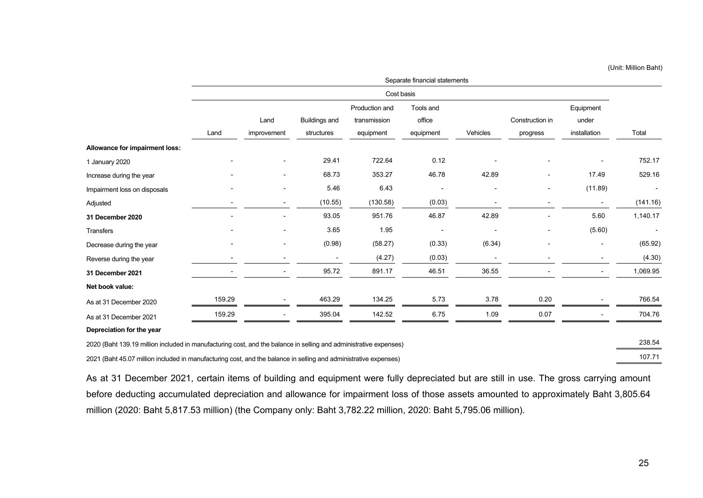|                                                                                                                   |        | Separate financial statements |                |                |                          |          |                 |              |          |  |
|-------------------------------------------------------------------------------------------------------------------|--------|-------------------------------|----------------|----------------|--------------------------|----------|-----------------|--------------|----------|--|
|                                                                                                                   |        |                               |                | Cost basis     |                          |          |                 |              |          |  |
|                                                                                                                   |        |                               |                | Production and | Tools and                |          |                 | Equipment    |          |  |
|                                                                                                                   |        | Land                          | Buildings and  | transmission   | office                   |          | Construction in | under        |          |  |
|                                                                                                                   | Land   | improvement                   | structures     | equipment      | equipment                | Vehicles | progress        | installation | Total    |  |
| Allowance for impairment loss:                                                                                    |        |                               |                |                |                          |          |                 |              |          |  |
| 1 January 2020                                                                                                    |        |                               | 29.41          | 722.64         | 0.12                     |          |                 |              | 752.17   |  |
| Increase during the year                                                                                          |        |                               | 68.73          | 353.27         | 46.78                    | 42.89    |                 | 17.49        | 529.16   |  |
| Impairment loss on disposals                                                                                      |        |                               | 5.46           | 6.43           | $\overline{\phantom{a}}$ |          |                 | (11.89)      |          |  |
| Adjusted                                                                                                          |        |                               | (10.55)        | (130.58)       | (0.03)                   |          |                 |              | (141.16) |  |
| 31 December 2020                                                                                                  |        |                               | 93.05          | 951.76         | 46.87                    | 42.89    |                 | 5.60         | 1,140.17 |  |
| Transfers                                                                                                         |        |                               | 3.65           | 1.95           |                          |          |                 | (5.60)       |          |  |
| Decrease during the year                                                                                          |        |                               | (0.98)         | (58.27)        | (0.33)                   | (6.34)   |                 |              | (65.92)  |  |
| Reverse during the year                                                                                           |        |                               | $\blacksquare$ | (4.27)         | (0.03)                   |          |                 |              | (4.30)   |  |
| 31 December 2021                                                                                                  |        |                               | 95.72          | 891.17         | 46.51                    | 36.55    |                 |              | 1,069.95 |  |
| Net book value:                                                                                                   |        |                               |                |                |                          |          |                 |              |          |  |
| As at 31 December 2020                                                                                            | 159.29 |                               | 463.29         | 134.25         | 5.73                     | 3.78     | 0.20            |              | 766.54   |  |
| As at 31 December 2021                                                                                            | 159.29 |                               | 395.04         | 142.52         | 6.75                     | 1.09     | 0.07            |              | 704.76   |  |
| Depreciation for the year                                                                                         |        |                               |                |                |                          |          |                 |              |          |  |
| 2020 (Baht 139.19 million included in manufacturing cost, and the balance in selling and administrative expenses) |        |                               |                |                |                          |          |                 |              | 238.54   |  |

2021 (Baht 45.07 million included in manufacturing cost, and the balance in selling and administrative expenses) 107.71

As at 31 December 2021, certain items of building and equipment were fully depreciated but are still in use. The gross carrying amount before deducting accumulated depreciation and allowance for impairment loss of those assets amounted to approximately Baht 3,805.64 million (2020: Baht 5,817.53 million) (the Company only: Baht 3,782.22 million, 2020: Baht 5,795.06 million).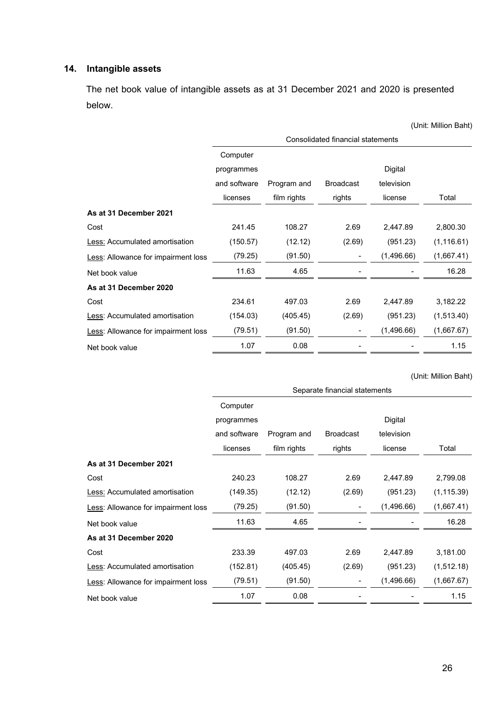# **14. Intangible assets**

The net book value of intangible assets as at 31 December 2021 and 2020 is presented below.

|                                     |              |             |                                   |            | (Unit: Million Baht) |
|-------------------------------------|--------------|-------------|-----------------------------------|------------|----------------------|
|                                     |              |             | Consolidated financial statements |            |                      |
|                                     | Computer     |             |                                   |            |                      |
|                                     | programmes   |             |                                   | Digital    |                      |
|                                     | and software | Program and | <b>Broadcast</b>                  | television |                      |
|                                     | licenses     | film rights | rights                            | license    | Total                |
| As at 31 December 2021              |              |             |                                   |            |                      |
| Cost                                | 241.45       | 108.27      | 2.69                              | 2,447.89   | 2,800.30             |
| Less: Accumulated amortisation      | (150.57)     | (12.12)     | (2.69)                            | (951.23)   | (1, 116.61)          |
| Less: Allowance for impairment loss | (79.25)      | (91.50)     |                                   | (1,496.66) | (1,667.41)           |
| Net book value                      | 11.63        | 4.65        |                                   |            | 16.28                |
| As at 31 December 2020              |              |             |                                   |            |                      |
| Cost                                | 234.61       | 497.03      | 2.69                              | 2,447.89   | 3,182.22             |
| Less: Accumulated amortisation      | (154.03)     | (405.45)    | (2.69)                            | (951.23)   | (1,513.40)           |
| Less: Allowance for impairment loss | (79.51)      | (91.50)     |                                   | (1,496.66) | (1,667.67)           |
| Net book value                      | 1.07         | 0.08        |                                   |            | 1.15                 |

(Unit: Million Baht)

|                                     | Separate financial statements |             |                  |            |             |  |  |  |
|-------------------------------------|-------------------------------|-------------|------------------|------------|-------------|--|--|--|
|                                     | Computer                      |             |                  |            |             |  |  |  |
|                                     | programmes                    |             |                  | Digital    |             |  |  |  |
|                                     | and software                  | Program and | <b>Broadcast</b> | television |             |  |  |  |
|                                     | licenses                      | film rights | rights           | license    | Total       |  |  |  |
| As at 31 December 2021              |                               |             |                  |            |             |  |  |  |
| Cost                                | 240.23                        | 108.27      | 2.69             | 2,447.89   | 2,799.08    |  |  |  |
| Less: Accumulated amortisation      | (149.35)                      | (12.12)     | (2.69)           | (951.23)   | (1, 115.39) |  |  |  |
| Less: Allowance for impairment loss | (79.25)                       | (91.50)     |                  | (1,496.66) | (1,667.41)  |  |  |  |
| Net book value                      | 11.63                         | 4.65        |                  |            | 16.28       |  |  |  |
| As at 31 December 2020              |                               |             |                  |            |             |  |  |  |
| Cost                                | 233.39                        | 497.03      | 2.69             | 2,447.89   | 3,181.00    |  |  |  |
| Less: Accumulated amortisation      | (152.81)                      | (405.45)    | (2.69)           | (951.23)   | (1,512.18)  |  |  |  |
| Less: Allowance for impairment loss | (79.51)                       | (91.50)     |                  | (1,496.66) | (1,667.67)  |  |  |  |
| Net book value                      | 1.07                          | 0.08        |                  |            | 1.15        |  |  |  |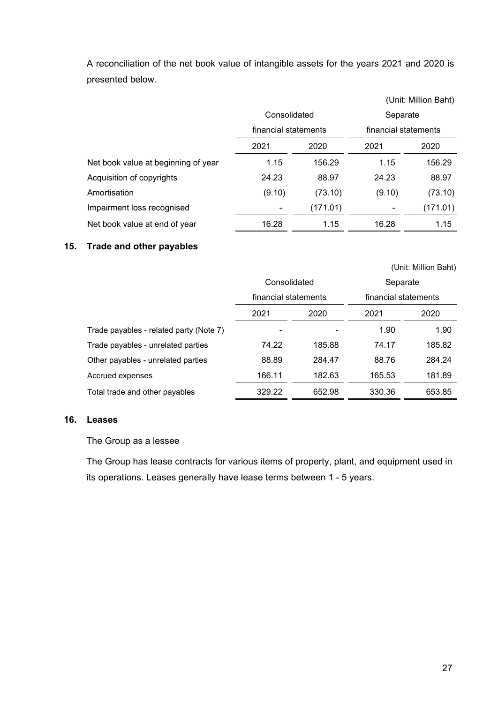A reconciliation of the net book value of intangible assets for the years 2021 and 2020 is presented below.

|                                     |                      |          | (Unit: Million Baht) |          |  |  |
|-------------------------------------|----------------------|----------|----------------------|----------|--|--|
|                                     | Consolidated         |          | Separate             |          |  |  |
|                                     | financial statements |          | financial statements |          |  |  |
|                                     | 2021                 | 2020     | 2021                 | 2020     |  |  |
| Net book value at beginning of year | 1.15                 | 156.29   | 1.15                 | 156.29   |  |  |
| Acquisition of copyrights           | 24.23                | 88.97    | 24.23                | 88.97    |  |  |
| Amortisation                        | (9.10)               | (73.10)  | (9.10)               | (73.10)  |  |  |
| Impairment loss recognised          |                      | (171.01) |                      | (171.01) |  |  |
| Net book value at end of year       | 16.28                | 1.15     | 16.28                | 1.15     |  |  |

### **15. Trade and other payables**

|                                         | (Unit: Million Baht) |        |                                  |        |  |  |
|-----------------------------------------|----------------------|--------|----------------------------------|--------|--|--|
|                                         | Consolidated         |        | Separate<br>financial statements |        |  |  |
|                                         | financial statements |        |                                  |        |  |  |
|                                         | 2021                 | 2020   | 2021                             | 2020   |  |  |
| Trade payables - related party (Note 7) |                      |        | 1.90                             | 1.90   |  |  |
| Trade payables - unrelated parties      | 74.22                | 185.88 | 74.17                            | 185.82 |  |  |
| Other payables - unrelated parties      | 88.89                | 284.47 | 88.76                            | 284.24 |  |  |
| Accrued expenses                        | 166.11               | 182.63 | 165.53                           | 181.89 |  |  |
| Total trade and other payables          | 329.22               | 652.98 | 330.36                           | 653.85 |  |  |

#### **16. Leases**

The Group as a lessee

The Group has lease contracts for various items of property, plant, and equipment used in its operations. Leases generally have lease terms between 1 - 5 years.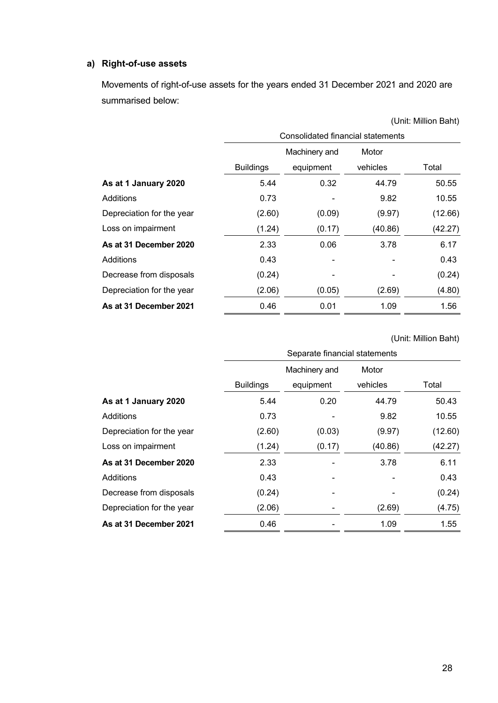# **a) Right-of-use assets**

Movements of right-of-use assets for the years ended 31 December 2021 and 2020 are summarised below:

|                           | (Unit: Million Baht)              |                        |          |         |  |
|---------------------------|-----------------------------------|------------------------|----------|---------|--|
|                           | Consolidated financial statements |                        |          |         |  |
|                           |                                   | Motor<br>Machinery and |          |         |  |
|                           | <b>Buildings</b>                  | equipment              | vehicles | Total   |  |
| As at 1 January 2020      | 5.44                              | 0.32                   | 44.79    | 50.55   |  |
| Additions                 | 0.73                              |                        | 9.82     | 10.55   |  |
| Depreciation for the year | (2.60)                            | (0.09)                 | (9.97)   | (12.66) |  |
| Loss on impairment        | (1.24)                            | (0.17)                 | (40.86)  | (42.27) |  |
| As at 31 December 2020    | 2.33                              | 0.06                   | 3.78     | 6.17    |  |
| Additions                 | 0.43                              |                        |          | 0.43    |  |
| Decrease from disposals   | (0.24)                            |                        |          | (0.24)  |  |
| Depreciation for the year | (2.06)                            | (0.05)                 | (2.69)   | (4.80)  |  |
| As at 31 December 2021    | 0.46                              | 0.01                   | 1.09     | 1.56    |  |

(Unit: Million Baht)

| Machinery and<br>Motor<br>equipment<br>vehicles<br>Total<br><b>Buildings</b><br>5.44<br>0.20<br>44.79<br>As at 1 January 2020<br>50.43<br>Additions<br>0.73<br>9.82<br>10.55<br>Depreciation for the year<br>(9.97)<br>(12.60)<br>(2.60)<br>(0.03)<br>(42.27)<br>Loss on impairment<br>(1.24)<br>(40.86)<br>(0.17)<br>As at 31 December 2020<br>6.11<br>2.33<br>3.78<br>0.43<br>0.43<br>Additions<br>Decrease from disposals<br>(0.24)<br>(0.24)<br>(4.75)<br>Depreciation for the year<br>(2.06)<br>(2.69)<br>As at 31 December 2021<br>0.46<br>1.09<br>1.55 | Separate financial statements |  |  |  |  |
|---------------------------------------------------------------------------------------------------------------------------------------------------------------------------------------------------------------------------------------------------------------------------------------------------------------------------------------------------------------------------------------------------------------------------------------------------------------------------------------------------------------------------------------------------------------|-------------------------------|--|--|--|--|
|                                                                                                                                                                                                                                                                                                                                                                                                                                                                                                                                                               |                               |  |  |  |  |
|                                                                                                                                                                                                                                                                                                                                                                                                                                                                                                                                                               |                               |  |  |  |  |
|                                                                                                                                                                                                                                                                                                                                                                                                                                                                                                                                                               |                               |  |  |  |  |
|                                                                                                                                                                                                                                                                                                                                                                                                                                                                                                                                                               |                               |  |  |  |  |
|                                                                                                                                                                                                                                                                                                                                                                                                                                                                                                                                                               |                               |  |  |  |  |
|                                                                                                                                                                                                                                                                                                                                                                                                                                                                                                                                                               |                               |  |  |  |  |
|                                                                                                                                                                                                                                                                                                                                                                                                                                                                                                                                                               |                               |  |  |  |  |
|                                                                                                                                                                                                                                                                                                                                                                                                                                                                                                                                                               |                               |  |  |  |  |
|                                                                                                                                                                                                                                                                                                                                                                                                                                                                                                                                                               |                               |  |  |  |  |
|                                                                                                                                                                                                                                                                                                                                                                                                                                                                                                                                                               |                               |  |  |  |  |
|                                                                                                                                                                                                                                                                                                                                                                                                                                                                                                                                                               |                               |  |  |  |  |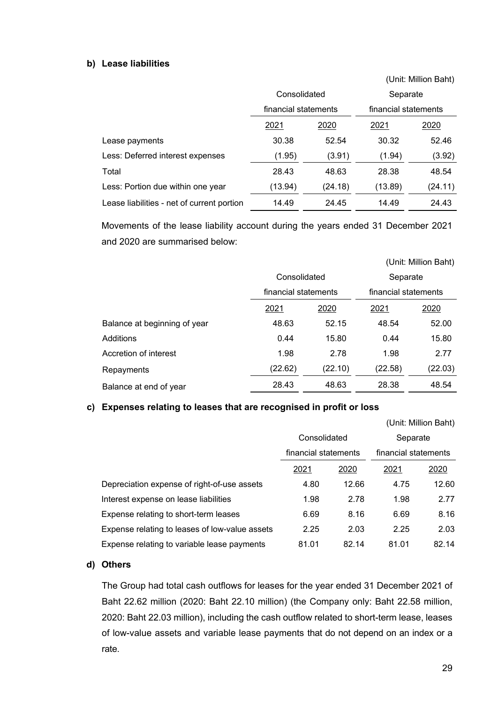#### **b) Lease liabilities**

|                                            |              |                      |          | (Unit: Million Baht) |
|--------------------------------------------|--------------|----------------------|----------|----------------------|
|                                            | Consolidated |                      | Separate |                      |
|                                            |              | financial statements |          | financial statements |
|                                            | 2021<br>2020 |                      | 2021     | 2020                 |
| Lease payments                             | 30.38        | 52.54                | 30.32    | 52.46                |
| Less: Deferred interest expenses           | (1.95)       | (3.91)               | (1.94)   | (3.92)               |
| Total                                      | 28.43        | 48.63                | 28.38    | 48.54                |
| Less: Portion due within one year          | (13.94)      | (24.18)              | (13.89)  | (24.11)              |
| Lease liabilities - net of current portion | 14.49        | 24.45                | 14.49    | 24.43                |

Movements of the lease liability account during the years ended 31 December 2021 and 2020 are summarised below:

|                              |              |                      |          | (Unit: Million Baht) |
|------------------------------|--------------|----------------------|----------|----------------------|
|                              | Consolidated |                      | Separate |                      |
|                              |              | financial statements |          | financial statements |
|                              | 2021         | 2020                 | 2021     | 2020                 |
| Balance at beginning of year | 48.63        | 52.15                | 48.54    | 52.00                |
| Additions                    | 0.44         | 15.80                | 0.44     | 15.80                |
| Accretion of interest        | 1.98         | 2.78                 | 1.98     | 2.77                 |
| Repayments                   | (22.62)      | (22.10)              | (22.58)  | (22.03)              |
| Balance at end of year       | 28.43        | 48.63                | 28.38    | 48.54                |

#### **c) Expenses relating to leases that are recognised in profit or loss**

|                                                |              |                      |          | (Unit: Million Baht) |
|------------------------------------------------|--------------|----------------------|----------|----------------------|
|                                                | Consolidated |                      | Separate |                      |
|                                                |              | financial statements |          | financial statements |
|                                                | 2021         | 2020                 | 2021     | 2020                 |
| Depreciation expense of right-of-use assets    | 4.80         | 12.66                | 4.75     | 12.60                |
| Interest expense on lease liabilities          | 1.98         | 2.78                 | 1.98     | 2.77                 |
| Expense relating to short-term leases          | 6.69         | 8.16                 | 6.69     | 8.16                 |
| Expense relating to leases of low-value assets | 2.25         | 2.03                 | 2.25     | 2.03                 |
| Expense relating to variable lease payments    | 81.01        | 82.14                | 81.01    | 82.14                |

#### **d) Others**

The Group had total cash outflows for leases for the year ended 31 December 2021 of Baht 22.62 million (2020: Baht 22.10 million) (the Company only: Baht 22.58 million, 2020: Baht 22.03 million), including the cash outflow related to short-term lease, leases of low-value assets and variable lease payments that do not depend on an index or a rate.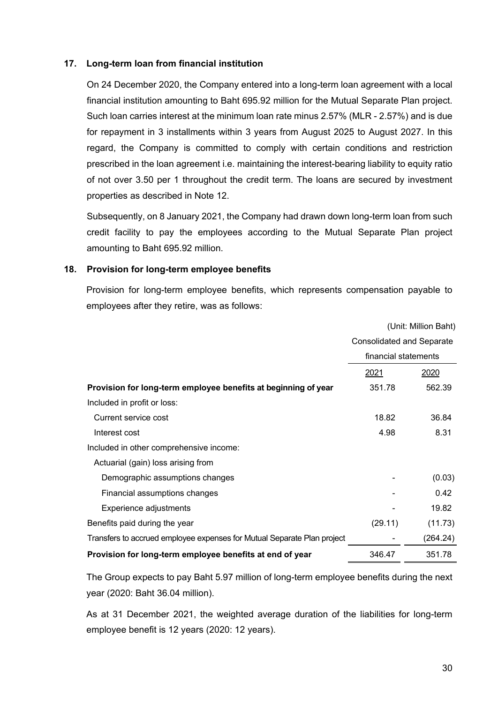#### **17. Long-term loan from financial institution**

On 24 December 2020, the Company entered into a long-term loan agreement with a local financial institution amounting to Baht 695.92 million for the Mutual Separate Plan project. Such loan carries interest at the minimum loan rate minus 2.57% (MLR - 2.57%) and is due for repayment in 3 installments within 3 years from August 2025 to August 2027. In this regard, the Company is committed to comply with certain conditions and restriction prescribed in the loan agreement i.e. maintaining the interest-bearing liability to equity ratio of not over 3.50 per 1 throughout the credit term. The loans are secured by investment properties as described in Note 12.

Subsequently, on 8 January 2021, the Company had drawn down long-term loan from such credit facility to pay the employees according to the Mutual Separate Plan project amounting to Baht 695.92 million.

#### **18. Provision for long-term employee benefits**

Provision for long-term employee benefits, which represents compensation payable to employees after they retire, was as follows:

|                                                                         | (Unit: Million Baht)             |          |  |
|-------------------------------------------------------------------------|----------------------------------|----------|--|
|                                                                         | <b>Consolidated and Separate</b> |          |  |
|                                                                         | financial statements             |          |  |
|                                                                         | 2021                             | 2020     |  |
| Provision for long-term employee benefits at beginning of year          | 351.78                           | 562.39   |  |
| Included in profit or loss:                                             |                                  |          |  |
| Current service cost                                                    | 18.82                            | 36.84    |  |
| Interest cost                                                           | 4.98                             | 8.31     |  |
| Included in other comprehensive income:                                 |                                  |          |  |
| Actuarial (gain) loss arising from                                      |                                  |          |  |
| Demographic assumptions changes                                         |                                  | (0.03)   |  |
| Financial assumptions changes                                           |                                  | 0.42     |  |
| Experience adjustments                                                  |                                  | 19.82    |  |
| Benefits paid during the year                                           | (29.11)                          | (11.73)  |  |
| Transfers to accrued employee expenses for Mutual Separate Plan project |                                  | (264.24) |  |
| Provision for long-term employee benefits at end of year                | 346.47                           | 351.78   |  |

The Group expects to pay Baht 5.97 million of long-term employee benefits during the next year (2020: Baht 36.04 million).

As at 31 December 2021, the weighted average duration of the liabilities for long-term employee benefit is 12 years (2020: 12 years).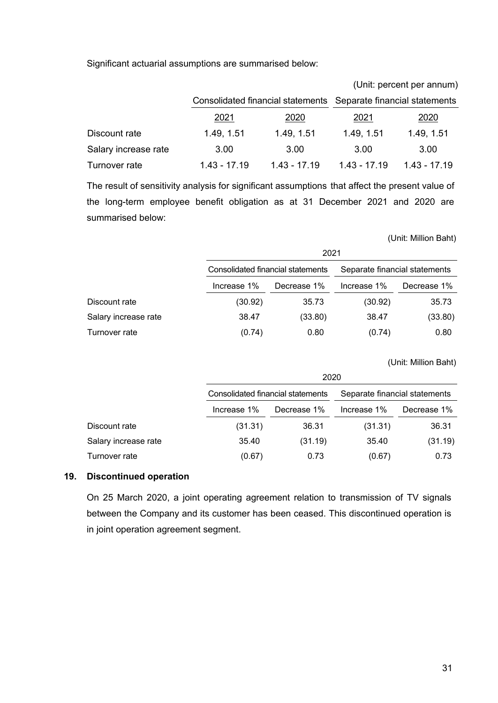Significant actuarial assumptions are summarised below:

|                      |                |                                                                 |                | (Unit: percent per annum) |
|----------------------|----------------|-----------------------------------------------------------------|----------------|---------------------------|
|                      |                | Consolidated financial statements Separate financial statements |                |                           |
|                      | 2021           | 2020                                                            | 2021           | 2020                      |
| Discount rate        | 1.49, 1.51     | 1.49, 1.51                                                      | 1.49, 1.51     | 1.49, 1.51                |
| Salary increase rate | 3.00           | 3.00                                                            | 3.00           | 3.00                      |
| Turnover rate        | $1.43 - 17.19$ | $1.43 - 17.19$                                                  | $1.43 - 17.19$ | $1.43 - 17.19$            |

The result of sensitivity analysis for significant assumptions that affect the present value of the long-term employee benefit obligation as at 31 December 2021 and 2020 are summarised below:

(Unit: Million Baht)

|                      |             | 2021                              |                               |             |  |  |  |
|----------------------|-------------|-----------------------------------|-------------------------------|-------------|--|--|--|
|                      |             | Consolidated financial statements | Separate financial statements |             |  |  |  |
|                      | Increase 1% | Decrease 1%<br>Increase 1%        |                               | Decrease 1% |  |  |  |
| Discount rate        | (30.92)     | 35.73                             | (30.92)                       | 35.73       |  |  |  |
| Salary increase rate | 38.47       | (33.80)                           | 38.47                         | (33.80)     |  |  |  |
| Turnover rate        | (0.74)      | 0.80                              | (0.74)                        | 0.80        |  |  |  |

(Unit: Million Baht)

|                      | 2020        |                                   |                               |             |  |
|----------------------|-------------|-----------------------------------|-------------------------------|-------------|--|
|                      |             | Consolidated financial statements | Separate financial statements |             |  |
|                      | Increase 1% | Decrease 1%                       | Increase 1%                   | Decrease 1% |  |
| Discount rate        | (31.31)     | 36.31                             | (31.31)                       | 36.31       |  |
| Salary increase rate | 35.40       | (31.19)                           | 35.40                         | (31.19)     |  |
| Turnover rate        | (0.67)      | 0.73                              | (0.67)                        | 0.73        |  |

#### **19. Discontinued operation**

On 25 March 2020, a joint operating agreement relation to transmission of TV signals between the Company and its customer has been ceased. This discontinued operation is in joint operation agreement segment.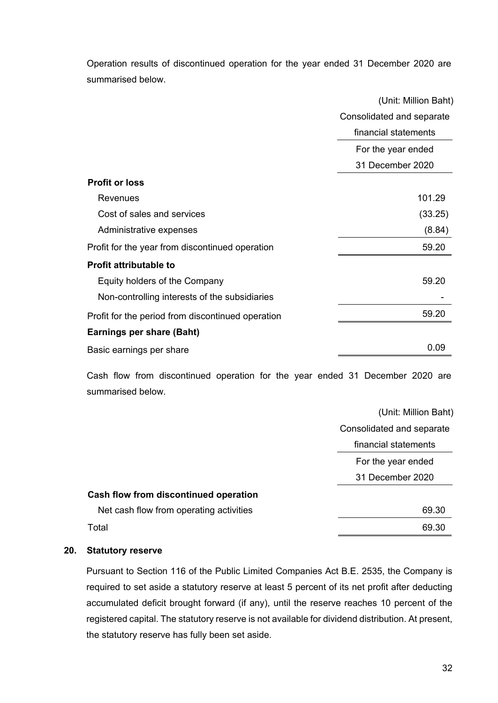Operation results of discontinued operation for the year ended 31 December 2020 are summarised below.

|                                                   | (Unit: Million Baht)      |
|---------------------------------------------------|---------------------------|
|                                                   | Consolidated and separate |
|                                                   | financial statements      |
|                                                   | For the year ended        |
|                                                   | 31 December 2020          |
| <b>Profit or loss</b>                             |                           |
| Revenues                                          | 101.29                    |
| Cost of sales and services                        | (33.25)                   |
| Administrative expenses                           | (8.84)                    |
| Profit for the year from discontinued operation   | 59.20                     |
| <b>Profit attributable to</b>                     |                           |
| Equity holders of the Company                     | 59.20                     |
| Non-controlling interests of the subsidiaries     |                           |
| Profit for the period from discontinued operation | 59.20                     |
| Earnings per share (Baht)                         |                           |
| Basic earnings per share                          | 0.09                      |

Cash flow from discontinued operation for the year ended 31 December 2020 are summarised below.

|                                         | (Unit: Million Baht)      |  |
|-----------------------------------------|---------------------------|--|
|                                         | Consolidated and separate |  |
|                                         | financial statements      |  |
|                                         | For the year ended        |  |
|                                         | 31 December 2020          |  |
| Cash flow from discontinued operation   |                           |  |
| Net cash flow from operating activities | 69.30                     |  |
| Total                                   | 69.30                     |  |

#### **20. Statutory reserve**

Pursuant to Section 116 of the Public Limited Companies Act B.E. 2535, the Company is required to set aside a statutory reserve at least 5 percent of its net profit after deducting accumulated deficit brought forward (if any), until the reserve reaches 10 percent of the registered capital. The statutory reserve is not available for dividend distribution. At present, the statutory reserve has fully been set aside.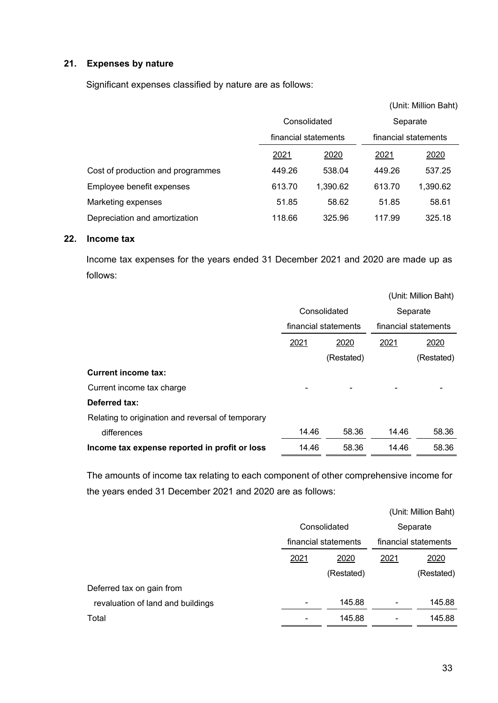#### **21. Expenses by nature**

Significant expenses classified by nature are as follows:

|                                   |                      |          |          | (Unit: Million Baht) |
|-----------------------------------|----------------------|----------|----------|----------------------|
|                                   | Consolidated         |          | Separate |                      |
|                                   | financial statements |          |          | financial statements |
|                                   | 2021                 | 2020     | 2021     | 2020                 |
| Cost of production and programmes | 449.26               | 538.04   | 449.26   | 537.25               |
| Employee benefit expenses         | 613.70               | 1,390.62 | 613.70   | 1,390.62             |
| Marketing expenses                | 51.85                | 58.62    | 51.85    | 58.61                |
| Depreciation and amortization     | 118.66               | 325.96   | 117.99   | 325.18               |

# **22. Income tax**

Income tax expenses for the years ended 31 December 2021 and 2020 are made up as follows:

|                                                   |            |                      |                      | (Unit: Million Baht) |  |
|---------------------------------------------------|------------|----------------------|----------------------|----------------------|--|
|                                                   |            | Consolidated         | Separate             |                      |  |
|                                                   |            | financial statements | financial statements |                      |  |
|                                                   | 2021       | 2020                 | 2021                 | 2020                 |  |
|                                                   | (Restated) |                      |                      | (Restated)           |  |
| <b>Current income tax:</b>                        |            |                      |                      |                      |  |
| Current income tax charge                         |            |                      |                      |                      |  |
| Deferred tax:                                     |            |                      |                      |                      |  |
| Relating to origination and reversal of temporary |            |                      |                      |                      |  |
| differences                                       | 14.46      | 58.36                | 14.46                | 58.36                |  |
| Income tax expense reported in profit or loss     | 14.46      | 58.36                | 14.46                | 58.36                |  |
|                                                   |            |                      |                      |                      |  |

The amounts of income tax relating to each component of other comprehensive income for the years ended 31 December 2021 and 2020 are as follows:

|                                   |              |                      |                      | (Unit: Million Baht) |  |
|-----------------------------------|--------------|----------------------|----------------------|----------------------|--|
|                                   | Consolidated |                      |                      | Separate             |  |
|                                   |              | financial statements | financial statements |                      |  |
|                                   | 2021<br>2020 |                      | 2021                 | 2020                 |  |
|                                   |              | (Restated)           | (Restated)           |                      |  |
| Deferred tax on gain from         |              |                      |                      |                      |  |
| revaluation of land and buildings |              | 145.88               |                      | 145.88               |  |
| Total                             |              | 145.88               |                      | 145.88               |  |
|                                   |              |                      |                      |                      |  |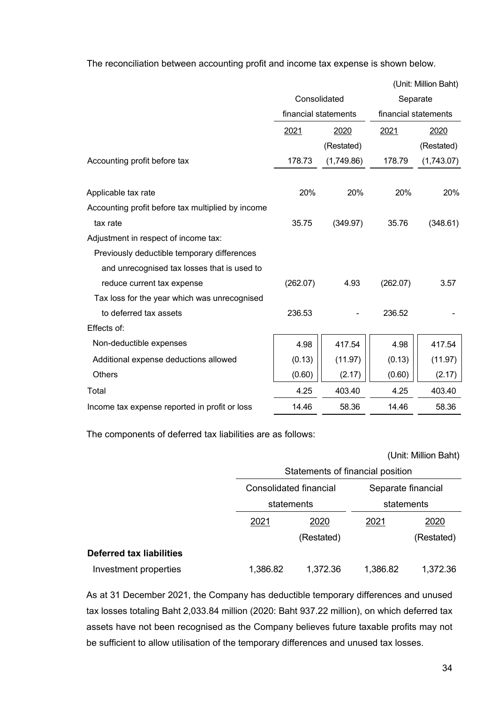The reconciliation between accounting profit and income tax expense is shown below.

|                                                   |                      |            |                      | (Unit: Million Baht) |
|---------------------------------------------------|----------------------|------------|----------------------|----------------------|
|                                                   | Consolidated         |            | Separate             |                      |
|                                                   | financial statements |            | financial statements |                      |
|                                                   | 2021                 | 2020       | 2021                 | 2020                 |
|                                                   |                      | (Restated) |                      | (Restated)           |
| Accounting profit before tax                      | 178.73               | (1,749.86) | 178.79               | (1,743.07)           |
| Applicable tax rate                               | 20%                  | 20%        | 20%                  | 20%                  |
| Accounting profit before tax multiplied by income |                      |            |                      |                      |
| tax rate                                          | 35.75                | (349.97)   | 35.76                | (348.61)             |
| Adjustment in respect of income tax:              |                      |            |                      |                      |
| Previously deductible temporary differences       |                      |            |                      |                      |
| and unrecognised tax losses that is used to       |                      |            |                      |                      |
| reduce current tax expense                        | (262.07)             | 4.93       | (262.07)             | 3.57                 |
| Tax loss for the year which was unrecognised      |                      |            |                      |                      |
| to deferred tax assets                            | 236.53               |            | 236.52               |                      |
| Effects of:                                       |                      |            |                      |                      |
| Non-deductible expenses                           | 4.98                 | 417.54     | 4.98                 | 417.54               |
| Additional expense deductions allowed             | (0.13)               | (11.97)    | (0.13)               | (11.97)              |
| <b>Others</b>                                     | (0.60)               | (2.17)     | (0.60)               | (2.17)               |
| Total                                             | 4.25                 | 403.40     | 4.25                 | 403.40               |
| Income tax expense reported in profit or loss     | 14.46                | 58.36      | 14.46                | 58.36                |
|                                                   |                      |            |                      |                      |

The components of deferred tax liabilities are as follows:

# (Unit: Million Baht)

|                                 |                        | Statements of financial position |                                  |            |  |  |  |  |  |  |  |
|---------------------------------|------------------------|----------------------------------|----------------------------------|------------|--|--|--|--|--|--|--|
|                                 | Consolidated financial |                                  | Separate financial<br>statements |            |  |  |  |  |  |  |  |
|                                 | statements             |                                  |                                  |            |  |  |  |  |  |  |  |
|                                 | 2021<br>2020           |                                  | 2021                             | 2020       |  |  |  |  |  |  |  |
|                                 |                        | (Restated)                       |                                  | (Restated) |  |  |  |  |  |  |  |
| <b>Deferred tax liabilities</b> |                        |                                  |                                  |            |  |  |  |  |  |  |  |
| Investment properties           | 1,386.82               | 1,372.36                         | 1,386.82                         | 1,372.36   |  |  |  |  |  |  |  |

As at 31 December 2021, the Company has deductible temporary differences and unused tax losses totaling Baht 2,033.84 million (2020: Baht 937.22 million), on which deferred tax assets have not been recognised as the Company believes future taxable profits may not be sufficient to allow utilisation of the temporary differences and unused tax losses.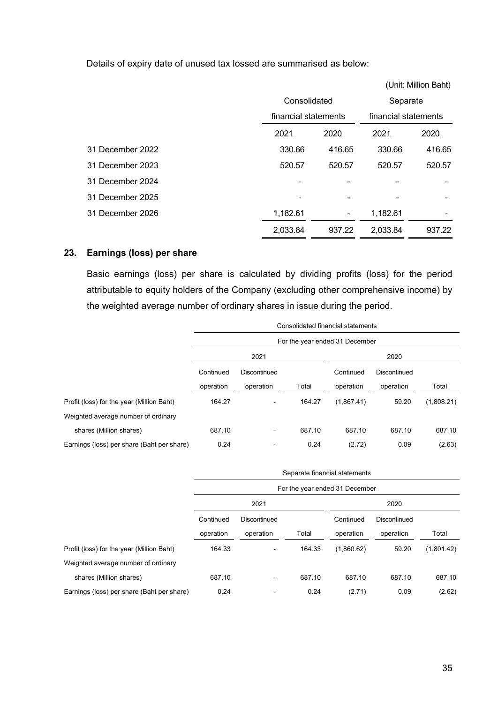Details of expiry date of unused tax lossed are summarised as below:

|                  |                      |              |                      | (Unit: Million Baht) |  |
|------------------|----------------------|--------------|----------------------|----------------------|--|
|                  |                      | Consolidated |                      | Separate             |  |
|                  | financial statements |              | financial statements |                      |  |
|                  | 2021                 | 2020         | 2021                 | 2020                 |  |
| 31 December 2022 | 330.66               | 416.65       | 330.66               | 416.65               |  |
| 31 December 2023 | 520.57               | 520.57       | 520.57               | 520.57               |  |
| 31 December 2024 |                      |              |                      |                      |  |
| 31 December 2025 |                      |              |                      |                      |  |
| 31 December 2026 | 1,182.61             |              | 1,182.61             | ۰                    |  |
|                  | 2,033.84             | 937.22       | 2,033.84             | 937.22               |  |

# **23. Earnings (loss) per share**

Basic earnings (loss) per share is calculated by dividing profits (loss) for the period attributable to equity holders of the Company (excluding other comprehensive income) by the weighted average number of ordinary shares in issue during the period.

|                                            | Consolidated financial statements |              |        |            |              |            |  |  |  |  |
|--------------------------------------------|-----------------------------------|--------------|--------|------------|--------------|------------|--|--|--|--|
|                                            | For the year ended 31 December    |              |        |            |              |            |  |  |  |  |
|                                            |                                   | 2021         |        |            | 2020         |            |  |  |  |  |
|                                            | Continued                         | Discontinued |        | Continued  | Discontinued |            |  |  |  |  |
|                                            | operation                         | operation    | Total  | operation  | operation    | Total      |  |  |  |  |
| Profit (loss) for the year (Million Baht)  | 164.27                            |              | 164.27 | (1,867.41) | 59.20        | (1,808.21) |  |  |  |  |
| Weighted average number of ordinary        |                                   |              |        |            |              |            |  |  |  |  |
| shares (Million shares)                    | 687.10                            | -            | 687.10 | 687.10     | 687.10       | 687.10     |  |  |  |  |
| Earnings (loss) per share (Baht per share) | 0.24                              |              | 0.24   | (2.72)     | 0.09         | (2.63)     |  |  |  |  |

|                                            | Separate financial statements  |              |        |            |              |            |  |  |  |  |  |
|--------------------------------------------|--------------------------------|--------------|--------|------------|--------------|------------|--|--|--|--|--|
|                                            | For the year ended 31 December |              |        |            |              |            |  |  |  |  |  |
|                                            |                                | 2021         |        |            | 2020         |            |  |  |  |  |  |
|                                            | Continued                      | Discontinued |        | Continued  | Discontinued |            |  |  |  |  |  |
|                                            | operation                      | operation    | Total  | operation  | operation    | Total      |  |  |  |  |  |
| Profit (loss) for the year (Million Baht)  | 164.33                         |              | 164.33 | (1,860.62) | 59.20        | (1,801.42) |  |  |  |  |  |
| Weighted average number of ordinary        |                                |              |        |            |              |            |  |  |  |  |  |
| shares (Million shares)                    | 687.10                         | ٠            | 687.10 | 687.10     | 687.10       | 687.10     |  |  |  |  |  |
| Earnings (loss) per share (Baht per share) | 0.24                           |              | 0.24   | (2.71)     | 0.09         | (2.62)     |  |  |  |  |  |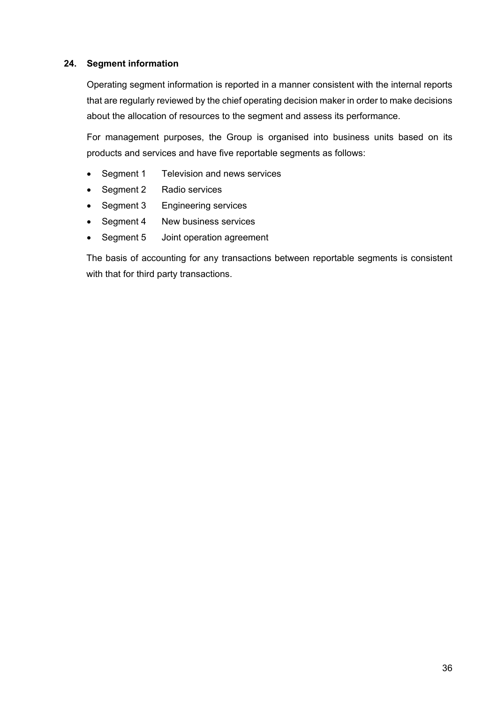### **24. Segment information**

Operating segment information is reported in a manner consistent with the internal reports that are regularly reviewed by the chief operating decision maker in order to make decisions about the allocation of resources to the segment and assess its performance.

For management purposes, the Group is organised into business units based on its products and services and have five reportable segments as follows:

- Segment 1 Television and news services
- Segment 2 Radio services
- Segment 3 Engineering services
- Segment 4 New business services
- Segment 5 Joint operation agreement

The basis of accounting for any transactions between reportable segments is consistent with that for third party transactions.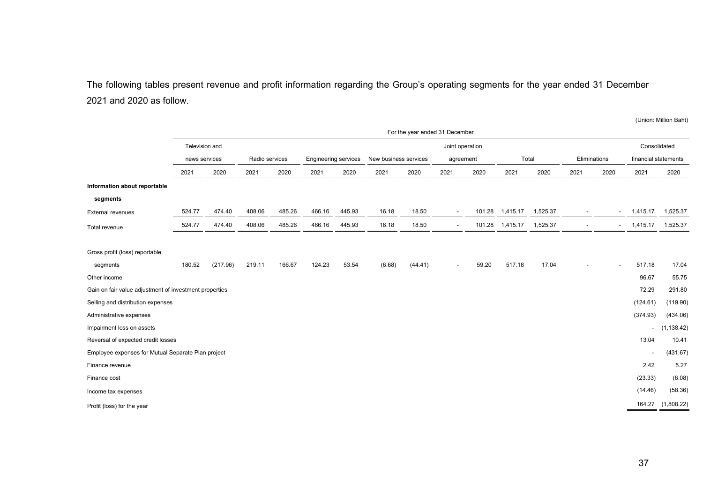The following tables present revenue and profit information regarding the Group's operating segments for the year ended 31 December 2021 and 2020 as follow.

(Union: Million Baht)

|                                                        |                | For the year ended 31 December |                |        |                             |        |        |                       |                          |           |                  |          |                          |              |                      |             |
|--------------------------------------------------------|----------------|--------------------------------|----------------|--------|-----------------------------|--------|--------|-----------------------|--------------------------|-----------|------------------|----------|--------------------------|--------------|----------------------|-------------|
|                                                        | Television and |                                |                |        |                             |        |        |                       | Joint operation          |           |                  |          |                          | Consolidated |                      |             |
|                                                        | news services  |                                | Radio services |        | <b>Engineering services</b> |        |        | New business services |                          | agreement |                  | Total    | Eliminations             |              | financial statements |             |
|                                                        | 2021           | 2020                           | 2021           | 2020   | 2021                        | 2020   | 2021   | 2020                  | 2021                     | 2020      | 2021             | 2020     | 2021                     | 2020         | 2021                 | 2020        |
| Information about reportable                           |                |                                |                |        |                             |        |        |                       |                          |           |                  |          |                          |              |                      |             |
| segments                                               |                |                                |                |        |                             |        |        |                       |                          |           |                  |          |                          |              |                      |             |
| <b>External revenues</b>                               | 524.77         | 474.40                         | 408.06         | 485.26 | 466.16                      | 445.93 | 16.18  | 18.50                 |                          |           | 101.28  1,415.17 | 1,525.37 |                          |              | 1,415.17             | 1,525.37    |
| Total revenue                                          | 524.77         | 474.40                         | 408.06         | 485.26 | 466.16                      | 445.93 | 16.18  | 18.50                 | $\overline{\phantom{a}}$ |           | 101.28  1,415.17 | 1,525.37 | $\overline{\phantom{0}}$ |              | 1,415.17             | 1,525.37    |
|                                                        |                |                                |                |        |                             |        |        |                       |                          |           |                  |          |                          |              |                      |             |
| Gross profit (loss) reportable                         |                |                                |                |        |                             |        |        |                       |                          |           |                  |          |                          |              |                      |             |
| segments                                               | 180.52         | (217.96)                       | 219.11         | 166.67 | 124.23                      | 53.54  | (6.68) | (44.41)               |                          | 59.20     | 517.18           | 17.04    |                          |              | 517.18               | 17.04       |
| Other income                                           |                |                                |                |        |                             |        |        |                       |                          |           |                  |          |                          |              | 96.67                | 55.75       |
| Gain on fair value adjustment of investment properties |                |                                |                |        |                             |        |        |                       |                          |           |                  |          |                          |              | 72.29                | 291.80      |
| Selling and distribution expenses                      |                |                                |                |        |                             |        |        |                       |                          |           |                  |          |                          |              | (124.61)             | (119.90)    |
| Administrative expenses                                |                |                                |                |        |                             |        |        |                       |                          |           |                  |          |                          |              | (374.93)             | (434.06)    |
| Impairment loss on assets                              |                |                                |                |        |                             |        |        |                       |                          |           |                  |          |                          |              | $\sim$               | (1, 138.42) |
| Reversal of expected credit losses                     |                |                                |                |        |                             |        |        |                       |                          |           |                  |          |                          |              | 13.04                | 10.41       |
| Employee expenses for Mutual Separate Plan project     |                |                                |                |        |                             |        |        |                       |                          |           |                  |          |                          |              | $\blacksquare$       | (431.67)    |
| Finance revenue                                        |                |                                |                |        |                             |        |        |                       |                          |           |                  |          |                          |              | 2.42                 | 5.27        |
| Finance cost                                           |                |                                |                |        |                             |        |        |                       |                          |           |                  |          |                          |              | (23.33)              | (6.08)      |
| Income tax expenses                                    |                |                                |                |        |                             |        |        |                       |                          |           |                  |          |                          |              | (14.46)              | (58.36)     |
| Profit (loss) for the year                             |                |                                |                |        |                             |        |        |                       |                          |           |                  |          |                          |              | 164.27               | (1,808.22)  |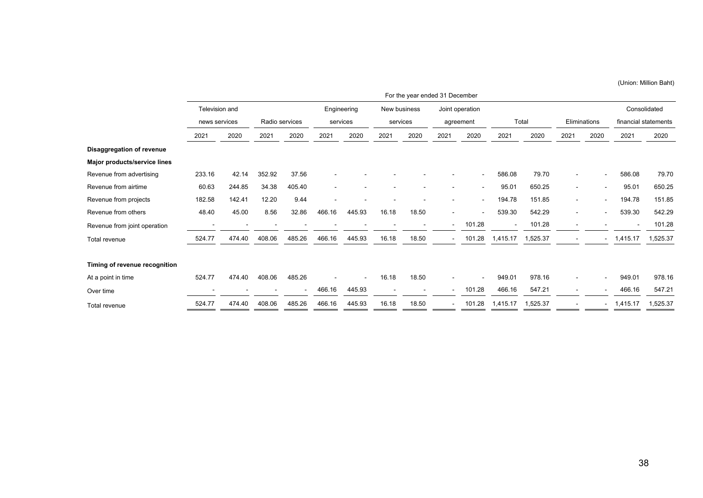#### (Union: Million Baht)

|                               | For the year ended 31 December |        |                |        |        |                |              |          |        |                 |          |          |                |      |                      |              |
|-------------------------------|--------------------------------|--------|----------------|--------|--------|----------------|--------------|----------|--------|-----------------|----------|----------|----------------|------|----------------------|--------------|
|                               | Television and                 |        |                |        |        | Engineering    | New business |          |        | Joint operation |          |          |                |      |                      | Consolidated |
|                               | news services                  |        | Radio services |        |        | services       |              | services |        | agreement       |          | Total    | Eliminations   |      | financial statements |              |
|                               | 2021                           | 2020   | 2021           | 2020   | 2021   | 2020           | 2021         | 2020     | 2021   | 2020            | 2021     | 2020     | 2021           | 2020 | 2021                 | 2020         |
| Disaggregation of revenue     |                                |        |                |        |        |                |              |          |        |                 |          |          |                |      |                      |              |
| Major products/service lines  |                                |        |                |        |        |                |              |          |        |                 |          |          |                |      |                      |              |
| Revenue from advertising      | 233.16                         | 42.14  | 352.92         | 37.56  |        |                |              |          |        | $\sim$          | 586.08   | 79.70    |                |      | 586.08               | 79.70        |
| Revenue from airtime          | 60.63                          | 244.85 | 34.38          | 405.40 |        |                |              |          |        | $\blacksquare$  | 95.01    | 650.25   |                |      | 95.01                | 650.25       |
| Revenue from projects         | 182.58                         | 142.41 | 12.20          | 9.44   |        |                |              |          |        | $\sim$          | 194.78   | 151.85   | $\sim$         |      | 194.78               | 151.85       |
| Revenue from others           | 48.40                          | 45.00  | 8.56           | 32.86  | 466.16 | 445.93         | 16.18        | 18.50    |        |                 | 539.30   | 542.29   |                |      | 539.30               | 542.29       |
| Revenue from joint operation  |                                | $\sim$ |                |        |        |                |              |          | $\sim$ | 101.28          | $\sim$   | 101.28   | $\blacksquare$ |      |                      | 101.28       |
| Total revenue                 | 524.77                         | 474.40 | 408.06         | 485.26 | 466.16 | 445.93         | 16.18        | 18.50    |        | 101.28          | 1,415.17 | 1,525.37 |                |      | 1,415.17             | 1,525.37     |
| Timing of revenue recognition |                                |        |                |        |        |                |              |          |        |                 |          |          |                |      |                      |              |
| At a point in time            | 524.77                         | 474.40 | 408.06         | 485.26 |        | $\blacksquare$ | 16.18        | 18.50    |        | $\sim$          | 949.01   | 978.16   |                |      | 949.01               | 978.16       |
| Over time                     |                                |        |                |        | 466.16 | 445.93         |              |          |        | 101.28          | 466.16   | 547.21   |                |      | 466.16               | 547.21       |
| Total revenue                 | 524.77                         | 474.40 | 408.06         | 485.26 | 466.16 | 445.93         | 16.18        | 18.50    |        | 101.28          | 1,415.17 | 1,525.37 |                |      | 1,415.17             | 1,525.37     |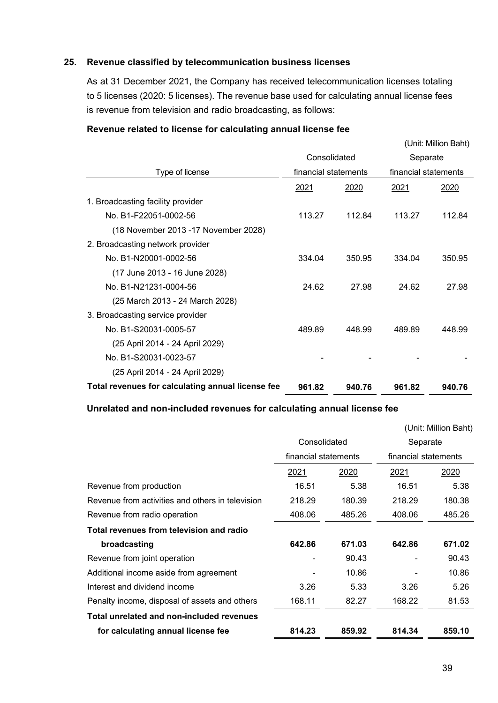### **25. Revenue classified by telecommunication business licenses**

As at 31 December 2021, the Company has received telecommunication licenses totaling to 5 licenses (2020: 5 licenses). The revenue base used for calculating annual license fees is revenue from television and radio broadcasting, as follows:

|                                                   |                      |        | (Unit: Million Baht) |        |  |  |
|---------------------------------------------------|----------------------|--------|----------------------|--------|--|--|
|                                                   | Consolidated         |        | Separate             |        |  |  |
| Type of license                                   | financial statements |        | financial statements |        |  |  |
|                                                   | 2021                 | 2020   | 2021                 | 2020   |  |  |
| 1. Broadcasting facility provider                 |                      |        |                      |        |  |  |
| No. B1-F22051-0002-56                             | 113.27               | 112.84 | 113.27               | 112.84 |  |  |
| (18 November 2013 -17 November 2028)              |                      |        |                      |        |  |  |
| 2. Broadcasting network provider                  |                      |        |                      |        |  |  |
| No. B1-N20001-0002-56                             | 334.04               | 350.95 | 334.04               | 350.95 |  |  |
| (17 June 2013 - 16 June 2028)                     |                      |        |                      |        |  |  |
| No. B1-N21231-0004-56                             | 24.62                | 27.98  | 24.62                | 27.98  |  |  |
| (25 March 2013 - 24 March 2028)                   |                      |        |                      |        |  |  |
| 3. Broadcasting service provider                  |                      |        |                      |        |  |  |
| No. B1-S20031-0005-57                             | 489.89               | 448.99 | 489.89               | 448.99 |  |  |
| (25 April 2014 - 24 April 2029)                   |                      |        |                      |        |  |  |
| No. B1-S20031-0023-57                             |                      |        |                      |        |  |  |
| (25 April 2014 - 24 April 2029)                   |                      |        |                      |        |  |  |
| Total revenues for calculating annual license fee | 961.82               | 940.76 | 961.82               | 940.76 |  |  |

#### **Revenue related to license for calculating annual license fee**

#### **Unrelated and non-included revenues for calculating annual license fee**

|                                                  |                      |        |                      | (Unit: Million Baht) |
|--------------------------------------------------|----------------------|--------|----------------------|----------------------|
|                                                  | Consolidated         |        | Separate             |                      |
|                                                  | financial statements |        | financial statements |                      |
|                                                  | 2021<br>2020         |        | 2021                 | 2020                 |
| Revenue from production                          | 16.51                | 5.38   | 16.51                | 5.38                 |
| Revenue from activities and others in television | 218.29               | 180.39 | 218.29               | 180.38               |
| Revenue from radio operation                     | 408.06               | 485.26 | 408.06               | 485.26               |
| Total revenues from television and radio         |                      |        |                      |                      |
| broadcasting                                     | 642.86               | 671.03 | 642.86               | 671.02               |
| Revenue from joint operation                     |                      | 90.43  |                      | 90.43                |
| Additional income aside from agreement           |                      | 10.86  |                      | 10.86                |
| Interest and dividend income                     | 3.26                 | 5.33   | 3.26                 | 5.26                 |
| Penalty income, disposal of assets and others    | 168.11               | 82.27  | 168.22               | 81.53                |
| Total unrelated and non-included revenues        |                      |        |                      |                      |
| for calculating annual license fee               | 814.23               | 859.92 | 814.34               | 859.10               |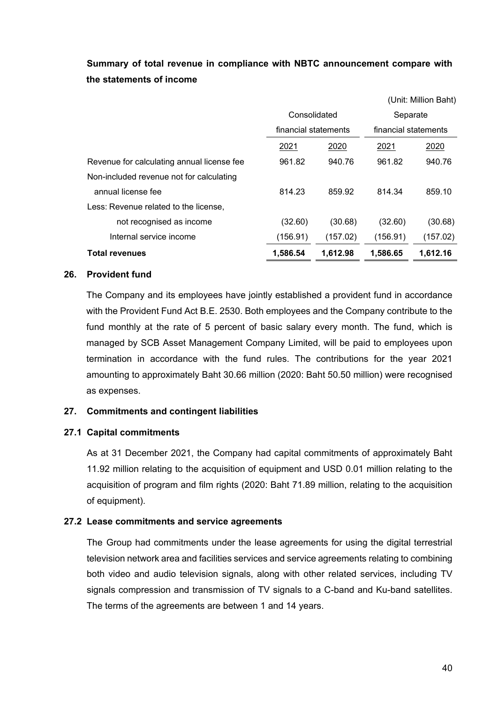**Summary of total revenue in compliance with NBTC announcement compare with the statements of income**

|                                            |                      |          |                      | (Unit: Million Baht) |
|--------------------------------------------|----------------------|----------|----------------------|----------------------|
|                                            | Consolidated         |          | Separate             |                      |
|                                            | financial statements |          | financial statements |                      |
|                                            | 2021                 | 2020     | 2021                 | 2020                 |
| Revenue for calculating annual license fee | 961.82               | 940.76   | 961.82               | 940.76               |
| Non-included revenue not for calculating   |                      |          |                      |                      |
| annual license fee                         | 814.23               | 859.92   | 814.34               | 859.10               |
| Less: Revenue related to the license,      |                      |          |                      |                      |
| not recognised as income                   | (32.60)              | (30.68)  | (32.60)              | (30.68)              |
| Internal service income                    | (156.91)             | (157.02) | (156.91)             | (157.02)             |
| <b>Total revenues</b>                      | 1,586.54             | 1.612.98 | 1,586.65             | 1.612.16             |
|                                            |                      |          |                      |                      |

#### **26. Provident fund**

The Company and its employees have jointly established a provident fund in accordance with the Provident Fund Act B.E. 2530. Both employees and the Company contribute to the fund monthly at the rate of 5 percent of basic salary every month. The fund, which is managed by SCB Asset Management Company Limited, will be paid to employees upon termination in accordance with the fund rules. The contributions for the year 2021 amounting to approximately Baht 30.66 million (2020: Baht 50.50 million) were recognised as expenses.

#### **27. Commitments and contingent liabilities**

#### **27.1 Capital commitments**

As at 31 December 2021, the Company had capital commitments of approximately Baht 11.92 million relating to the acquisition of equipment and USD 0.01 million relating to the acquisition of program and film rights (2020: Baht 71.89 million, relating to the acquisition of equipment).

#### **27.2 Lease commitments and service agreements**

The Group had commitments under the lease agreements for using the digital terrestrial television network area and facilities services and service agreements relating to combining both video and audio television signals, along with other related services, including TV signals compression and transmission of TV signals to a C-band and Ku-band satellites. The terms of the agreements are between 1 and 14 years.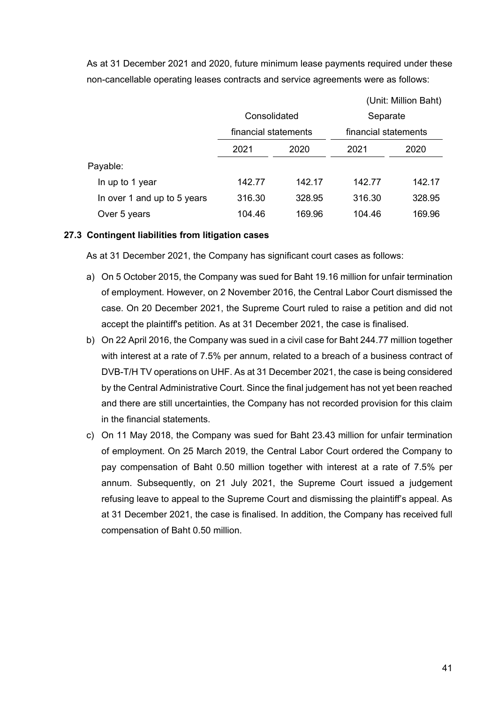As at 31 December 2021 and 2020, future minimum lease payments required under these non-cancellable operating leases contracts and service agreements were as follows:

|                             |                      |        |                      | (Unit: Million Baht) |  |
|-----------------------------|----------------------|--------|----------------------|----------------------|--|
|                             | Consolidated         |        | Separate             |                      |  |
|                             | financial statements |        | financial statements |                      |  |
|                             | 2021                 | 2020   | 2021                 | 2020                 |  |
| Payable:                    |                      |        |                      |                      |  |
| In up to 1 year             | 142.77               | 142.17 | 142.77               | 142.17               |  |
| In over 1 and up to 5 years | 316.30               | 328.95 | 316.30               | 328.95               |  |
| Over 5 years                | 104.46               | 169.96 | 104.46               | 169.96               |  |

#### **27.3 Contingent liabilities from litigation cases**

As at 31 December 2021, the Company has significant court cases as follows:

- a) On 5 October 2015, the Company was sued for Baht 19.16 million for unfair termination of employment. However, on 2 November 2016, the Central Labor Court dismissed the case. On 20 December 2021, the Supreme Court ruled to raise a petition and did not accept the plaintiff's petition. As at 31 December 2021, the case is finalised.
- b) On 22 April 2016, the Company was sued in a civil case for Baht 244.77 million together with interest at a rate of 7.5% per annum, related to a breach of a business contract of DVB-T/H TV operations on UHF. As at 31 December 2021, the case is being considered by the Central Administrative Court. Since the final judgement has not yet been reached and there are still uncertainties, the Company has not recorded provision for this claim in the financial statements.
- c) On 11 May 2018, the Company was sued for Baht 23.43 million for unfair termination of employment. On 25 March 2019, the Central Labor Court ordered the Company to pay compensation of Baht 0.50 million together with interest at a rate of 7.5% per annum. Subsequently, on 21 July 2021, the Supreme Court issued a judgement refusing leave to appeal to the Supreme Court and dismissing the plaintiff's appeal. As at 31 December 2021, the case is finalised. In addition, the Company has received full compensation of Baht 0.50 million.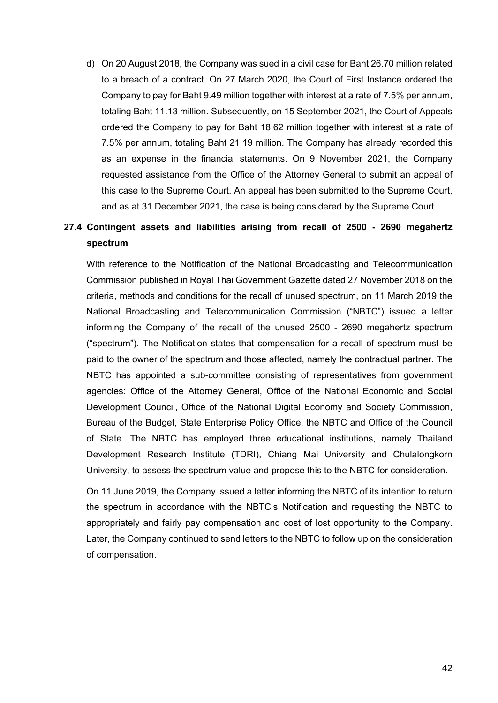d) On 20 August 2018, the Company was sued in a civil case for Baht 26.70 million related to a breach of a contract. On 27 March 2020, the Court of First Instance ordered the Company to pay for Baht 9.49 million together with interest at a rate of 7.5% per annum, totaling Baht 11.13 million. Subsequently, on 15 September 2021, the Court of Appeals ordered the Company to pay for Baht 18.62 million together with interest at a rate of 7.5% per annum, totaling Baht 21.19 million. The Company has already recorded this as an expense in the financial statements. On 9 November 2021, the Company requested assistance from the Office of the Attorney General to submit an appeal of this case to the Supreme Court. An appeal has been submitted to the Supreme Court, and as at 31 December 2021, the case is being considered by the Supreme Court.

# **27.4 Contingent assets and liabilities arising from recall of 2500 - 2690 megahertz spectrum**

With reference to the Notification of the National Broadcasting and Telecommunication Commission published in Royal Thai Government Gazette dated 27 November 2018 on the criteria, methods and conditions for the recall of unused spectrum, on 11 March 2019 the National Broadcasting and Telecommunication Commission ("NBTC") issued a letter informing the Company of the recall of the unused 2500 - 2690 megahertz spectrum ("spectrum"). The Notification states that compensation for a recall of spectrum must be paid to the owner of the spectrum and those affected, namely the contractual partner. The NBTC has appointed a sub-committee consisting of representatives from government agencies: Office of the Attorney General, Office of the National Economic and Social Development Council, Office of the National Digital Economy and Society Commission, Bureau of the Budget, State Enterprise Policy Office, the NBTC and Office of the Council of State. The NBTC has employed three educational institutions, namely Thailand Development Research Institute (TDRI), Chiang Mai University and Chulalongkorn University, to assess the spectrum value and propose this to the NBTC for consideration.

On 11 June 2019, the Company issued a letter informing the NBTC of its intention to return the spectrum in accordance with the NBTC's Notification and requesting the NBTC to appropriately and fairly pay compensation and cost of lost opportunity to the Company. Later, the Company continued to send letters to the NBTC to follow up on the consideration of compensation.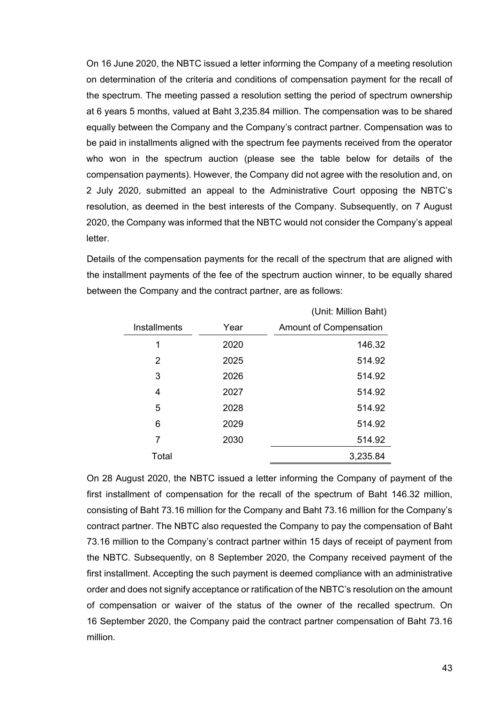On 16 June 2020, the NBTC issued a letter informing the Company of a meeting resolution on determination of the criteria and conditions of compensation payment for the recall of the spectrum. The meeting passed a resolution setting the period of spectrum ownership at 6 years 5 months, valued at Baht 3,235.84 million. The compensation was to be shared equally between the Company and the Company's contract partner. Compensation was to be paid in installments aligned with the spectrum fee payments received from the operator who won in the spectrum auction (please see the table below for details of the compensation payments). However, the Company did not agree with the resolution and, on 2 July 2020, submitted an appeal to the Administrative Court opposing the NBTC's resolution, as deemed in the best interests of the Company. Subsequently, on 7 August 2020, the Company was informed that the NBTC would not consider the Company's appeal letter.

Details of the compensation payments for the recall of the spectrum that are aligned with the installment payments of the fee of the spectrum auction winner, to be equally shared between the Company and the contract partner, are as follows:

|              |      | (Unit: Million Baht)   |
|--------------|------|------------------------|
| Installments | Year | Amount of Compensation |
| 1            | 2020 | 146.32                 |
| 2            | 2025 | 514.92                 |
| 3            | 2026 | 514.92                 |
| 4            | 2027 | 514.92                 |
| 5            | 2028 | 514.92                 |
| 6            | 2029 | 514.92                 |
| 7            | 2030 | 514.92                 |
| Total        |      | 3,235.84               |

On 28 August 2020, the NBTC issued a letter informing the Company of payment of the first installment of compensation for the recall of the spectrum of Baht 146.32 million, consisting of Baht 73.16 million for the Company and Baht 73.16 million for the Company's contract partner. The NBTC also requested the Company to pay the compensation of Baht 73.16 million to the Company's contract partner within 15 days of receipt of payment from the NBTC. Subsequently, on 8 September 2020, the Company received payment of the first installment. Accepting the such payment is deemed compliance with an administrative order and does not signify acceptance or ratification of the NBTC's resolution on the amount of compensation or waiver of the status of the owner of the recalled spectrum. On 16 September 2020, the Company paid the contract partner compensation of Baht 73.16 million.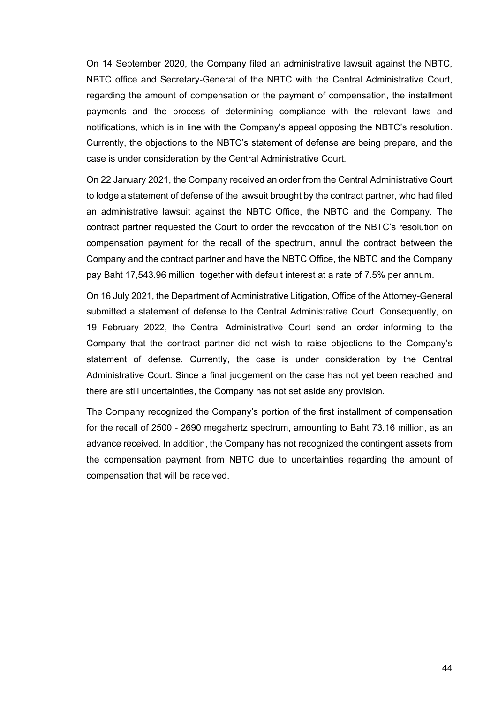On 14 September 2020, the Company filed an administrative lawsuit against the NBTC, NBTC office and Secretary-General of the NBTC with the Central Administrative Court, regarding the amount of compensation or the payment of compensation, the installment payments and the process of determining compliance with the relevant laws and notifications, which is in line with the Company's appeal opposing the NBTC's resolution. Currently, the objections to the NBTC's statement of defense are being prepare, and the case is under consideration by the Central Administrative Court.

On 22 January 2021, the Company received an order from the Central Administrative Court to lodge a statement of defense of the lawsuit brought by the contract partner, who had filed an administrative lawsuit against the NBTC Office, the NBTC and the Company. The contract partner requested the Court to order the revocation of the NBTC's resolution on compensation payment for the recall of the spectrum, annul the contract between the Company and the contract partner and have the NBTC Office, the NBTC and the Company pay Baht 17,543.96 million, together with default interest at a rate of 7.5% per annum.

On 16 July 2021, the Department of Administrative Litigation, Office of the Attorney-General submitted a statement of defense to the Central Administrative Court. Consequently, on 19 February 2022, the Central Administrative Court send an order informing to the Company that the contract partner did not wish to raise objections to the Company's statement of defense. Currently, the case is under consideration by the Central Administrative Court. Since a final judgement on the case has not yet been reached and there are still uncertainties, the Company has not set aside any provision.

The Company recognized the Company's portion of the first installment of compensation for the recall of 2500 - 2690 megahertz spectrum, amounting to Baht 73.16 million, as an advance received. In addition, the Company has not recognized the contingent assets from the compensation payment from NBTC due to uncertainties regarding the amount of compensation that will be received.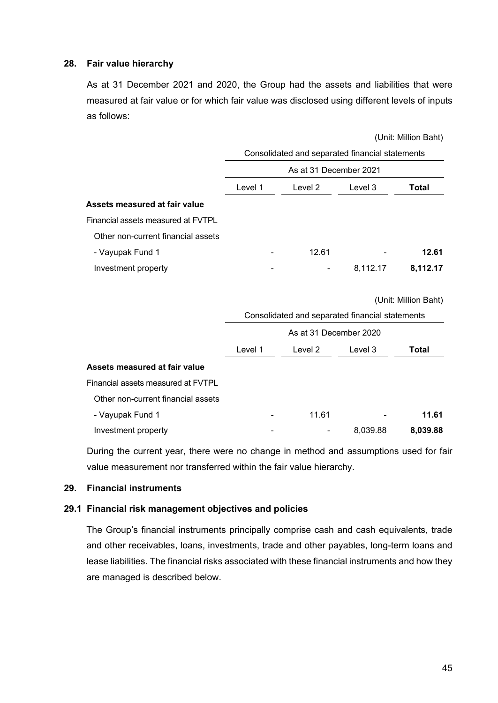#### **28. Fair value hierarchy**

As at 31 December 2021 and 2020, the Group had the assets and liabilities that were measured at fair value or for which fair value was disclosed using different levels of inputs as follows:

|                                    |                                                 |         |          | (Unit: Million Baht) |  |  |  |
|------------------------------------|-------------------------------------------------|---------|----------|----------------------|--|--|--|
|                                    | Consolidated and separated financial statements |         |          |                      |  |  |  |
|                                    | As at 31 December 2021                          |         |          |                      |  |  |  |
|                                    | Level 1                                         | Level 2 | Level 3  | Total                |  |  |  |
| Assets measured at fair value      |                                                 |         |          |                      |  |  |  |
| Financial assets measured at FVTPL |                                                 |         |          |                      |  |  |  |
| Other non-current financial assets |                                                 |         |          |                      |  |  |  |
| - Vayupak Fund 1                   |                                                 | 12.61   |          | 12.61                |  |  |  |
| Investment property                |                                                 | ۰       | 8,112.17 | 8,112.17             |  |  |  |
|                                    |                                                 |         |          |                      |  |  |  |

(Unit: Million Baht)

|                                    | Consolidated and separated financial statements |         |          |          |  |  |  |
|------------------------------------|-------------------------------------------------|---------|----------|----------|--|--|--|
|                                    | As at 31 December 2020                          |         |          |          |  |  |  |
|                                    | Level 1                                         | Level 2 | Level 3  | Total    |  |  |  |
| Assets measured at fair value      |                                                 |         |          |          |  |  |  |
| Financial assets measured at FVTPL |                                                 |         |          |          |  |  |  |
| Other non-current financial assets |                                                 |         |          |          |  |  |  |
| - Vayupak Fund 1                   |                                                 | 11.61   |          | 11.61    |  |  |  |
| Investment property                |                                                 |         | 8,039.88 | 8,039.88 |  |  |  |

During the current year, there were no change in method and assumptions used for fair value measurement nor transferred within the fair value hierarchy.

#### **29. Financial instruments**

#### **29.1 Financial risk management objectives and policies**

The Group's financial instruments principally comprise cash and cash equivalents, trade and other receivables, loans, investments, trade and other payables, long-term loans and lease liabilities. The financial risks associated with these financial instruments and how they are managed is described below.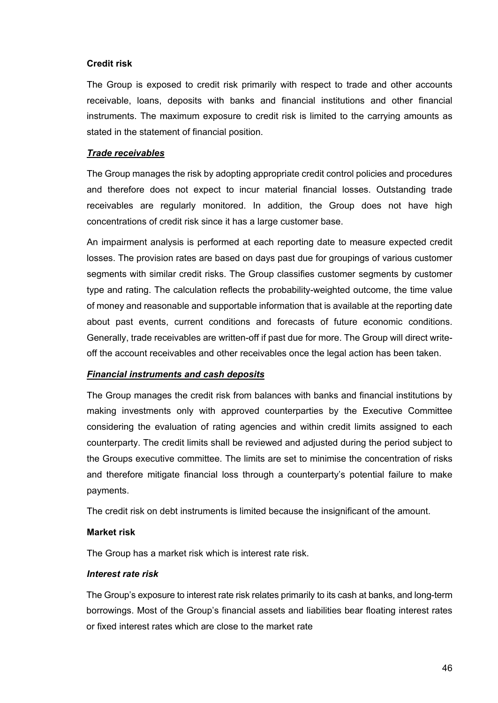#### **Credit risk**

The Group is exposed to credit risk primarily with respect to trade and other accounts receivable, loans, deposits with banks and financial institutions and other financial instruments. The maximum exposure to credit risk is limited to the carrying amounts as stated in the statement of financial position.

#### *Trade receivables*

The Group manages the risk by adopting appropriate credit control policies and procedures and therefore does not expect to incur material financial losses. Outstanding trade receivables are regularly monitored. In addition, the Group does not have high concentrations of credit risk since it has a large customer base.

An impairment analysis is performed at each reporting date to measure expected credit losses. The provision rates are based on days past due for groupings of various customer segments with similar credit risks. The Group classifies customer segments by customer type and rating. The calculation reflects the probability-weighted outcome, the time value of money and reasonable and supportable information that is available at the reporting date about past events, current conditions and forecasts of future economic conditions. Generally, trade receivables are written-off if past due for more. The Group will direct writeoff the account receivables and other receivables once the legal action has been taken.

#### *Financial instruments and cash deposits*

The Group manages the credit risk from balances with banks and financial institutions by making investments only with approved counterparties by the Executive Committee considering the evaluation of rating agencies and within credit limits assigned to each counterparty. The credit limits shall be reviewed and adjusted during the period subject to the Groups executive committee. The limits are set to minimise the concentration of risks and therefore mitigate financial loss through a counterparty's potential failure to make payments.

The credit risk on debt instruments is limited because the insignificant of the amount.

#### **Market risk**

The Group has a market risk which is interest rate risk.

#### *Interest rate risk*

The Group's exposure to interest rate risk relates primarily to its cash at banks, and long-term borrowings. Most of the Group's financial assets and liabilities bear floating interest rates or fixed interest rates which are close to the market rate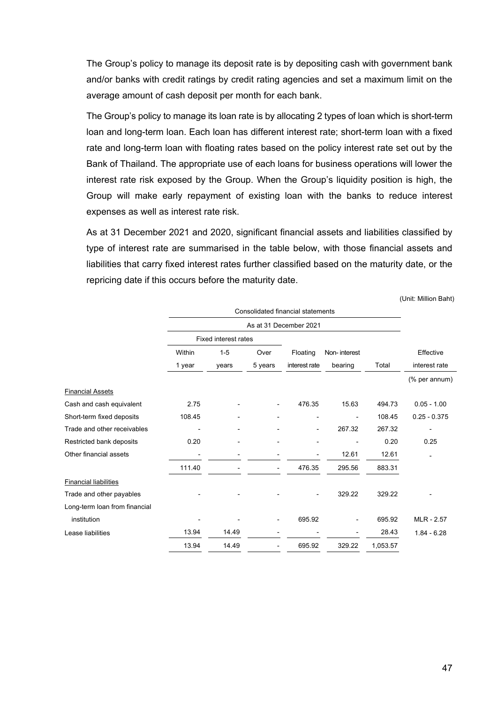The Group's policy to manage its deposit rate is by depositing cash with government bank and/or banks with credit ratings by credit rating agencies and set a maximum limit on the average amount of cash deposit per month for each bank.

The Group's policy to manage its loan rate is by allocating 2 types of loan which is short-term loan and long-term loan. Each loan has different interest rate; short-term loan with a fixed rate and long-term loan with floating rates based on the policy interest rate set out by the Bank of Thailand. The appropriate use of each loans for business operations will lower the interest rate risk exposed by the Group. When the Group's liquidity position is high, the Group will make early repayment of existing loan with the banks to reduce interest expenses as well as interest rate risk.

As at 31 December 2021 and 2020, significant financial assets and liabilities classified by type of interest rate are summarised in the table below, with those financial assets and liabilities that carry fixed interest rates further classified based on the maturity date, or the repricing date if this occurs before the maturity date.

(Unit: Million Baht)

|                               | Consolidated financial statements |                             |         |               |              |          |                |
|-------------------------------|-----------------------------------|-----------------------------|---------|---------------|--------------|----------|----------------|
|                               |                                   | As at 31 December 2021      |         |               |              |          |                |
|                               |                                   | <b>Fixed interest rates</b> |         |               |              |          |                |
|                               | Within                            | $1 - 5$                     | Over    | Floating      | Non-interest |          | Effective      |
|                               | 1 year                            | years                       | 5 years | interest rate | bearing      | Total    | interest rate  |
|                               |                                   |                             |         |               |              |          | (% per annum)  |
| <b>Financial Assets</b>       |                                   |                             |         |               |              |          |                |
| Cash and cash equivalent      | 2.75                              |                             |         | 476.35        | 15.63        | 494.73   | $0.05 - 1.00$  |
| Short-term fixed deposits     | 108.45                            |                             |         |               |              | 108.45   | $0.25 - 0.375$ |
| Trade and other receivables   |                                   |                             |         | -             | 267.32       | 267.32   |                |
| Restricted bank deposits      | 0.20                              |                             |         |               |              | 0.20     | 0.25           |
| Other financial assets        |                                   |                             |         |               | 12.61        | 12.61    |                |
|                               | 111.40                            |                             |         | 476.35        | 295.56       | 883.31   |                |
| <b>Financial liabilities</b>  |                                   |                             |         |               |              |          |                |
| Trade and other payables      |                                   |                             |         |               | 329.22       | 329.22   |                |
| Long-term loan from financial |                                   |                             |         |               |              |          |                |
| institution                   |                                   |                             |         | 695.92        |              | 695.92   | MLR - 2.57     |
| Lease liabilities             | 13.94                             | 14.49                       |         |               |              | 28.43    | $1.84 - 6.28$  |
|                               | 13.94                             | 14.49                       |         | 695.92        | 329.22       | 1,053.57 |                |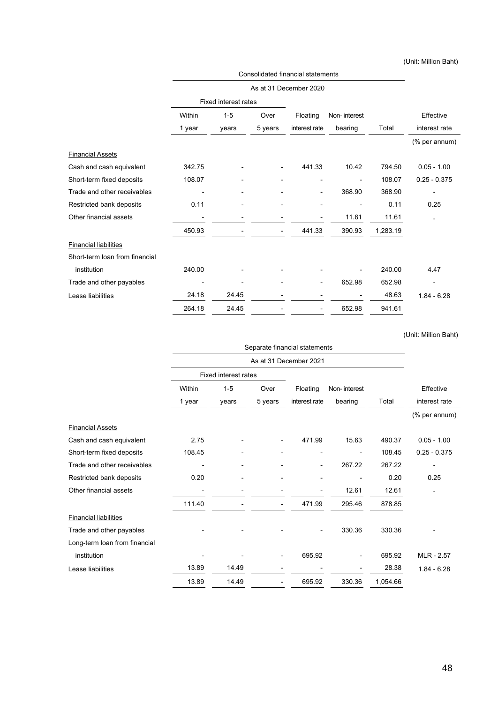(Unit: Million Baht)

|                                | Consolidated financial statements<br>As at 31 December 2020 |                             |         |                          |              |          |                |
|--------------------------------|-------------------------------------------------------------|-----------------------------|---------|--------------------------|--------------|----------|----------------|
|                                |                                                             |                             |         |                          |              |          |                |
|                                |                                                             | <b>Fixed interest rates</b> |         |                          |              |          |                |
|                                | Within                                                      | $1 - 5$                     | Over    | Floating                 | Non-interest |          | Effective      |
|                                | 1 year                                                      | years                       | 5 years | interest rate            | bearing      | Total    | interest rate  |
|                                |                                                             |                             |         |                          |              |          | (% per annum)  |
| <b>Financial Assets</b>        |                                                             |                             |         |                          |              |          |                |
| Cash and cash equivalent       | 342.75                                                      |                             |         | 441.33                   | 10.42        | 794.50   | $0.05 - 1.00$  |
| Short-term fixed deposits      | 108.07                                                      |                             |         | $\overline{\phantom{0}}$ |              | 108.07   | $0.25 - 0.375$ |
| Trade and other receivables    |                                                             | $\overline{a}$              |         | $\overline{\phantom{a}}$ | 368.90       | 368.90   |                |
| Restricted bank deposits       | 0.11                                                        | $\overline{\phantom{0}}$    |         | $\overline{\phantom{0}}$ |              | 0.11     | 0.25           |
| Other financial assets         |                                                             |                             |         |                          | 11.61        | 11.61    |                |
|                                | 450.93                                                      |                             |         | 441.33                   | 390.93       | 1,283.19 |                |
| <b>Financial liabilities</b>   |                                                             |                             |         |                          |              |          |                |
| Short-term loan from financial |                                                             |                             |         |                          |              |          |                |
| institution                    | 240.00                                                      |                             |         |                          |              | 240.00   | 4.47           |
| Trade and other payables       |                                                             |                             |         | $\overline{\phantom{a}}$ | 652.98       | 652.98   |                |
| Lease liabilities              | 24.18                                                       | 24.45                       |         |                          |              | 48.63    | $1.84 - 6.28$  |
|                                | 264.18                                                      | 24.45                       |         | $\overline{\phantom{0}}$ | 652.98       | 941.61   |                |

(Unit: Million Baht)

|                               | Separate financial statements |                             |                          |                          |              |          |                |
|-------------------------------|-------------------------------|-----------------------------|--------------------------|--------------------------|--------------|----------|----------------|
|                               |                               | As at 31 December 2021      |                          |                          |              |          |                |
|                               |                               | <b>Fixed interest rates</b> |                          |                          |              |          |                |
|                               | Within                        | $1 - 5$                     | Over                     | Floating                 | Non-interest |          | Effective      |
|                               | 1 year                        | years                       | 5 years                  | interest rate            | bearing      | Total    | interest rate  |
|                               |                               |                             |                          |                          |              |          | (% per annum)  |
| <b>Financial Assets</b>       |                               |                             |                          |                          |              |          |                |
| Cash and cash equivalent      | 2.75                          |                             |                          | 471.99                   | 15.63        | 490.37   | $0.05 - 1.00$  |
| Short-term fixed deposits     | 108.45                        |                             |                          | $\blacksquare$           |              | 108.45   | $0.25 - 0.375$ |
| Trade and other receivables   |                               | $\blacksquare$              |                          | $\overline{\phantom{a}}$ | 267.22       | 267.22   |                |
| Restricted bank deposits      | 0.20                          |                             |                          |                          |              | 0.20     | 0.25           |
| Other financial assets        |                               |                             |                          |                          | 12.61        | 12.61    |                |
|                               | 111.40                        |                             |                          | 471.99                   | 295.46       | 878.85   |                |
| <b>Financial liabilities</b>  |                               |                             |                          |                          |              |          |                |
| Trade and other payables      |                               |                             |                          |                          | 330.36       | 330.36   |                |
| Long-term loan from financial |                               |                             |                          |                          |              |          |                |
| institution                   |                               |                             | $\overline{\phantom{a}}$ | 695.92                   |              | 695.92   | MLR - 2.57     |
| Lease liabilities             | 13.89                         | 14.49                       |                          |                          |              | 28.38    | $1.84 - 6.28$  |
|                               | 13.89                         | 14.49                       |                          | 695.92                   | 330.36       | 1,054.66 |                |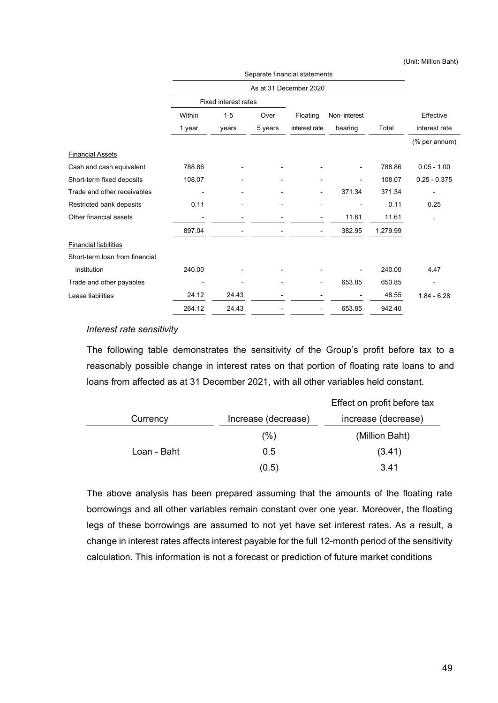(Unit: Million Baht)

|                                | Separate financial statements |                             |         |                |              |          |                |
|--------------------------------|-------------------------------|-----------------------------|---------|----------------|--------------|----------|----------------|
|                                |                               | As at 31 December 2020      |         |                |              |          |                |
|                                |                               | <b>Fixed interest rates</b> |         |                |              |          |                |
|                                | Within                        | $1 - 5$                     | Over    | Floating       | Non-interest |          | Effective      |
|                                | 1 year                        | years                       | 5 years | interest rate  | bearing      | Total    | interest rate  |
|                                |                               |                             |         |                |              |          | (% per annum)  |
| <b>Financial Assets</b>        |                               |                             |         |                |              |          |                |
| Cash and cash equivalent       | 788.86                        |                             |         |                |              | 788.86   | $0.05 - 1.00$  |
| Short-term fixed deposits      | 108.07                        | $\overline{\phantom{0}}$    | -       |                |              | 108.07   | $0.25 - 0.375$ |
| Trade and other receivables    |                               |                             |         | $\blacksquare$ | 371.34       | 371.34   |                |
| Restricted bank deposits       | 0.11                          |                             |         |                |              | 0.11     | 0.25           |
| Other financial assets         |                               |                             |         |                | 11.61        | 11.61    |                |
|                                | 897.04                        |                             |         |                | 382.95       | 1,279.99 |                |
| <b>Financial liabilities</b>   |                               |                             |         |                |              |          |                |
| Short-term loan from financial |                               |                             |         |                |              |          |                |
| institution                    | 240.00                        |                             |         |                |              | 240.00   | 4.47           |
| Trade and other payables       |                               |                             |         |                | 653.85       | 653.85   |                |
| Lease liabilities              | 24.12                         | 24.43                       |         |                |              | 48.55    | $1.84 - 6.28$  |
|                                | 264.12                        | 24.43                       |         | $\overline{a}$ | 653.85       | 942.40   |                |

#### *Interest rate sensitivity*

The following table demonstrates the sensitivity of the Group's profit before tax to a reasonably possible change in interest rates on that portion of floating rate loans to and loans from affected as at 31 December 2021, with all other variables held constant.

|             |                     | Effect on profit before tax |
|-------------|---------------------|-----------------------------|
| Currency    | Increase (decrease) | increase (decrease)         |
|             | (%)                 | (Million Baht)              |
| Loan - Baht | 0.5                 | (3.41)                      |
|             | (0.5)               | 3.41                        |

The above analysis has been prepared assuming that the amounts of the floating rate borrowings and all other variables remain constant over one year. Moreover, the floating legs of these borrowings are assumed to not yet have set interest rates. As a result, a change in interest rates affects interest payable for the full 12-month period of the sensitivity calculation. This information is not a forecast or prediction of future market conditions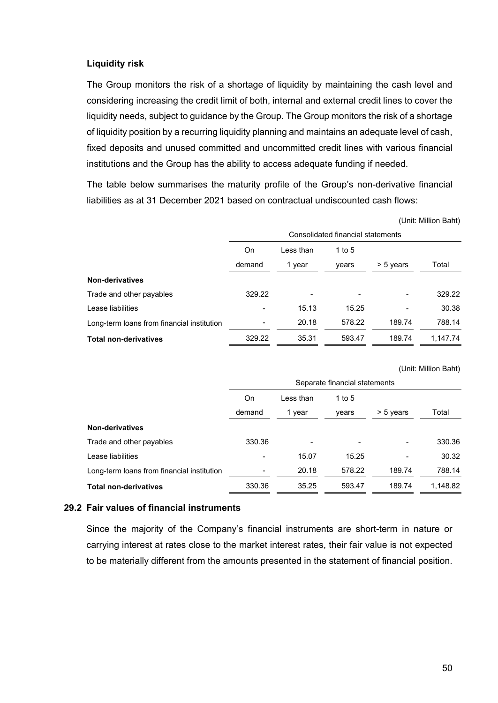#### **Liquidity risk**

The Group monitors the risk of a shortage of liquidity by maintaining the cash level and considering increasing the credit limit of both, internal and external credit lines to cover the liquidity needs, subject to guidance by the Group. The Group monitors the risk of a shortage of liquidity position by a recurring liquidity planning and maintains an adequate level of cash, fixed deposits and unused committed and uncommitted credit lines with various financial institutions and the Group has the ability to access adequate funding if needed.

The table below summarises the maturity profile of the Group's non-derivative financial liabilities as at 31 December 2021 based on contractual undiscounted cash flows:

(Unit: Million Baht)

|                                            | Consolidated financial statements |           |                |             |          |  |
|--------------------------------------------|-----------------------------------|-----------|----------------|-------------|----------|--|
|                                            | On                                | Less than | 1 to 5         |             |          |  |
|                                            | demand                            | 1 year    | years          | $> 5$ years | Total    |  |
| Non-derivatives                            |                                   |           |                |             |          |  |
| Trade and other payables                   | 329.22                            | -         | $\overline{a}$ |             | 329.22   |  |
| Lease liabilities                          |                                   | 15.13     | 15.25          |             | 30.38    |  |
| Long-term loans from financial institution |                                   | 20.18     | 578.22         | 189.74      | 788.14   |  |
| <b>Total non-derivatives</b>               | 329.22                            | 35.31     | 593.47         | 189.74      | 1,147.74 |  |

(Unit: Million Baht)

|                                            | Separate financial statements |           |        |           |          |  |
|--------------------------------------------|-------------------------------|-----------|--------|-----------|----------|--|
|                                            | On                            | Less than | 1 to 5 |           |          |  |
|                                            | demand                        | 1 year    | years  | > 5 years | Total    |  |
| <b>Non-derivatives</b>                     |                               |           |        |           |          |  |
| Trade and other payables                   | 330.36                        |           |        |           | 330.36   |  |
| Lease liabilities                          | $\overline{\phantom{a}}$      | 15.07     | 15.25  |           | 30.32    |  |
| Long-term loans from financial institution | -                             | 20.18     | 578.22 | 189.74    | 788.14   |  |
| <b>Total non-derivatives</b>               | 330.36                        | 35.25     | 593.47 | 189.74    | 1,148.82 |  |

#### **29.2 Fair values of financial instruments**

Since the majority of the Company's financial instruments are short-term in nature or carrying interest at rates close to the market interest rates, their fair value is not expected to be materially different from the amounts presented in the statement of financial position.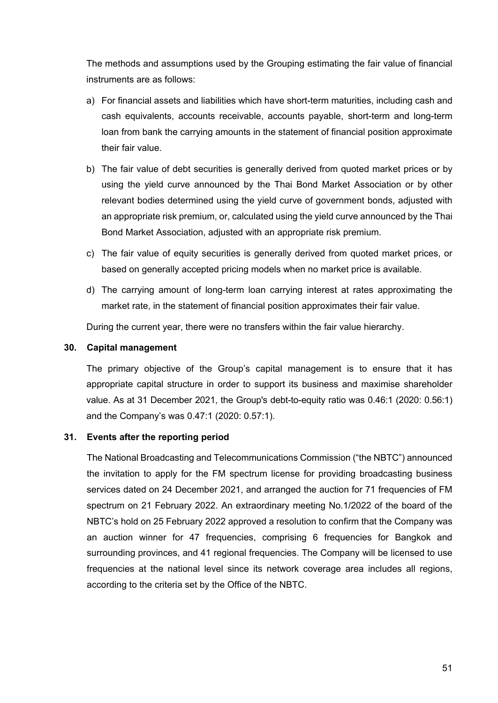The methods and assumptions used by the Grouping estimating the fair value of financial instruments are as follows:

- a) For financial assets and liabilities which have short-term maturities, including cash and cash equivalents, accounts receivable, accounts payable, short-term and long-term loan from bank the carrying amounts in the statement of financial position approximate their fair value.
- b) The fair value of debt securities is generally derived from quoted market prices or by using the yield curve announced by the Thai Bond Market Association or by other relevant bodies determined using the yield curve of government bonds, adjusted with an appropriate risk premium, or, calculated using the yield curve announced by the Thai Bond Market Association, adjusted with an appropriate risk premium.
- c) The fair value of equity securities is generally derived from quoted market prices, or based on generally accepted pricing models when no market price is available.
- d) The carrying amount of long-term loan carrying interest at rates approximating the market rate, in the statement of financial position approximates their fair value.

During the current year, there were no transfers within the fair value hierarchy.

### **30. Capital management**

The primary objective of the Group's capital management is to ensure that it has appropriate capital structure in order to support its business and maximise shareholder value. As at 31 December 2021, the Group's debt-to-equity ratio was 0.46:1 (2020: 0.56:1) and the Company's was 0.47:1 (2020: 0.57:1).

# **31. Events after the reporting period**

The National Broadcasting and Telecommunications Commission ("the NBTC") announced the invitation to apply for the FM spectrum license for providing broadcasting business services dated on 24 December 2021, and arranged the auction for 71 frequencies of FM spectrum on 21 February 2022. An extraordinary meeting No.1/2022 of the board of the NBTC's hold on 25 February 2022 approved a resolution to confirm that the Company was an auction winner for 47 frequencies, comprising 6 frequencies for Bangkok and surrounding provinces, and 41 regional frequencies. The Company will be licensed to use frequencies at the national level since its network coverage area includes all regions, according to the criteria set by the Office of the NBTC.